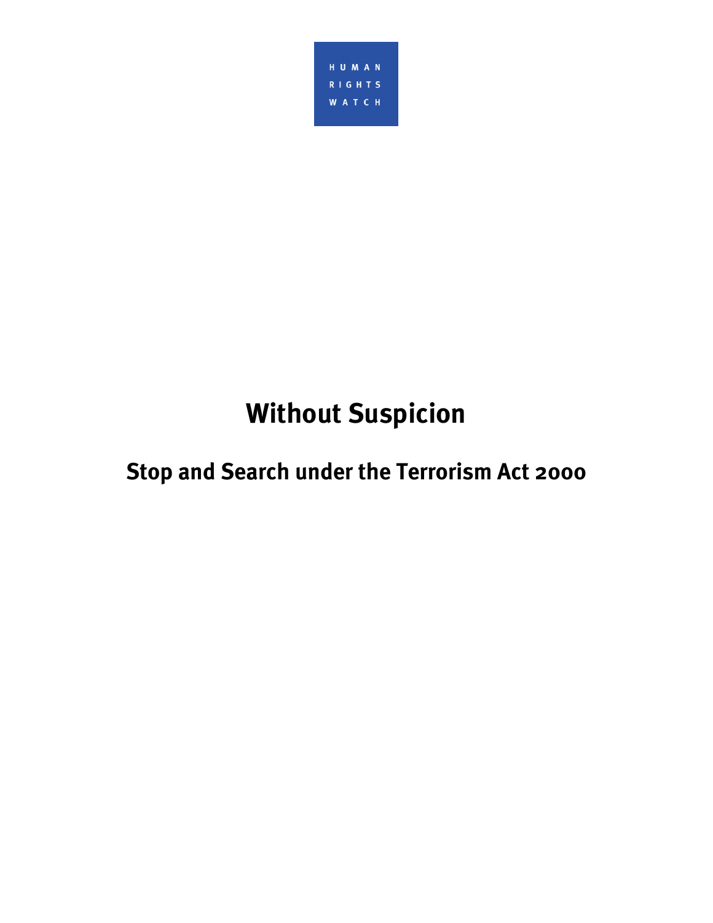

# **Without Suspicion**

**Stop and Search under the Terrorism Act 2000**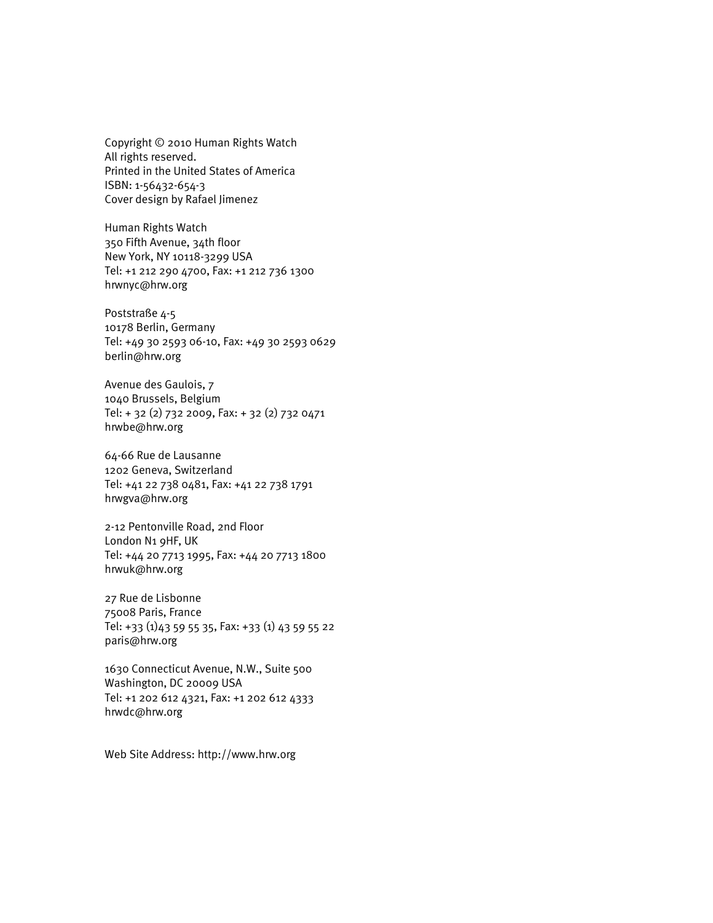Copyright © 2010 Human Rights Watch All rights reserved. Printed in the United States of America ISBN: 1-56432-654-3 Cover design by Rafael Jimenez

Human Rights Watch 350 Fifth Avenue, 34th floor New York, NY 10118-3299 USA Tel: +1 212 290 4700, Fax: +1 212 736 1300 hrwnyc@hrw.org

Poststraße 4-5 10178 Berlin, Germany Tel: +49 30 2593 06-10, Fax: +49 30 2593 0629 berlin@hrw.org

Avenue des Gaulois, 7 1040 Brussels, Belgium Tel: + 32 (2) 732 2009, Fax: + 32 (2) 732 0471 hrwbe@hrw.org

64-66 Rue de Lausanne 1202 Geneva, Switzerland Tel: +41 22 738 0481, Fax: +41 22 738 1791 hrwgva@hrw.org

2-12 Pentonville Road, 2nd Floor London N1 9HF, UK Tel: +44 20 7713 1995, Fax: +44 20 7713 1800 hrwuk@hrw.org

27 Rue de Lisbonne 75008 Paris, France Tel: +33 (1)43 59 55 35, Fax: +33 (1) 43 59 55 22 paris@hrw.org

1630 Connecticut Avenue, N.W., Suite 500 Washington, DC 20009 USA Tel: +1 202 612 4321, Fax: +1 202 612 4333 hrwdc@hrw.org

Web Site Address: http://www.hrw.org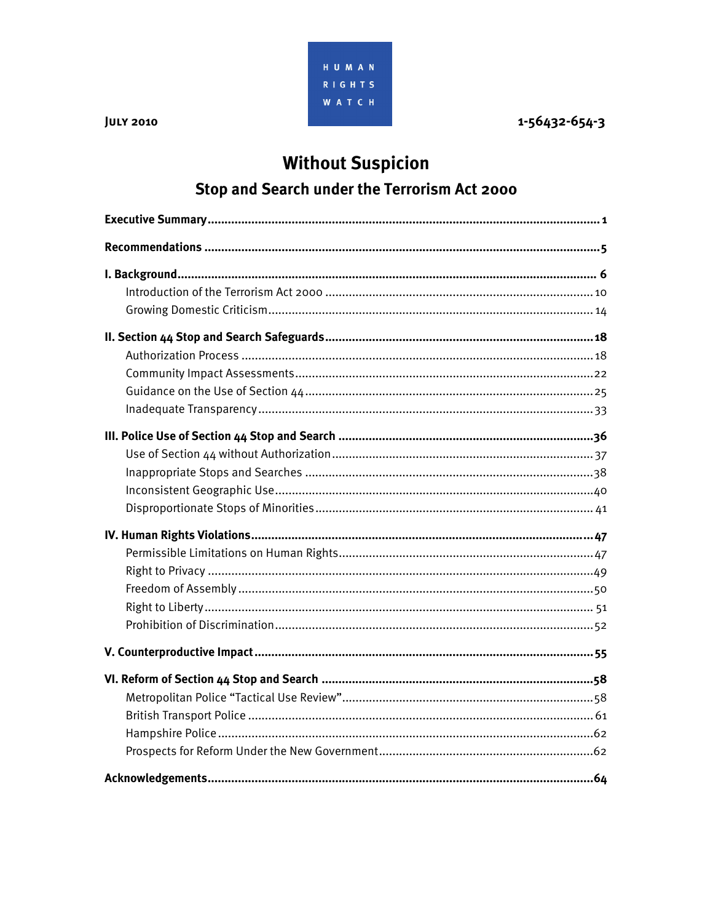

1-56432-654-3

# **Without Suspicion**

## Stop and Search under the Terrorism Act 2000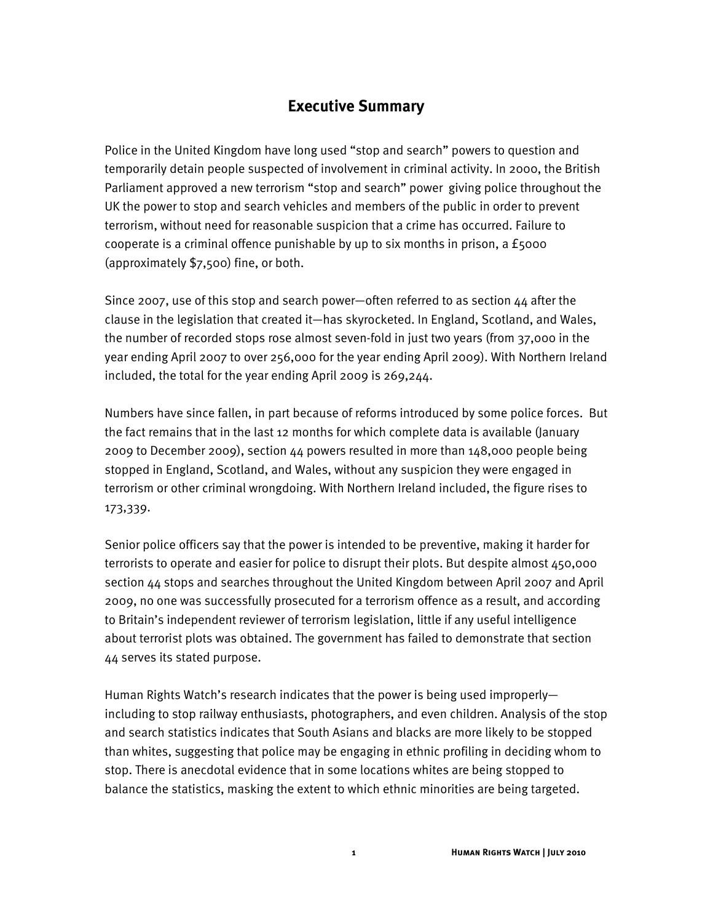## **Executive Summary**

Police in the United Kingdom have long used "stop and search" powers to question and temporarily detain people suspected of involvement in criminal activity. In 2000, the British Parliament approved a new terrorism "stop and search" power giving police throughout the UK the power to stop and search vehicles and members of the public in order to prevent terrorism, without need for reasonable suspicion that a crime has occurred. Failure to cooperate is a criminal offence punishable by up to six months in prison, a £5000 (approximately \$7,500) fine, or both.

Since 2007, use of this stop and search power-often referred to as section  $44$  after the clause in the legislation that created it—has skyrocketed. In England, Scotland, and Wales, the number of recorded stops rose almost seven-fold in just two years (from 37,000 in the year ending April 2007 to over 256,000 for the year ending April 2009). With Northern Ireland included, the total for the year ending April 2009 is 269,244.

Numbers have since fallen, in part because of reforms introduced by some police forces. But the fact remains that in the last 12 months for which complete data is available (January 2009 to December 2009), section 44 powers resulted in more than 148,000 people being stopped in England, Scotland, and Wales, without any suspicion they were engaged in terrorism or other criminal wrongdoing. With Northern Ireland included, the figure rises to 173,339.

Senior police officers say that the power is intended to be preventive, making it harder for terrorists to operate and easier for police to disrupt their plots. But despite almost 450,000 section 44 stops and searches throughout the United Kingdom between April 2007 and April 2009, no one was successfully prosecuted for a terrorism offence as a result, and according to Britain's independent reviewer of terrorism legislation, little if any useful intelligence about terrorist plots was obtained. The government has failed to demonstrate that section 44 serves its stated purpose.

Human Rights Watch's research indicates that the power is being used improperly including to stop railway enthusiasts, photographers, and even children. Analysis of the stop and search statistics indicates that South Asians and blacks are more likely to be stopped than whites, suggesting that police may be engaging in ethnic profiling in deciding whom to stop. There is anecdotal evidence that in some locations whites are being stopped to balance the statistics, masking the extent to which ethnic minorities are being targeted.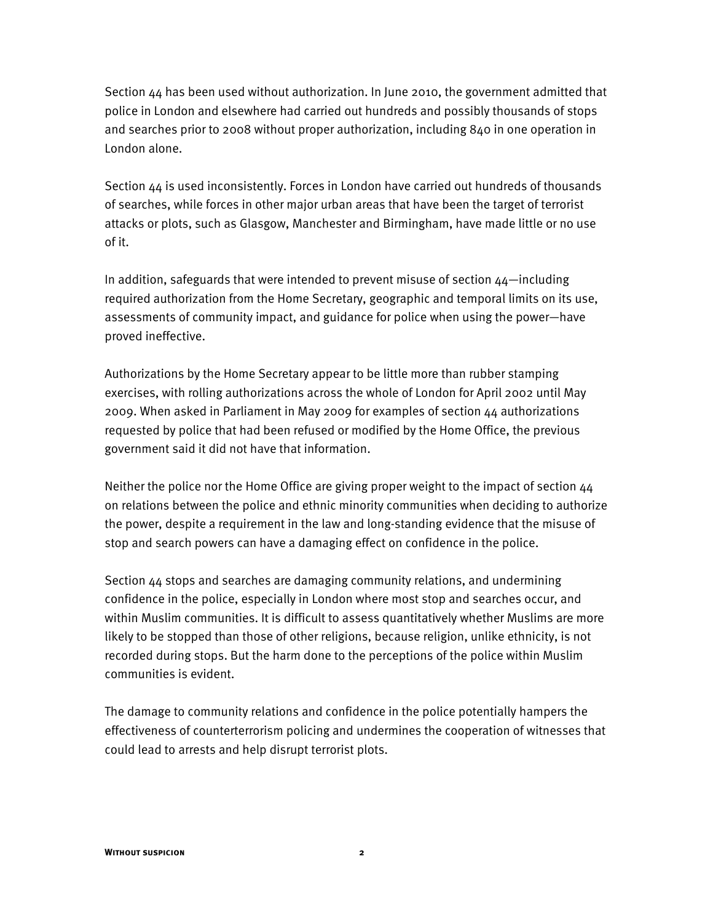Section  $44$  has been used without authorization. In June 2010, the government admitted that police in London and elsewhere had carried out hundreds and possibly thousands of stops and searches prior to 2008 without proper authorization, including 840 in one operation in London alone.

Section 44 is used inconsistently. Forces in London have carried out hundreds of thousands of searches, while forces in other major urban areas that have been the target of terrorist attacks or plots, such as Glasgow, Manchester and Birmingham, have made little or no use of it.

In addition, safeguards that were intended to prevent misuse of section  $44$ —including required authorization from the Home Secretary, geographic and temporal limits on its use, assessments of community impact, and guidance for police when using the power—have proved ineffective.

Authorizations by the Home Secretary appear to be little more than rubber stamping exercises, with rolling authorizations across the whole of London for April 2002 until May 2009. When asked in Parliament in May 2009 for examples of section 44 authorizations requested by police that had been refused or modified by the Home Office, the previous government said it did not have that information.

Neither the police nor the Home Office are giving proper weight to the impact of section 44 on relations between the police and ethnic minority communities when deciding to authorize the power, despite a requirement in the law and long-standing evidence that the misuse of stop and search powers can have a damaging effect on confidence in the police.

Section 44 stops and searches are damaging community relations, and undermining confidence in the police, especially in London where most stop and searches occur, and within Muslim communities. It is difficult to assess quantitatively whether Muslims are more likely to be stopped than those of other religions, because religion, unlike ethnicity, is not recorded during stops. But the harm done to the perceptions of the police within Muslim communities is evident.

The damage to community relations and confidence in the police potentially hampers the effectiveness of counterterrorism policing and undermines the cooperation of witnesses that could lead to arrests and help disrupt terrorist plots.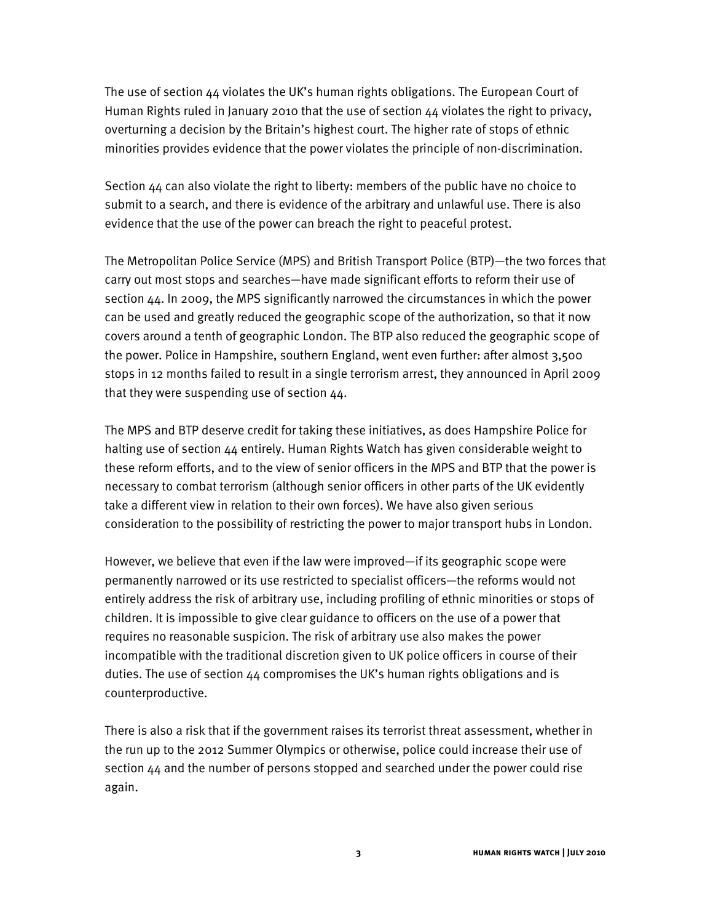The use of section  $44$  violates the UK's human rights obligations. The European Court of Human Rights ruled in January 2010 that the use of section 44 violates the right to privacy, overturning a decision by the Britain's highest court. The higher rate of stops of ethnic minorities provides evidence that the power violates the principle of non-discrimination.

Section 44 can also violate the right to liberty: members of the public have no choice to submit to a search, and there is evidence of the arbitrary and unlawful use. There is also evidence that the use of the power can breach the right to peaceful protest.

The Metropolitan Police Service (MPS) and British Transport Police (BTP)-the two forces that carry out most stops and searches—have made significant efforts to reform their use of section 44. In 2009, the MPS significantly narrowed the circumstances in which the power can be used and greatly reduced the geographic scope of the authorization, so that it now covers around a tenth of geographic London. The BTP also reduced the geographic scope of the power. Police in Hampshire, southern England, went even further: after almost 3,500 stops in 12 months failed to result in a single terrorism arrest, they announced in April 2009 that they were suspending use of section 44.

The MPS and BTP deserve credit for taking these initiatives, as does Hampshire Police for halting use of section 44 entirely. Human Rights Watch has given considerable weight to these reform efforts, and to the view of senior officers in the MPS and BTP that the power is necessary to combat terrorism (although senior officers in other parts of the UK evidently take a different view in relation to their own forces). We have also given serious consideration to the possibility of restricting the power to major transport hubs in London.

However, we believe that even if the law were improved-if its geographic scope were permanently narrowed or its use restricted to specialist officers—the reforms would not entirely address the risk of arbitrary use, including profiling of ethnic minorities or stops of children. It is impossible to give clear guidance to officers on the use of a power that requires no reasonable suspicion. The risk of arbitrary use also makes the power incompatible with the traditional discretion given to UK police officers in course of their duties. The use of section  $44$  compromises the UK's human rights obligations and is counterproductive.

There is also a risk that if the government raises its terrorist threat assessment, whether in the run up to the 2012 Summer Olympics or otherwise, police could increase their use of section 44 and the number of persons stopped and searched under the power could rise again.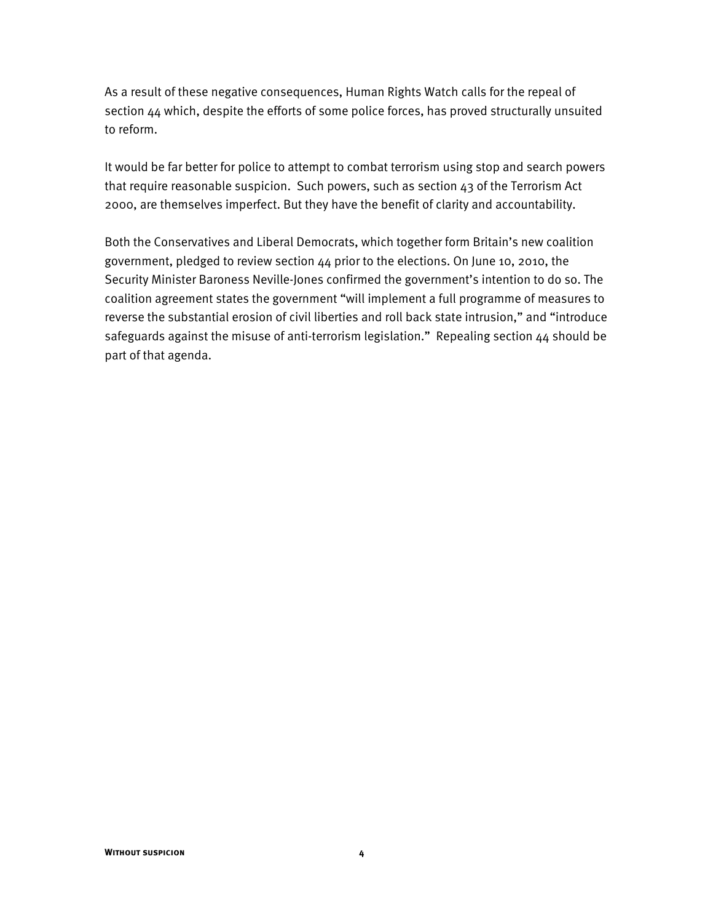As a result of these negative consequences, Human Rights Watch calls for the repeal of section 44 which, despite the efforts of some police forces, has proved structurally unsuited to reform.

It would be far better for police to attempt to combat terrorism using stop and search powers that require reasonable suspicion. Such powers, such as section 43 of the Terrorism Act 2000, are themselves imperfect. But they have the benefit of clarity and accountability.

Both the Conservatives and Liberal Democrats, which together form Britain's new coalition government, pledged to review section 44 prior to the elections. On June 10, 2010, the Security Minister Baroness Neville-Jones confirmed the government's intention to do so. The coalition agreement states the government "will implement a full programme of measures to reverse the substantial erosion of civil liberties and roll back state intrusion," and "introduce safeguards against the misuse of anti-terrorism legislation." Repealing section  $44$  should be part of that agenda.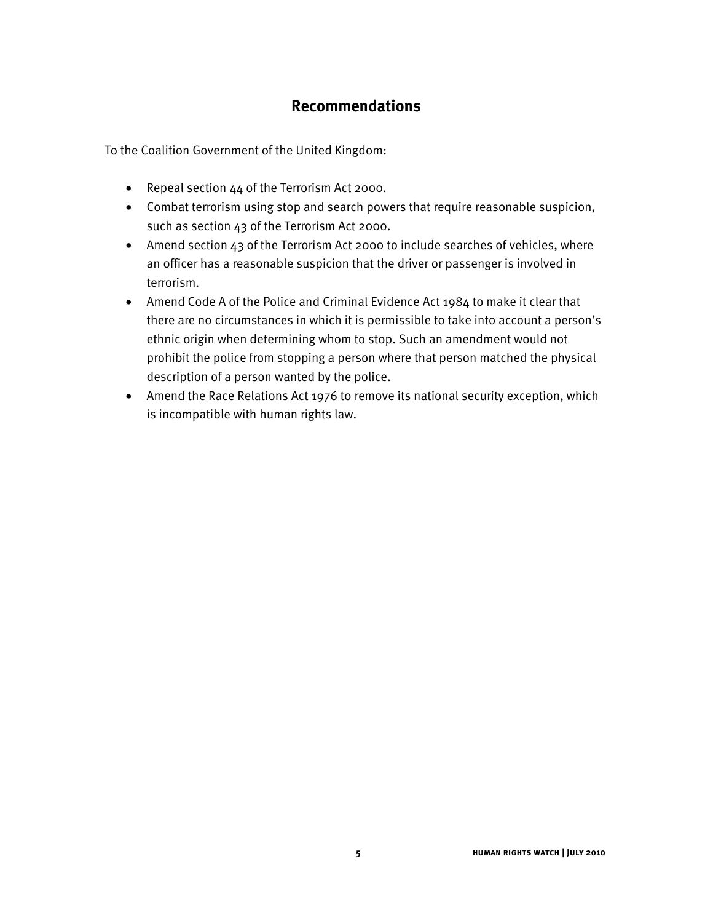## **Recommendations**

To the Coalition Government of the United Kingdom:

- Repeal section 44 of the Terrorism Act 2000.
- Combat terrorism using stop and search powers that require reasonable suspicion, such as section 43 of the Terrorism Act 2000.
- Amend section 43 of the Terrorism Act 2000 to include searches of vehicles, where an officer has a reasonable suspicion that the driver or passenger is involved in terrorism.
- Amend Code A of the Police and Criminal Evidence Act 1984 to make it clear that there are no circumstances in which it is permissible to take into account a person's ethnic origin when determining whom to stop. Such an amendment would not prohibit the police from stopping a person where that person matched the physical description of a person wanted by the police.
- Amend the Race Relations Act 1976 to remove its national security exception, which is incompatible with human rights law.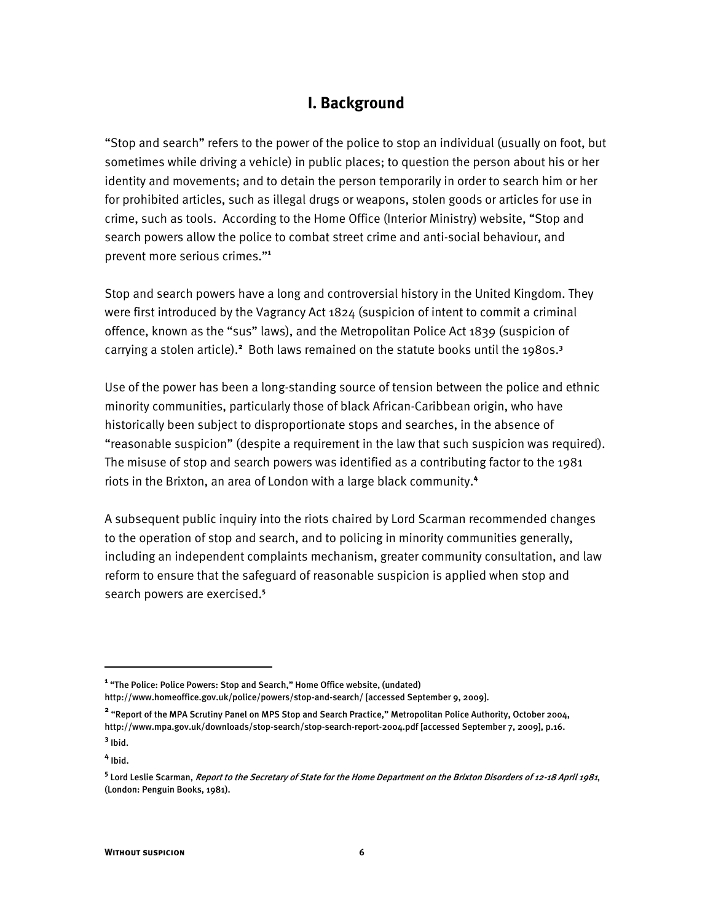## **I. Background**

"Stop and search" refers to the power of the police to stop an individual (usually on foot, but sometimes while driving a vehicle) in public places; to question the person about his or her identity and movements; and to detain the person temporarily in order to search him or her for prohibited articles, such as illegal drugs or weapons, stolen goods or articles for use in crime, such as tools. According to the Home Office (Interior Ministry) website, "Stop and search powers allow the police to combat street crime and anti-social behaviour, and prevent more serious crimes."<sup>1</sup>

Stop and search powers have a long and controversial history in the United Kingdom. They were first introduced by the Vagrancy Act 1824 (suspicion of intent to commit a criminal offence, known as the "sus" laws), and the Metropolitan Police Act 1839 (suspicion of carrying a stolen article).<sup>2</sup> Both laws remained on the statute books until the 1980s.<sup>3</sup>

Use of the power has been a long-standing source of tension between the police and ethnic minority communities, particularly those of black African-Caribbean origin, who have historically been subject to disproportionate stops and searches, in the absence of "reasonable suspicion" (despite a requirement in the law that such suspicion was required). The misuse of stop and search powers was identified as a contributing factor to the 1981 riots in the Brixton, an area of London with a large black community.**<sup>4</sup>**

A subsequent public inquiry into the riots chaired by Lord Scarman recommended changes to the operation of stop and search, and to policing in minority communities generally, including an independent complaints mechanism, greater community consultation, and law reform to ensure that the safeguard of reasonable suspicion is applied when stop and search powers are exercised.**<sup>5</sup>**

<sup>&</sup>lt;sup>1</sup> "The Police: Police Powers: Stop and Search," Home Office website, (undated) http://www.homeoffice.gov.uk/police/powers/stop-and-search/ [accessed September 9, 2009].

<sup>&</sup>lt;sup>2</sup> "Report of the MPA Scrutiny Panel on MPS Stop and Search Practice," Metropolitan Police Authority, October 2004, http://www.mpa.gov.uk/downloads/stop-search/stop-search-report-2004.pdf [accessed September 7, 2009], p.16.

**<sup>3</sup>** Ibid.

**<sup>4</sup>** Ibid.

**<sup>5</sup>** Lord Leslie Scarman, Report to the Secretary of State for the Home Department on the Brixton Disorders of 12-18 April 1981, (London: Penguin Books, 1981).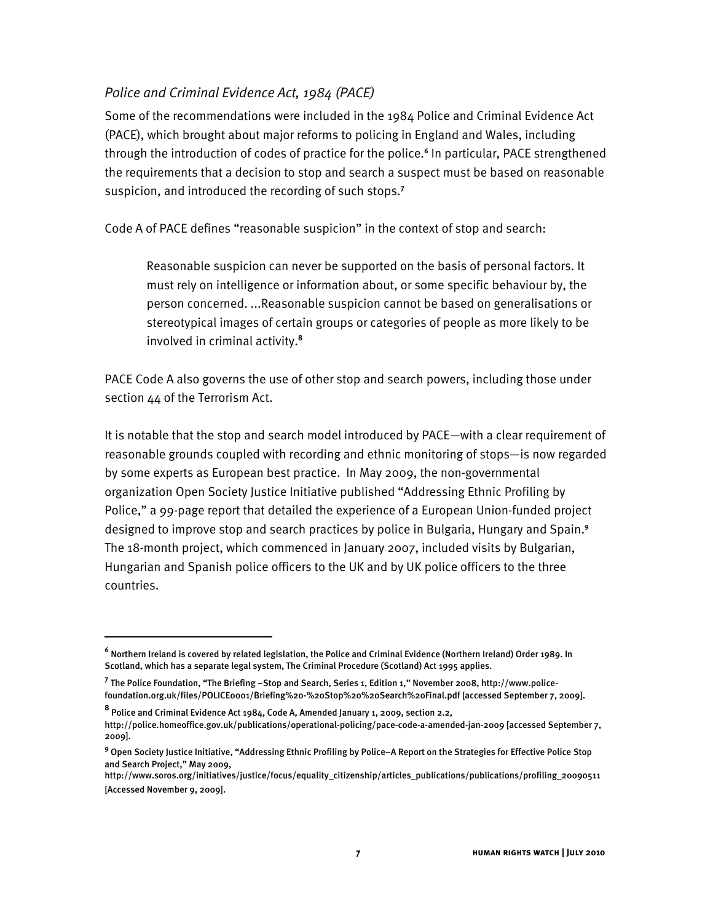## *Police and Criminal Evidence Act, 1984 (PACE)*

Some of the recommendations were included in the 1984 Police and Criminal Evidence Act (PACE), which brought about major reforms to policing in England and Wales, including through the introduction of codes of practice for the police.**<sup>6</sup>** In particular, PACE strengthened the requirements that a decision to stop and search a suspect must be based on reasonable suspicion, and introduced the recording of such stops.**<sup>7</sup>**

Code A of PACE defines "reasonable suspicion" in the context of stop and search:

Reasonable suspicion can never be supported on the basis of personal factors. It must rely on intelligence or information about, or some specific behaviour by, the person concerned. ...Reasonable suspicion cannot be based on generalisations or stereotypical images of certain groups or categories of people as more likely to be involved in criminal activity.**<sup>8</sup>**

PACE Code A also governs the use of other stop and search powers, including those under section 44 of the Terrorism Act.

It is notable that the stop and search model introduced by PACE-with a clear requirement of reasonable grounds coupled with recording and ethnic monitoring of stops-is now regarded by some experts as European best practice. In May 2009, the non-governmental organization Open Society Justice Initiative published "Addressing Ethnic Profiling by Police," a 99-page report that detailed the experience of a European Union-funded project designed to improve stop and search practices by police in Bulgaria, Hungary and Spain.**<sup>9</sup>** The 18-month project, which commenced in January 2007, included visits by Bulgarian, Hungarian and Spanish police officers to the UK and by UK police officers to the three countries.

 $\overline{a}$ 

**<sup>6</sup>** Northern Ireland is covered by related legislation, the Police and Criminal Evidence (Northern Ireland) Order 1989. In Scotland, which has a separate legal system, The Criminal Procedure (Scotland) Act 1995 applies.

<sup>&</sup>lt;sup>7</sup> The Police Foundation, "The Briefing –Stop and Search, Series 1, Edition 1," November 2008, http://www.policefoundation.org.uk/files/POLICE0001/Briefing%20-%20Stop%20%20Search%20Final.pdf [accessed September 7, 2009].

**<sup>8</sup>** Police and Criminal Evidence Act 1984, Code A, Amended January 1, 2009, section 2.2, http://police.homeoffice.gov.uk/publications/operational-policing/pace-code-a-amended-jan-2009 [accessed September 7, 2009].

<sup>&</sup>lt;sup>9</sup> Open Society Justice Initiative, "Addressing Ethnic Profiling by Police–A Report on the Strategies for Effective Police Stop and Search Project," May 2009,

http://www.soros.org/initiatives/justice/focus/equality\_citizenship/articles\_publications/publications/profiling\_20090511 [Accessed November 9, 2009].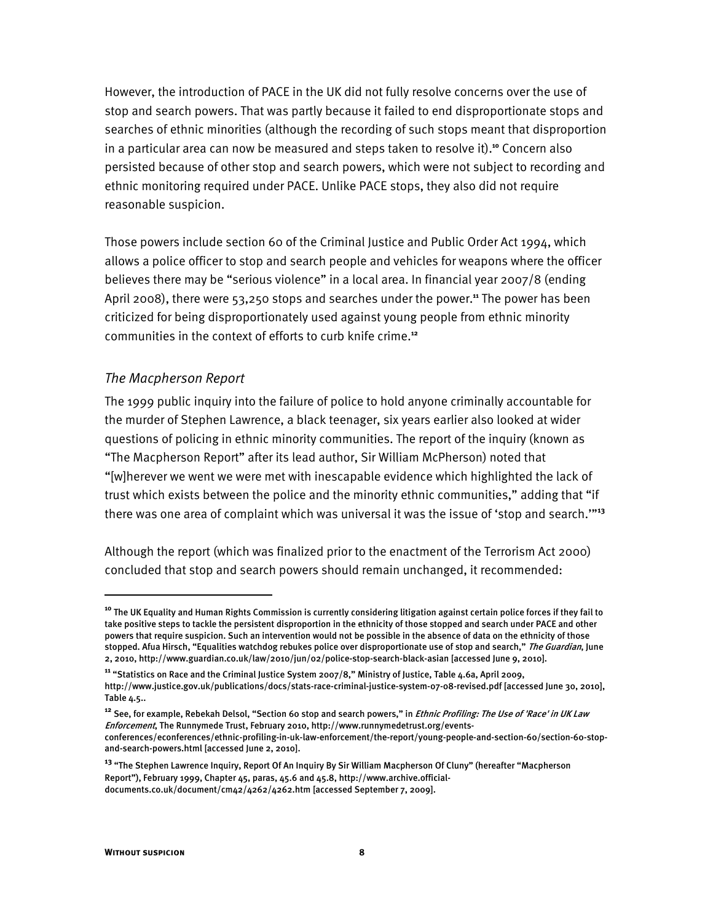However, the introduction of PACE in the UK did not fully resolve concerns over the use of stop and search powers. That was partly because it failed to end disproportionate stops and searches of ethnic minorities (although the recording of such stops meant that disproportion in a particular area can now be measured and steps taken to resolve it).**<sup>10</sup>** Concern also persisted because of other stop and search powers, which were not subject to recording and ethnic monitoring required under PACE. Unlike PACE stops, they also did not require reasonable suspicion.

Those powers include section 60 of the Criminal Justice and Public Order Act 1994, which allows a police officer to stop and search people and vehicles for weapons where the officer believes there may be "serious violence" in a local area. In financial year 2007/8 (ending April 2008), there were 53,250 stops and searches under the power.**<sup>11</sup>** The power has been criticized for being disproportionately used against young people from ethnic minority communities in the context of efforts to curb knife crime.**<sup>12</sup>**

#### *The Macpherson Report*

The 1999 public inquiry into the failure of police to hold anyone criminally accountable for the murder of Stephen Lawrence, a black teenager, six years earlier also looked at wider questions of policing in ethnic minority communities. The report of the inquiry (known as "The Macpherson Report" after its lead author, Sir William McPherson) noted that "[w]herever we went we were met with inescapable evidence which highlighted the lack of trust which exists between the police and the minority ethnic communities," adding that "if there was one area of complaint which was universal it was the issue of 'stop and search."<sup>33</sup>

Although the report (which was finalized prior to the enactment of the Terrorism Act 2000) concluded that stop and search powers should remain unchanged, it recommended:

**<sup>10</sup>** The UK Equality and Human Rights Commission is currently considering litigation against certain police forces if they fail to take positive steps to tackle the persistent disproportion in the ethnicity of those stopped and search under PACE and other powers that require suspicion. Such an intervention would not be possible in the absence of data on the ethnicity of those stopped. Afua Hirsch, "Equalities watchdog rebukes police over disproportionate use of stop and search," The Guardian, June 2, 2010, http://www.guardian.co.uk/law/2010/jun/02/police-stop-search-black-asian [accessed June 9, 2010].

<sup>&</sup>lt;sup>11</sup> "Statistics on Race and the Criminal Justice System 2007/8," Ministry of Justice, Table 4.6a, April 2009,

http://www.justice.gov.uk/publications/docs/stats-race-criminal-justice-system-07-08-revised.pdf [accessed June 30, 2010], Table 4.5..

<sup>&</sup>lt;sup>12</sup> See, for example, Rebekah Delsol, "Section 60 stop and search powers," in *Ethnic Profiling: The Use of 'Race' in UK Law* Enforcement, The Runnymede Trust, February 2010, http://www.runnymedetrust.org/eventsconferences/econferences/ethnic-profiling-in-uk-law-enforcement/the-report/young-people-and-section-60/section-60-stopand-search-powers.html [accessed June 2, 2010].

<sup>&</sup>lt;sup>13</sup> "The Stephen Lawrence Inquiry, Report Of An Inquiry By Sir William Macpherson Of Cluny" (hereafter "Macpherson Report"), February 1999, Chapter 45, paras, 45.6 and 45.8, http://www.archive.officialdocuments.co.uk/document/cm42/4262/4262.htm [accessed September 7, 2009].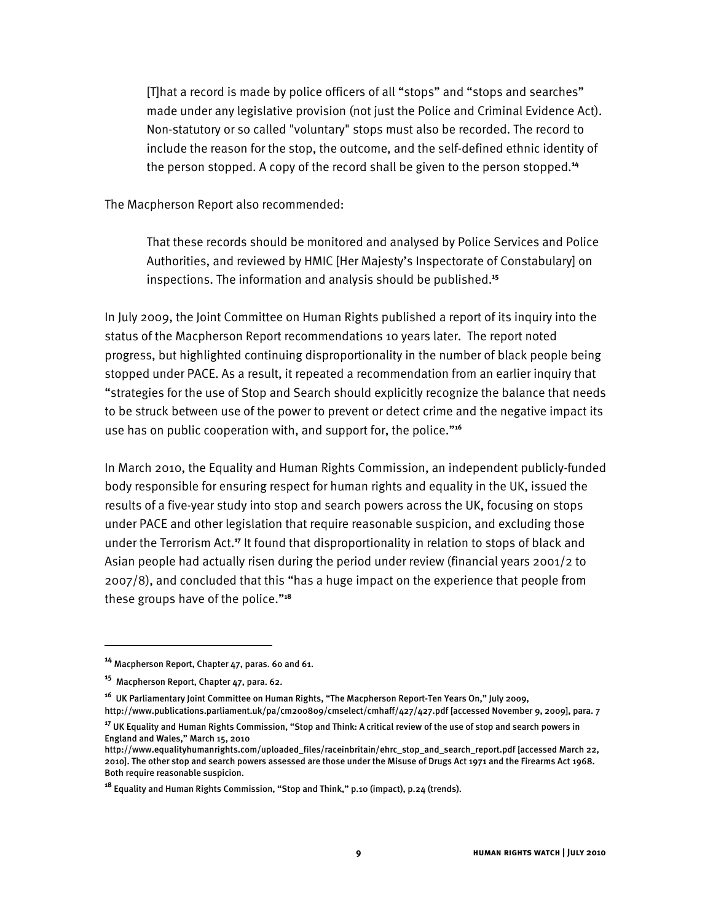[T]hat a record is made by police officers of all "stops" and "stops and searches" made under any legislative provision (not just the Police and Criminal Evidence Act). Non-statutory or so called "voluntary" stops must also be recorded. The record to include the reason for the stop, the outcome, and the self-defined ethnic identity of the person stopped. A copy of the record shall be given to the person stopped.**<sup>14</sup>**

The Macpherson Report also recommended:

That these records should be monitored and analysed by Police Services and Police Authorities, and reviewed by HMIC [Her Majesty's Inspectorate of Constabulary] on inspections. The information and analysis should be published.**<sup>15</sup>**

In July 2009, the Joint Committee on Human Rights published a report of its inquiry into the status of the Macpherson Report recommendations 10 years later. The report noted progress, but highlighted continuing disproportionality in the number of black people being stopped under PACE. As a result, it repeated a recommendation from an earlier inquiry that "strategies for the use of Stop and Search should explicitly recognize the balance that needs to be struck between use of the power to prevent or detect crime and the negative impact its use has on public cooperation with, and support for, the police."<sup>16</sup>

In March 2010, the Equality and Human Rights Commission, an independent publicly-funded body responsible for ensuring respect for human rights and equality in the UK, issued the results of a five-year study into stop and search powers across the UK, focusing on stops under PACE and other legislation that require reasonable suspicion, and excluding those under the Terrorism Act.**<sup>17</sup>** It found that disproportionality in relation to stops of black and Asian people had actually risen during the period under review (financial years 2001/2 to 2007/8), and concluded that this "has a huge impact on the experience that people from these groups have of the police."<sup>18</sup>

**<sup>14</sup>** Macpherson Report, Chapter 47, paras. 60 and 61.

**<sup>15</sup>** Macpherson Report, Chapter 47, para. 62.

<sup>&</sup>lt;sup>16</sup> UK Parliamentary Joint Committee on Human Rights, "The Macpherson Report-Ten Years On," July 2009,

http://www.publications.parliament.uk/pa/cm200809/cmselect/cmhaff/427/427.pdf [accessed November 9, 2009], para. 7

**<sup>17</sup>** UK Equality and Human Rights Commission, "Stop and Think: A critical review of the use of stop and search powers in England and Wales," March 15, 2010

http://www.equalityhumanrights.com/uploaded\_files/raceinbritain/ehrc\_stop\_and\_search\_report.pdf [accessed March 22, 2010]. The other stop and search powers assessed are those under the Misuse of Drugs Act 1971 and the Firearms Act 1968. Both require reasonable suspicion.

<sup>&</sup>lt;sup>18</sup> Equality and Human Rights Commission, "Stop and Think," p.10 (impact), p.24 (trends).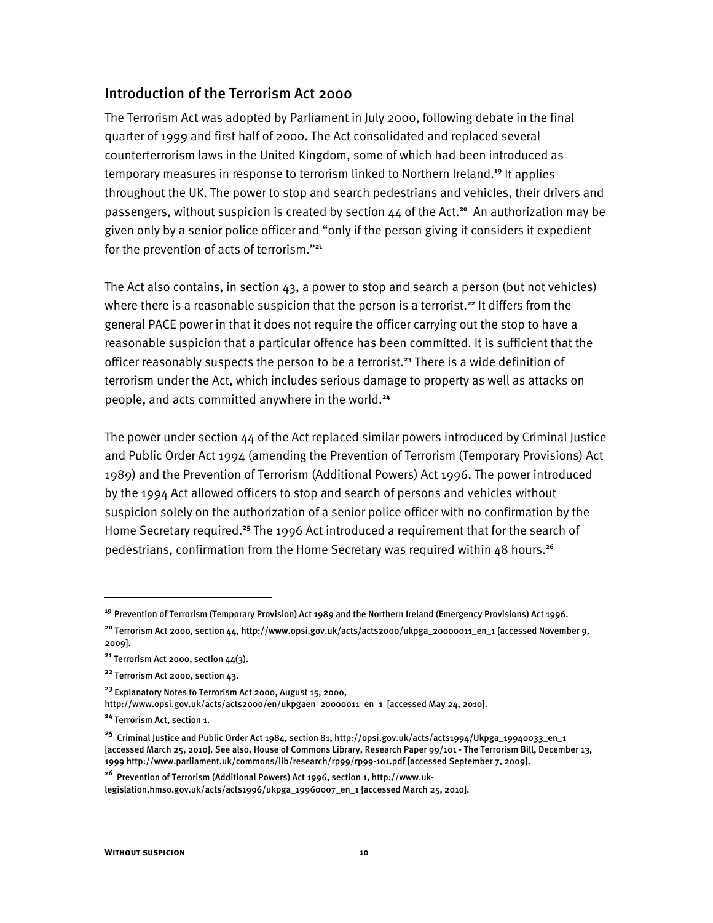#### Introduction of the Terrorism Act 2000

The Terrorism Act was adopted by Parliament in July 2000, following debate in the final quarter of 1999 and first half of 2000. The Act consolidated and replaced several counterterrorism laws in the United Kingdom, some of which had been introduced as temporary measures in response to terrorism linked to Northern Ireland.**<sup>19</sup>** It applies throughout the UK. The power to stop and search pedestrians and vehicles, their drivers and passengers, without suspicion is created by section 44 of the Act.**<sup>20</sup>** An authorization may be given only by a senior police officer and "only if the person giving it considers it expedient for the prevention of acts of terrorism."<sup>21</sup>

The Act also contains, in section 43, a power to stop and search a person (but not vehicles) where there is a reasonable suspicion that the person is a terrorist.**<sup>22</sup>** It differs from the general PACE power in that it does not require the officer carrying out the stop to have a reasonable suspicion that a particular offence has been committed. It is sufficient that the officer reasonably suspects the person to be a terrorist.**<sup>23</sup>** There is a wide definition of terrorism under the Act, which includes serious damage to property as well as attacks on people, and acts committed anywhere in the world.**<sup>24</sup>**

The power under section  $44$  of the Act replaced similar powers introduced by Criminal Justice and Public Order Act 1994 (amending the Prevention of Terrorism (Temporary Provisions) Act 1989) and the Prevention of Terrorism (Additional Powers) Act 1996. The power introduced by the 1994 Act allowed officers to stop and search of persons and vehicles without suspicion solely on the authorization of a senior police officer with no confirmation by the Home Secretary required.**<sup>25</sup>** The 1996 Act introduced a requirement that for the search of pedestrians, confirmation from the Home Secretary was required within 48 hours.**<sup>26</sup>**

**<sup>19</sup>** Prevention of Terrorism (Temporary Provision) Act 1989 and the Northern Ireland (Emergency Provisions) Act 1996.

<sup>&</sup>lt;sup>20</sup> Terrorism Act 2000, section 44, http://www.opsi.gov.uk/acts/acts2000/ukpga\_20000011\_en\_1 [accessed November 9, 2009].

**<sup>21</sup>** Terrorism Act 2000, section 44(3).

**<sup>22</sup>** Terrorism Act 2000, section 43.

**<sup>23</sup>** Explanatory Notes to Terrorism Act 2000, August 15, 2000,

http://www.opsi.gov.uk/acts/acts2000/en/ukpgaen\_20000011\_en\_1 [accessed May 24, 2010].

**<sup>24</sup>** Terrorism Act, section 1.

**<sup>25</sup>** Criminal Justice and Public Order Act 1984, section 81, http://opsi.gov.uk/acts/acts1994/Ukpga\_19940033\_en\_1 [accessed March 25, 2010]. See also, House of Commons Library, Research Paper 99/101 - The Terrorism Bill, December 13, 1999 http://www.parliament.uk/commons/lib/research/rp99/rp99-101.pdf [accessed September 7, 2009].

**<sup>26</sup>** Prevention of Terrorism (Additional Powers) Act 1996, section 1, http://www.uklegislation.hmso.gov.uk/acts/acts1996/ukpga\_19960007\_en\_1 [accessed March 25, 2010].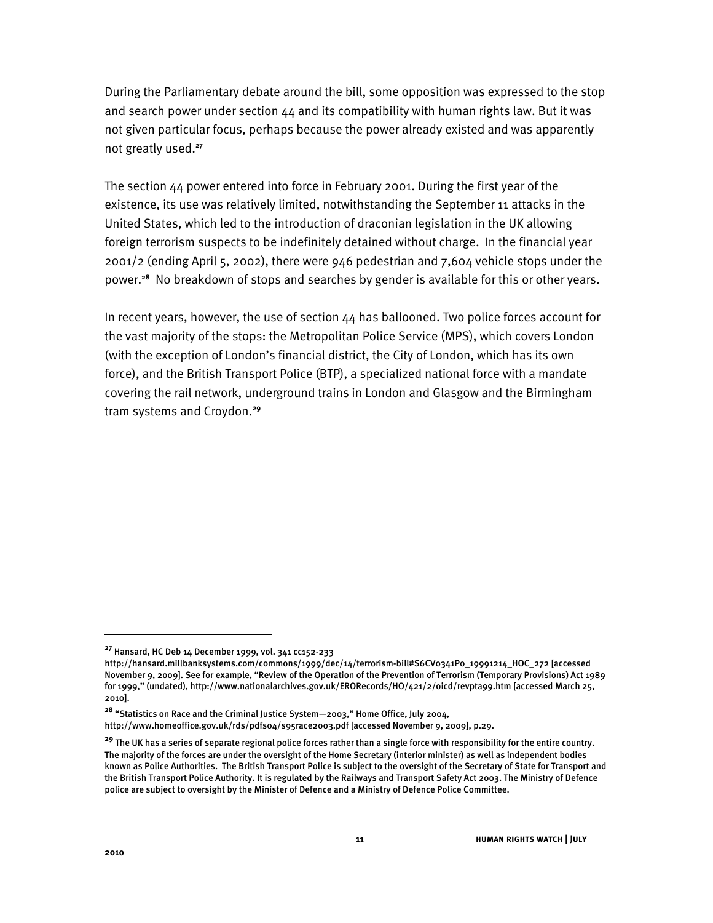During the Parliamentary debate around the bill, some opposition was expressed to the stop and search power under section  $44$  and its compatibility with human rights law. But it was not given particular focus, perhaps because the power already existed and was apparently not greatly used.**<sup>27</sup>**

The section 44 power entered into force in February 2001. During the first year of the existence, its use was relatively limited, notwithstanding the September 11 attacks in the United States, which led to the introduction of draconian legislation in the UK allowing foreign terrorism suspects to be indefinitely detained without charge. In the financial year 2001/2 (ending April 5, 2002), there were 946 pedestrian and 7,604 vehicle stops under the power.**<sup>28</sup>** No breakdown of stops and searches by gender is available for this or other years.

In recent years, however, the use of section  $44$  has ballooned. Two police forces account for the vast majority of the stops: the Metropolitan Police Service (MPS), which covers London (with the exception of London's financial district, the City of London, which has its own force), and the British Transport Police (BTP), a specialized national force with a mandate covering the rail network, underground trains in London and Glasgow and the Birmingham tram systems and Croydon.**<sup>29</sup>**

**<sup>27</sup>** Hansard, HC Deb 14 December 1999, vol. 341 cc152-233

http://hansard.millbanksystems.com/commons/1999/dec/14/terrorism-bill#S6CV0341P0\_19991214\_HOC\_272 [accessed November 9, 2o09]. See for example, "Review of the Operation of the Prevention of Terrorism (Temporary Provisions) Act 1989 for 1999," (undated), http://www.nationalarchives.gov.uk/ERORecords/HO/421/2/oicd/revpta99.htm [accessed March 25, 2010].

<sup>&</sup>lt;sup>28</sup> "Statistics on Race and the Criminal Justice System-2003," Home Office, July 2004,

http://www.homeoffice.gov.uk/rds/pdfs04/s95race2003.pdf [accessed November 9, 2009], p.29.

**<sup>29</sup>** The UK has a series of separate regional police forces rather than a single force with responsibility for the entire country. The majority of the forces are under the oversight of the Home Secretary (interior minister) as well as independent bodies known as Police Authorities. The British Transport Police is subject to the oversight of the Secretary of State for Transport and the British Transport Police Authority. It is regulated by the Railways and Transport Safety Act 2003. The Ministry of Defence police are subject to oversight by the Minister of Defence and a Ministry of Defence Police Committee.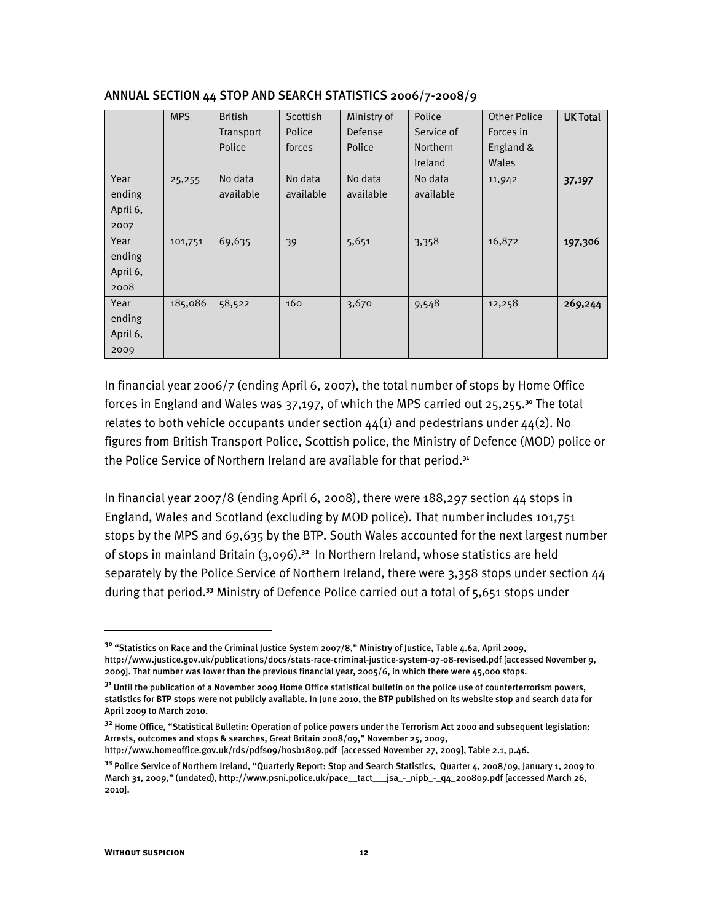|          | <b>MPS</b> | <b>British</b> | Scottish  | Ministry of | Police          | <b>Other Police</b> | <b>UK Total</b> |
|----------|------------|----------------|-----------|-------------|-----------------|---------------------|-----------------|
|          |            | Transport      | Police    | Defense     | Service of      | Forces in           |                 |
|          |            | Police         | forces    | Police      | <b>Northern</b> | England &           |                 |
|          |            |                |           |             | Ireland         | Wales               |                 |
| Year     | 25,255     | No data        | No data   | No data     | No data         | 11,942              | 37,197          |
| ending   |            | available      | available | available   | available       |                     |                 |
| April 6, |            |                |           |             |                 |                     |                 |
| 2007     |            |                |           |             |                 |                     |                 |
| Year     | 101,751    | 69,635         | 39        | 5,651       | 3,358           | 16,872              | 197,306         |
| ending   |            |                |           |             |                 |                     |                 |
| April 6, |            |                |           |             |                 |                     |                 |
| 2008     |            |                |           |             |                 |                     |                 |
| Year     | 185,086    | 58,522         | 160       | 3,670       | 9,548           | 12,258              | 269,244         |
| ending   |            |                |           |             |                 |                     |                 |
| April 6, |            |                |           |             |                 |                     |                 |
| 2009     |            |                |           |             |                 |                     |                 |

#### ANNUAL SECTION 44 STOP AND SEARCH STATISTICS 2006/7-2008/9

In financial year 2006/7 (ending April 6, 2007), the total number of stops by Home Office forces in England and Wales was 37,197, of which the MPS carried out 25,255.**<sup>30</sup>** The total relates to both vehicle occupants under section  $44(1)$  and pedestrians under  $44(2)$ . No figures from British Transport Police, Scottish police, the Ministry of Defence (MOD) police or the Police Service of Northern Ireland are available for that period.**<sup>31</sup>**

In financial year 2007/8 (ending April 6, 2008), there were 188,297 section 44 stops in England, Wales and Scotland (excluding by MOD police). That number includes 101,751 stops by the MPS and 69,635 by the BTP. South Wales accounted for the next largest number of stops in mainland Britain (3,096).**<sup>32</sup>** In Northern Ireland, whose statistics are held separately by the Police Service of Northern Ireland, there were 3,358 stops under section 44 during that period.**<sup>33</sup>** Ministry of Defence Police carried out a total of 5,651 stops under

http://www.homeoffice.gov.uk/rds/pdfs09/hosb1809.pdf [accessed November 27, 2009], Table 2.1, p.46.

<sup>&</sup>lt;sup>30</sup> "Statistics on Race and the Criminal Justice System 2007/8," Ministry of Justice, Table 4.6a, April 2009, http://www.justice.gov.uk/publications/docs/stats-race-criminal-justice-system-07-08-revised.pdf [accessed November 9, 2009]. That number was lower than the previous financial year, 2005/6, in which there were 45,000 stops.

**<sup>31</sup>** Until the publication of a November 2009 Home Office statistical bulletin on the police use of counterterrorism powers, statistics for BTP stops were not publicly available. In June 2010, the BTP published on its website stop and search data for April 2009 to March 2010.

**<sup>32</sup>** Home Office, "Statistical Bulletin: Operation of police powers under the Terrorism Act 2000 and subsequent legislation: Arrests, outcomes and stops & searches, Great Britain 2008/09," November 25, 2009,

**<sup>33</sup>** Police Service of Northern Ireland, "Quarterly Report: Stop and Search Statistics, Quarter 4, 2008/09, January 1, 2009 to March 31, 2009," (undated), http://www.psni.police.uk/pace\_\_tact\_\_\_jsa\_-\_nipb\_-\_q4\_200809.pdf [accessed March 26, 2010].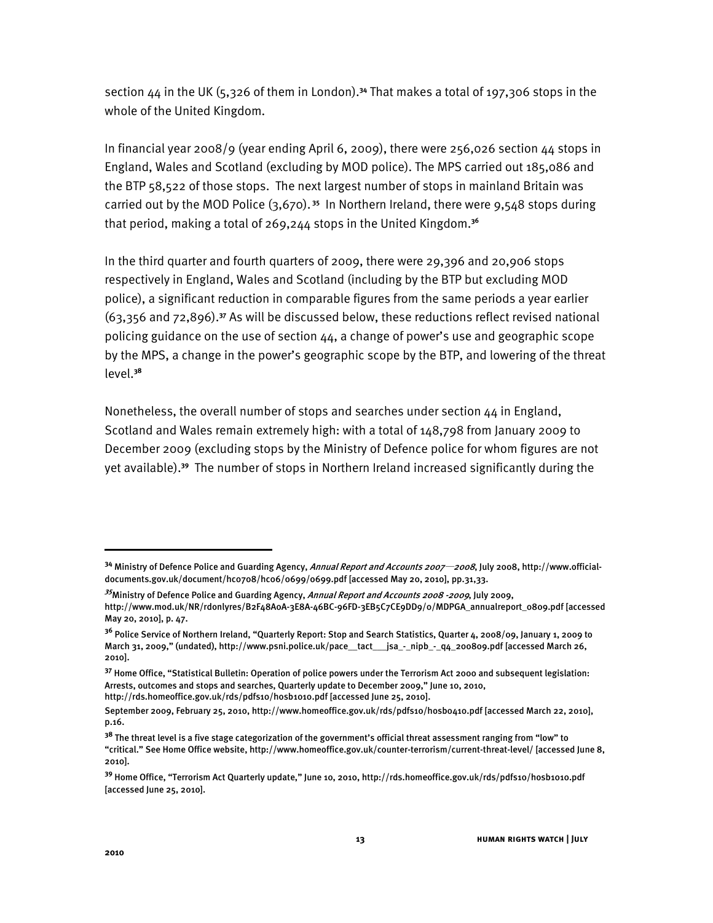section 44 in the UK (5,326 of them in London).**<sup>34</sup>** That makes a total of 197,306 stops in the whole of the United Kingdom.

In financial year 2008/9 (year ending April 6, 2009), there were 256,026 section 44 stops in England, Wales and Scotland (excluding by MOD police). The MPS carried out 185,086 and the BTP 58,522 of those stops. The next largest number of stops in mainland Britain was carried out by the MOD Police (3,670).**<sup>35</sup>** In Northern Ireland, there were 9,548 stops during that period, making a total of 269,244 stops in the United Kingdom.**<sup>36</sup>**

In the third quarter and fourth quarters of 2009, there were 29,396 and 20,906 stops respectively in England, Wales and Scotland (including by the BTP but excluding MOD police), a significant reduction in comparable figures from the same periods a year earlier (63,356 and 72,896).**<sup>37</sup>** As will be discussed below, these reductions reflect revised national policing guidance on the use of section  $44$ , a change of power's use and geographic scope by the MPS, a change in the power's geographic scope by the BTP, and lowering of the threat level.**<sup>38</sup>**

Nonetheless, the overall number of stops and searches under section 44 in England, Scotland and Wales remain extremely high: with a total of 148,798 from January 2009 to December 2009 (excluding stops by the Ministry of Defence police for whom figures are not yet available).**<sup>39</sup>** The number of stops in Northern Ireland increased significantly during the

<sup>&</sup>lt;sup>34</sup> Ministry of Defence Police and Guarding Agency, *Annual Report and Accounts 2007—2008*, July 2008, http://www.officialdocuments.gov.uk/document/hc0708/hc06/0699/0699.pdf [accessed May 20, 2010], pp.31,33.

**<sup>35</sup>** Ministry of Defence Police and Guarding Agency, Annual Report and Accounts 2008 -2009, July 2009, http://www.mod.uk/NR/rdonlyres/B2F48A0A-3E8A-46BC-96FD-3EB5C7CE9DD9/0/MDPGA\_annualreport\_0809.pdf [accessed May 20, 2010], p. 47.

**<sup>36</sup>** Police Service of Northern Ireland, "Quarterly Report: Stop and Search Statistics, Quarter 4, 2008/09, January 1, 2009 to March 31, 2009," (undated), http://www.psni.police.uk/pace\_\_tact\_\_jsa\_-\_nipb\_-\_q4\_200809.pdf [accessed March 26, 2010].

**<sup>37</sup>** Home Office, "Statistical Bulletin: Operation of police powers under the Terrorism Act 2000 and subsequent legislation: Arrests, outcomes and stops and searches, Quarterly update to December 2009," June 10, 2010,

http://rds.homeoffice.gov.uk/rds/pdfs10/hosb1010.pdf [accessed June 25, 2010].

September 2009, February 25, 2010, http://www.homeoffice.gov.uk/rds/pdfs10/hosb0410.pdf [accessed March 22, 2010], p.16.

<sup>&</sup>lt;sup>38</sup> The threat level is a five stage categorization of the government's official threat assessment ranging from "low" to "critical.6 See Home Office website, http://www.homeoffice.gov.uk/counter-terrorism/current-threat-level/ [accessed June 8, 2010].

<sup>&</sup>lt;sup>39</sup> Home Office, "Terrorism Act Quarterly update," June 10, 2010, http://rds.homeoffice.gov.uk/rds/pdfs10/hosb1010.pdf [accessed June 25, 2010].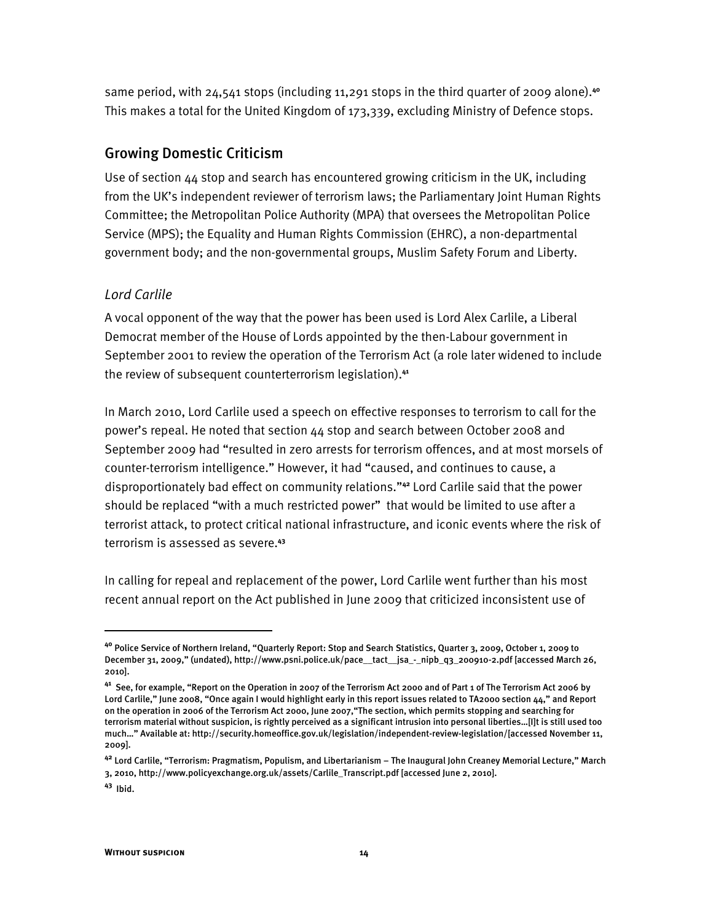same period, with 24,541 stops (including 11,291 stops in the third quarter of 2009 alone).**<sup>40</sup>** This makes a total for the United Kingdom of 173,339, excluding Ministry of Defence stops.

## Growing Domestic Criticism

Use of section 44 stop and search has encountered growing criticism in the UK, including from the UK's independent reviewer of terrorism laws; the Parliamentary Joint Human Rights Committee; the Metropolitan Police Authority (MPA) that oversees the Metropolitan Police Service (MPS); the Equality and Human Rights Commission (EHRC), a non-departmental government body; and the non-governmental groups, Muslim Safety Forum and Liberty.

## *Lord Carlile*

A vocal opponent of the way that the power has been used is Lord Alex Carlile, a Liberal Democrat member of the House of Lords appointed by the then-Labour government in September 2001 to review the operation of the Terrorism Act (a role later widened to include the review of subsequent counterterrorism legislation).**<sup>41</sup>**

In March 2010, Lord Carlile used a speech on effective responses to terrorism to call for the power's repeal. He noted that section  $44$  stop and search between October 2008 and September 2009 had "resulted in zero arrests for terrorism offences, and at most morsels of counter-terrorism intelligence." However, it had "caused, and continues to cause, a disproportionately bad effect on community relations."<sup>42</sup> Lord Carlile said that the power should be replaced "with a much restricted power" that would be limited to use after a terrorist attack, to protect critical national infrastructure, and iconic events where the risk of terrorism is assessed as severe.**<sup>43</sup>**

In calling for repeal and replacement of the power, Lord Carlile went further than his most recent annual report on the Act published in June 2009 that criticized inconsistent use of

**<sup>40</sup>** Police Service of Northern Ireland, "Quarterly Report: Stop and Search Statistics, Quarter 3, 2009, October 1, 2009 to December 31, 2009," (undated), http://www.psni.police.uk/pace\_\_tact\_\_jsa\_-\_nipb\_q3\_200910-2.pdf [accessed March 26, 2010].

**<sup>41</sup>** See, for example, "Report on the Operation in 2007 of the Terrorism Act 2000 and of Part 1 of The Terrorism Act 2006 by Lord Carlile," June 2008, "Once again I would highlight early in this report issues related to TA2000 section 44," and Report on the operation in 2006 of the Terrorism Act 2000, June 2007,"The section, which permits stopping and searching for terrorism material without suspicion, is rightly perceived as a significant intrusion into personal liberties...[I]t is still used too much..." Available at: http://security.homeoffice.gov.uk/legislation/independent-review-legislation/[accessed November 11, 2009].

<sup>&</sup>lt;sup>42</sup> Lord Carlile, "Terrorism: Pragmatism, Populism, and Libertarianism – The Inaugural John Creaney Memorial Lecture," March 3, 2010, http://www.policyexchange.org.uk/assets/Carlile\_Transcript.pdf [accessed June 2, 2010].

**<sup>43</sup>** Ibid.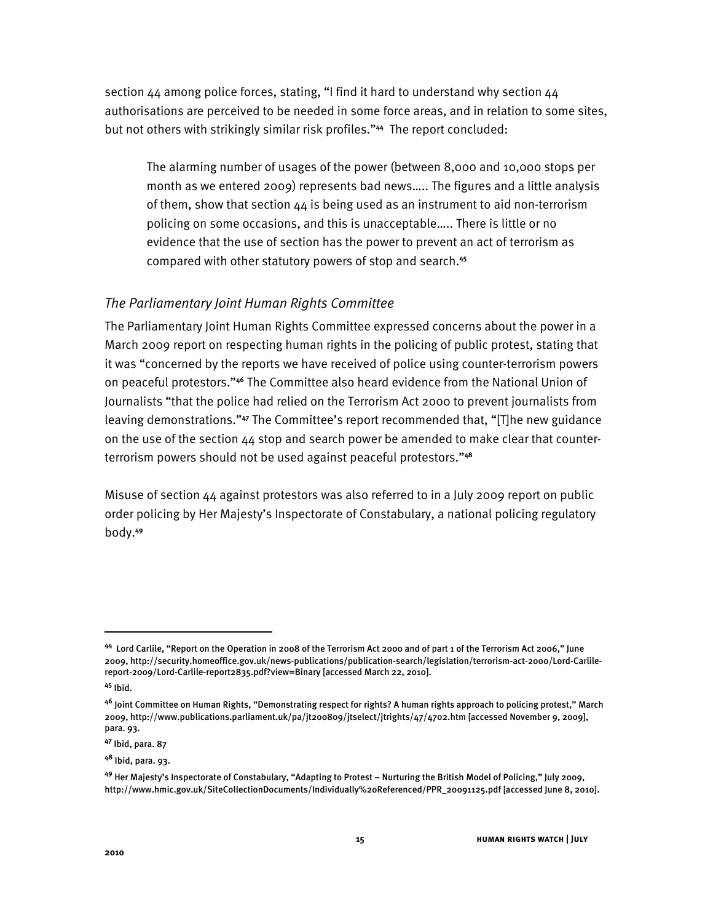section  $44$  among police forces, stating, "I find it hard to understand why section  $44$ authorisations are perceived to be needed in some force areas, and in relation to some sites, but not others with strikingly similar risk profiles."<sup>44</sup> The report concluded:

The alarming number of usages of the power (between 8,000 and 10,000 stops per month as we entered 2009) represents bad news..... The figures and a little analysis of them, show that section  $44$  is being used as an instrument to aid non-terrorism policing on some occasions, and this is unacceptable..... There is little or no evidence that the use of section has the power to prevent an act of terrorism as compared with other statutory powers of stop and search.**<sup>45</sup>**

## *The Parliamentary Joint Human Rights Committee*

The Parliamentary Joint Human Rights Committee expressed concerns about the power in a March 2009 report on respecting human rights in the policing of public protest, stating that it was "concerned by the reports we have received of police using counter-terrorism powers on peaceful protestors."<sup>46</sup> The Committee also heard evidence from the National Union of Journalists "that the police had relied on the Terrorism Act 2000 to prevent journalists from leaving demonstrations.<sup>"47</sup> The Committee's report recommended that, "[T]he new guidance on the use of the section  $44$  stop and search power be amended to make clear that counterterrorism powers should not be used against peaceful protestors."<sup>48</sup>

Misuse of section 44 against protestors was also referred to in a July 2009 report on public order policing by Her Majesty's Inspectorate of Constabulary, a national policing regulatory body.**<sup>49</sup>**

ֺ

<sup>44</sup> Lord Carlile, "Report on the Operation in 2008 of the Terrorism Act 2000 and of part 1 of the Terrorism Act 2006," June 2009, http://security.homeoffice.gov.uk/news-publications/publication-search/legislation/terrorism-act-2000/Lord-Carlilereport-2009/Lord-Carlile-report2835.pdf?view=Binary [accessed March 22, 2010].

**<sup>45</sup>** Ibid.

<sup>4&</sup>lt;sup>6</sup> Joint Committee on Human Rights, "Demonstrating respect for rights? A human rights approach to policing protest," March 2009, http://www.publications.parliament.uk/pa/jt200809/jtselect/jtrights/47/4702.htm [accessed November 9, 2009], para. 93.

**<sup>47</sup>** Ibid, para. 87

**<sup>48</sup>** Ibid, para. 93.

<sup>&</sup>lt;sup>49</sup> Her Majesty's Inspectorate of Constabulary, "Adapting to Protest – Nurturing the British Model of Policing," July 2009, http://www.hmic.gov.uk/SiteCollectionDocuments/Individually%20Referenced/PPR\_20091125.pdf [accessed June 8, 2010].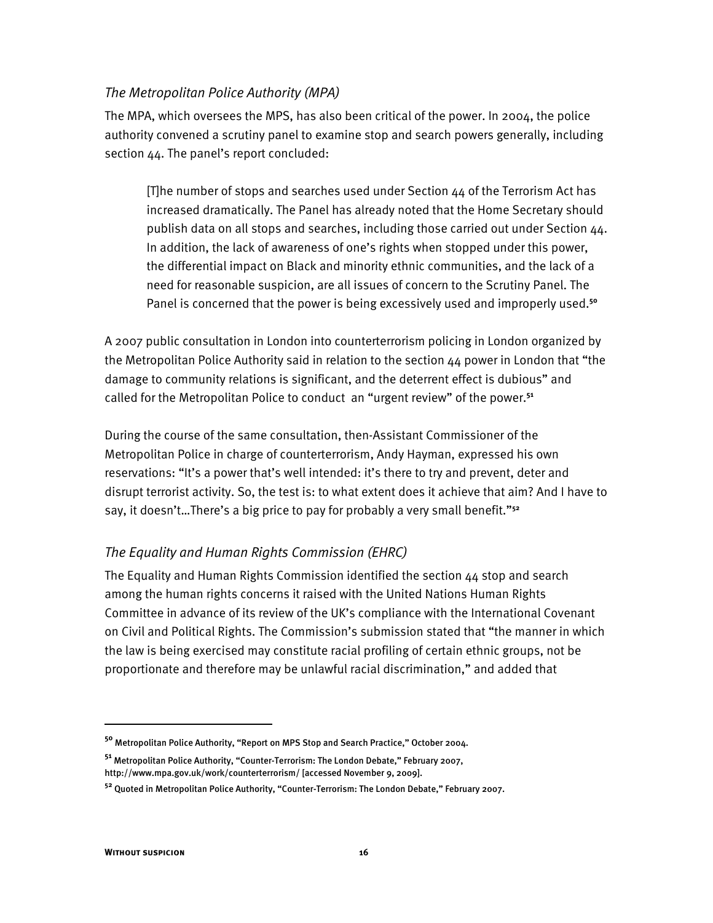#### *The Metropolitan Police Authority (MPA)*

The MPA, which oversees the MPS, has also been critical of the power. In 2004, the police authority convened a scrutiny panel to examine stop and search powers generally, including section 44. The panel's report concluded:

[T]he number of stops and searches used under Section 44 of the Terrorism Act has increased dramatically. The Panel has already noted that the Home Secretary should publish data on all stops and searches, including those carried out under Section 44. In addition, the lack of awareness of one's rights when stopped under this power, the differential impact on Black and minority ethnic communities, and the lack of a need for reasonable suspicion, are all issues of concern to the Scrutiny Panel. The Panel is concerned that the power is being excessively used and improperly used.**<sup>50</sup>**

A 2007 public consultation in London into counterterrorism policing in London organized by the Metropolitan Police Authority said in relation to the section  $44$  power in London that "the damage to community relations is significant, and the deterrent effect is dubious" and called for the Metropolitan Police to conduct an "urgent review" of the power.<sup>51</sup>

During the course of the same consultation, then-Assistant Commissioner of the Metropolitan Police in charge of counterterrorism, Andy Hayman, expressed his own reservations: "It's a power that's well intended: it's there to try and prevent, deter and disrupt terrorist activity. So, the test is: to what extent does it achieve that aim? And I have to say, it doesn't...There's a big price to pay for probably a very small benefit."<sup>52</sup>

## *The Equality and Human Rights Commission (EHRC)*

The Equality and Human Rights Commission identified the section  $44$  stop and search among the human rights concerns it raised with the United Nations Human Rights Committee in advance of its review of the UK's compliance with the International Covenant on Civil and Political Rights. The Commission's submission stated that "the manner in which the law is being exercised may constitute racial profiling of certain ethnic groups, not be proportionate and therefore may be unlawful racial discrimination," and added that

<sup>&</sup>lt;sup>50</sup> Metropolitan Police Authority, "Report on MPS Stop and Search Practice," October 2004.

<sup>&</sup>lt;sup>51</sup> Metropolitan Police Authority, "Counter-Terrorism: The London Debate," February 2007, http://www.mpa.gov.uk/work/counterterrorism/ [accessed November 9, 2009].

<sup>&</sup>lt;sup>52</sup> Quoted in Metropolitan Police Authority, "Counter-Terrorism: The London Debate," February 2007.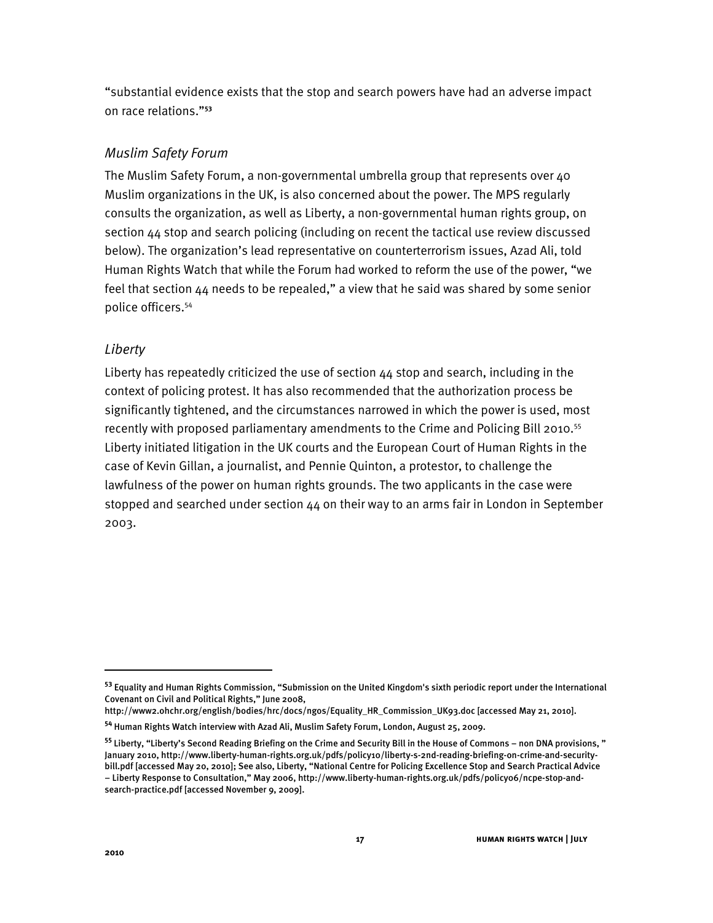"substantial evidence exists that the stop and search powers have had an adverse impact on race relations."<sup>53</sup>

## *Muslim Safety Forum*

The Muslim Safety Forum, a non-governmental umbrella group that represents over 40 Muslim organizations in the UK, is also concerned about the power. The MPS regularly consults the organization, as well as Liberty, a non-governmental human rights group, on section 44 stop and search policing (including on recent the tactical use review discussed below). The organization's lead representative on counterterrorism issues, Azad Ali, told Human Rights Watch that while the Forum had worked to reform the use of the power, "we feel that section  $44$  needs to be repealed," a view that he said was shared by some senior police officers.54

## *Liberty*

Liberty has repeatedly criticized the use of section 44 stop and search, including in the context of policing protest. It has also recommended that the authorization process be significantly tightened, and the circumstances narrowed in which the power is used, most recently with proposed parliamentary amendments to the Crime and Policing Bill 2010.<sup>55</sup> Liberty initiated litigation in the UK courts and the European Court of Human Rights in the case of Kevin Gillan, a journalist, and Pennie Quinton, a protestor, to challenge the lawfulness of the power on human rights grounds. The two applicants in the case were stopped and searched under section 44 on their way to an arms fair in London in September 2003.

**<sup>53</sup>** Equality and Human Rights Commission, "Submission on the United Kingdom's sixth periodic report under the International Covenant on Civil and Political Rights," June 2008,

http://www2.ohchr.org/english/bodies/hrc/docs/ngos/Equality\_HR\_Commission\_UK93.doc [accessed May 21, 2010].

**<sup>54</sup>** Human Rights Watch interview with Azad Ali, Muslim Safety Forum, London, August 25, 2009.

<sup>&</sup>lt;sup>55</sup> Liberty, "Liberty's Second Reading Briefing on the Crime and Security Bill in the House of Commons – non DNA provisions, " January 2010, http://www.liberty-human-rights.org.uk/pdfs/policy10/liberty-s-2nd-reading-briefing-on-crime-and-securitybill.pdf [accessed May 20, 2010]; See also, Liberty, "National Centre for Policing Excellence Stop and Search Practical Advice - Liberty Response to Consultation," May 2006, http://www.liberty-human-rights.org.uk/pdfs/policyo6/ncpe-stop-andsearch-practice.pdf [accessed November 9, 2009].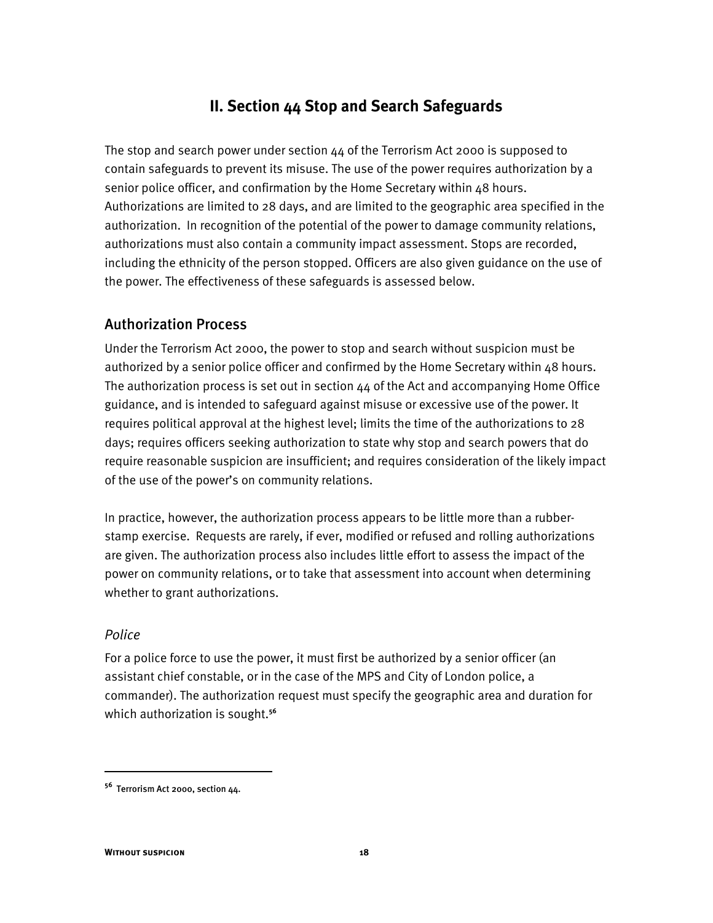## **II. Section 44 Stop and Search Safeguards**

The stop and search power under section  $44$  of the Terrorism Act 2000 is supposed to contain safeguards to prevent its misuse. The use of the power requires authorization by a senior police officer, and confirmation by the Home Secretary within 48 hours. Authorizations are limited to 28 days, and are limited to the geographic area specified in the authorization. In recognition of the potential of the power to damage community relations, authorizations must also contain a community impact assessment. Stops are recorded, including the ethnicity of the person stopped. Officers are also given guidance on the use of the power. The effectiveness of these safeguards is assessed below.

## Authorization Process

Under the Terrorism Act 2000, the power to stop and search without suspicion must be authorized by a senior police officer and confirmed by the Home Secretary within 48 hours. The authorization process is set out in section 44 of the Act and accompanying Home Office guidance, and is intended to safeguard against misuse or excessive use of the power. It requires political approval at the highest level; limits the time of the authorizations to 28 days; requires officers seeking authorization to state why stop and search powers that do require reasonable suspicion are insufficient; and requires consideration of the likely impact of the use of the power's on community relations.

In practice, however, the authorization process appears to be little more than a rubberstamp exercise. Requests are rarely, if ever, modified or refused and rolling authorizations are given. The authorization process also includes little effort to assess the impact of the power on community relations, or to take that assessment into account when determining whether to grant authorizations.

## *Police*

İ

For a police force to use the power, it must first be authorized by a senior officer (an assistant chief constable, or in the case of the MPS and City of London police, a commander). The authorization request must specify the geographic area and duration for which authorization is sought.**<sup>56</sup>**

**<sup>56</sup>** Terrorism Act 2000, section 44.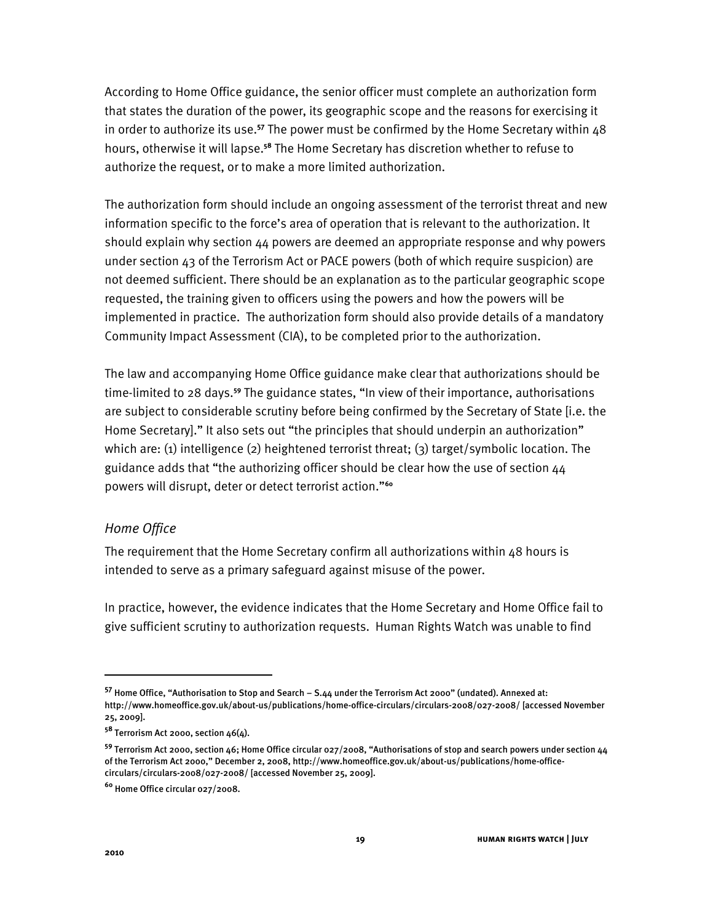According to Home Office guidance, the senior officer must complete an authorization form that states the duration of the power, its geographic scope and the reasons for exercising it in order to authorize its use.**<sup>57</sup>** The power must be confirmed by the Home Secretary within 48 hours, otherwise it will lapse.**<sup>58</sup>** The Home Secretary has discretion whether to refuse to authorize the request, or to make a more limited authorization.

The authorization form should include an ongoing assessment of the terrorist threat and new information specific to the force's area of operation that is relevant to the authorization. It should explain why section 44 powers are deemed an appropriate response and why powers under section 43 of the Terrorism Act or PACE powers (both of which require suspicion) are not deemed sufficient. There should be an explanation as to the particular geographic scope requested, the training given to officers using the powers and how the powers will be implemented in practice. The authorization form should also provide details of a mandatory Community Impact Assessment (CIA), to be completed prior to the authorization.

The law and accompanying Home Office guidance make clear that authorizations should be time-limited to 28 days.**<sup>59</sup>** The guidance states, QIn view of their importance, authorisations are subject to considerable scrutiny before being confirmed by the Secretary of State [i.e. the Home Secretary]." It also sets out "the principles that should underpin an authorization" which are: (1) intelligence (2) heightened terrorist threat; (3) target/symbolic location. The guidance adds that "the authorizing officer should be clear how the use of section 44 powers will disrupt, deter or detect terrorist action."<sup>60</sup>

## *Home Office*

The requirement that the Home Secretary confirm all authorizations within 48 hours is intended to serve as a primary safeguard against misuse of the power.

In practice, however, the evidence indicates that the Home Secretary and Home Office fail to give sufficient scrutiny to authorization requests. Human Rights Watch was unable to find

<sup>57</sup> Home Office, "Authorisation to Stop and Search - S.44 under the Terrorism Act 2000" (undated). Annexed at: http://www.homeoffice.gov.uk/about-us/publications/home-office-circulars/circulars-2008/027-2008/ [accessed November 25, 2009].

**<sup>58</sup>** Terrorism Act 2000, section 46(4).

**<sup>59</sup>** Terrorism Act 2000, section 46; Home Office circular 027/2008, "Authorisations of stop and search powers under section 44 of the Terrorism Act 2000," December 2, 2008, http://www.homeoffice.gov.uk/about-us/publications/home-officecirculars/circulars-2008/027-2008/ [accessed November 25, 2009].

**<sup>60</sup>** Home Office circular 027/2008.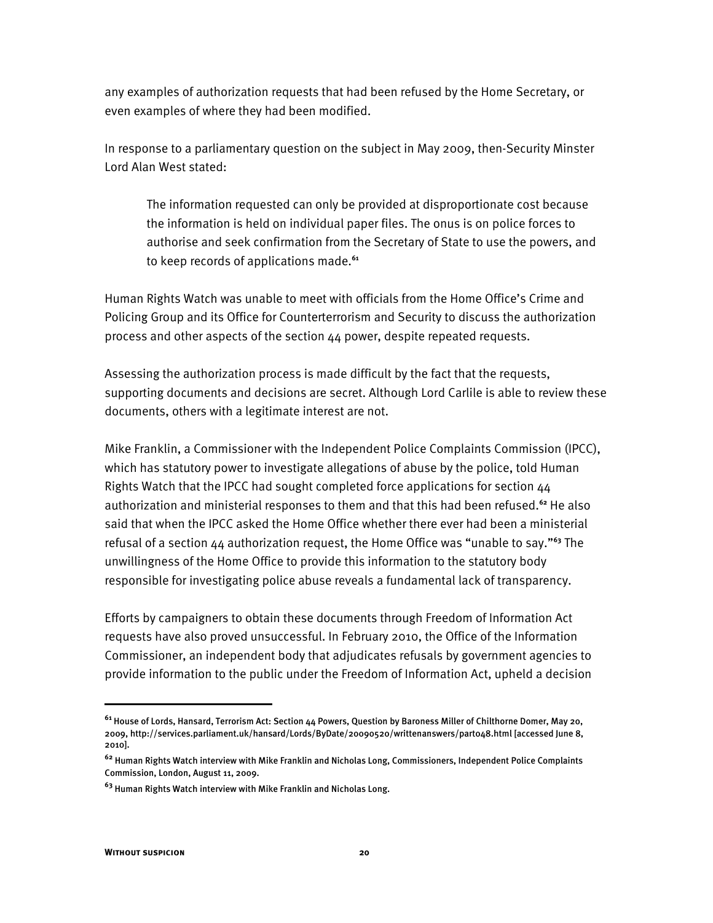any examples of authorization requests that had been refused by the Home Secretary, or even examples of where they had been modified.

In response to a parliamentary question on the subject in May 2009, then-Security Minster Lord Alan West stated:

The information requested can only be provided at disproportionate cost because the information is held on individual paper files. The onus is on police forces to authorise and seek confirmation from the Secretary of State to use the powers, and to keep records of applications made.**<sup>61</sup>**

Human Rights Watch was unable to meet with officials from the Home Office's Crime and Policing Group and its Office for Counterterrorism and Security to discuss the authorization process and other aspects of the section 44 power, despite repeated requests.

Assessing the authorization process is made difficult by the fact that the requests, supporting documents and decisions are secret. Although Lord Carlile is able to review these documents, others with a legitimate interest are not.

Mike Franklin, a Commissioner with the Independent Police Complaints Commission (IPCC), which has statutory power to investigate allegations of abuse by the police, told Human Rights Watch that the IPCC had sought completed force applications for section 44 authorization and ministerial responses to them and that this had been refused.**<sup>62</sup>** He also said that when the IPCC asked the Home Office whether there ever had been a ministerial refusal of a section 44 authorization request, the Home Office was "unable to say."<sup>63</sup> The unwillingness of the Home Office to provide this information to the statutory body responsible for investigating police abuse reveals a fundamental lack of transparency.

Efforts by campaigners to obtain these documents through Freedom of Information Act requests have also proved unsuccessful. In February 2010, the Office of the Information Commissioner, an independent body that adjudicates refusals by government agencies to provide information to the public under the Freedom of Information Act, upheld a decision

**<sup>61</sup>** House of Lords, Hansard, Terrorism Act: Section 44 Powers, Question by Baroness Miller of Chilthorne Domer, May 20, 2009, http://services.parliament.uk/hansard/Lords/ByDate/20090520/writtenanswers/part048.html [accessed June 8, 2010].

**<sup>62</sup>** Human Rights Watch interview with Mike Franklin and Nicholas Long, Commissioners, Independent Police Complaints Commission, London, August 11, 2009.

**<sup>63</sup>** Human Rights Watch interview with Mike Franklin and Nicholas Long.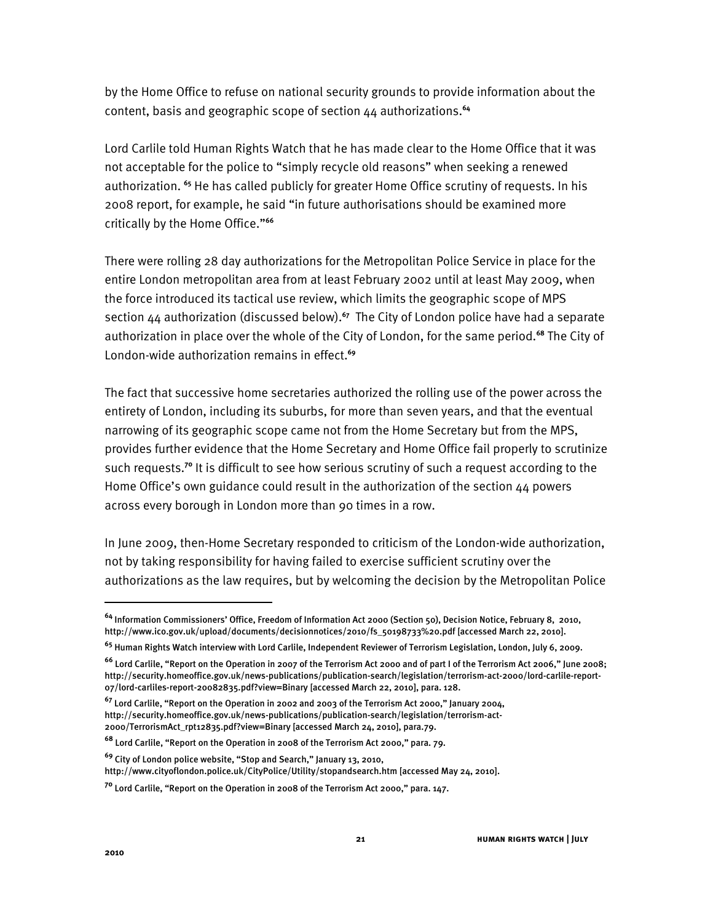by the Home Office to refuse on national security grounds to provide information about the content, basis and geographic scope of section 44 authorizations.**<sup>64</sup>**

Lord Carlile told Human Rights Watch that he has made clear to the Home Office that it was not acceptable for the police to "simply recycle old reasons" when seeking a renewed authorization. **<sup>65</sup>** He has called publicly for greater Home Office scrutiny of requests. In his 2008 report, for example, he said "in future authorisations should be examined more critically by the Home Office."<sup>66</sup>

There were rolling 28 day authorizations for the Metropolitan Police Service in place for the entire London metropolitan area from at least February 2002 until at least May 2009, when the force introduced its tactical use review, which limits the geographic scope of MPS section 44 authorization (discussed below).**<sup>67</sup>** The City of London police have had a separate authorization in place over the whole of the City of London, for the same period.**<sup>68</sup>** The City of London-wide authorization remains in effect.**<sup>69</sup>**

The fact that successive home secretaries authorized the rolling use of the power across the entirety of London, including its suburbs, for more than seven years, and that the eventual narrowing of its geographic scope came not from the Home Secretary but from the MPS, provides further evidence that the Home Secretary and Home Office fail properly to scrutinize such requests.**<sup>70</sup>** It is difficult to see how serious scrutiny of such a request according to the Home Office's own guidance could result in the authorization of the section 44 powers across every borough in London more than 90 times in a row.

In June 2009, then-Home Secretary responded to criticism of the London-wide authorization, not by taking responsibility for having failed to exercise sufficient scrutiny over the authorizations as the law requires, but by welcoming the decision by the Metropolitan Police

**<sup>64</sup>** Information Commissionersp Office, Freedom of Information Act 2000 (Section 50), Decision Notice, February 8, 2010, http://www.ico.gov.uk/upload/documents/decisionnotices/2010/fs\_50198733%20.pdf [accessed March 22, 2010].

**<sup>65</sup>** Human Rights Watch interview with Lord Carlile, Independent Reviewer of Terrorism Legislation, London, July 6, 2009.

<sup>&</sup>lt;sup>66</sup> Lord Carlile, "Report on the Operation in 2007 of the Terrorism Act 2000 and of part I of the Terrorism Act 2006," June 2008; http://security.homeoffice.gov.uk/news-publications/publication-search/legislation/terrorism-act-2000/lord-carlile-report-07/lord-carliles-report-20082835.pdf?view=Binary [accessed March 22, 2010], para. 128.

<sup>&</sup>lt;sup>67</sup> Lord Carlile, "Report on the Operation in 2002 and 2003 of the Terrorism Act 2000," January 2004, http://security.homeoffice.gov.uk/news-publications/publication-search/legislation/terrorism-act-2000/TerrorismAct\_rpt12835.pdf?view=Binary [accessed March 24, 2010], para.79.

<sup>&</sup>lt;sup>68</sup> Lord Carlile, "Report on the Operation in 2008 of the Terrorism Act 2000," para. 79.

<sup>&</sup>lt;sup>69</sup> City of London police website, "Stop and Search," January 13, 2010,

http://www.cityoflondon.police.uk/CityPolice/Utility/stopandsearch.htm [accessed May 24, 2010].

<sup>&</sup>lt;sup>70</sup> Lord Carlile, "Report on the Operation in 2008 of the Terrorism Act 2000," para. 147.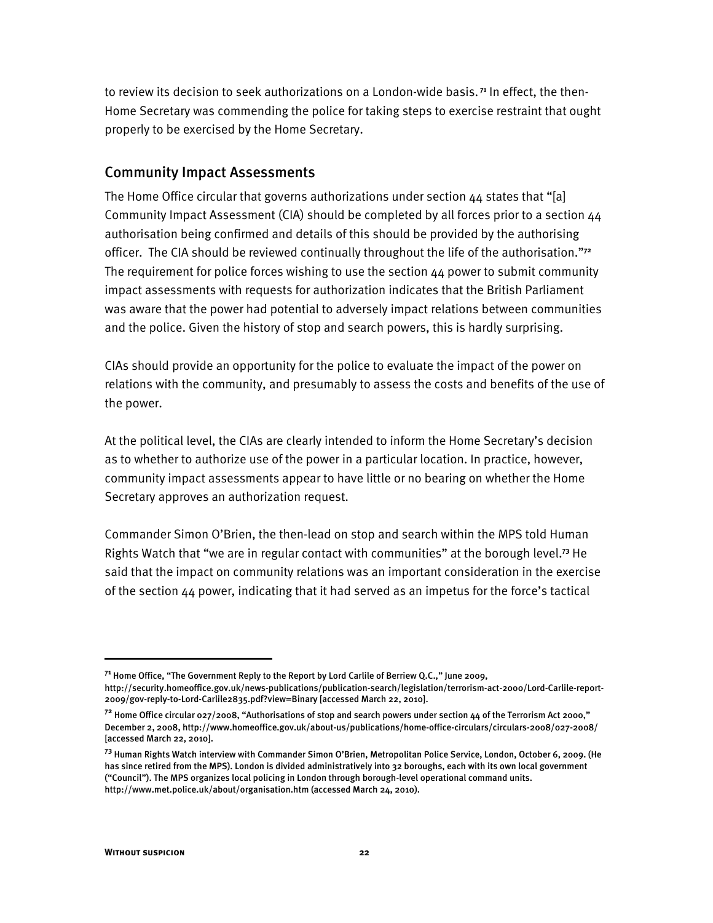to review its decision to seek authorizations on a London-wide basis. **71** In effect, the then-Home Secretary was commending the police for taking steps to exercise restraint that ought properly to be exercised by the Home Secretary.

#### Community Impact Assessments

The Home Office circular that governs authorizations under section  $44$  states that "[a] Community Impact Assessment (CIA) should be completed by all forces prior to a section 44 authorisation being confirmed and details of this should be provided by the authorising officer. The CIA should be reviewed continually throughout the life of the authorisation.<sup>772</sup> The requirement for police forces wishing to use the section 44 power to submit community impact assessments with requests for authorization indicates that the British Parliament was aware that the power had potential to adversely impact relations between communities and the police. Given the history of stop and search powers, this is hardly surprising.

CIAs should provide an opportunity for the police to evaluate the impact of the power on relations with the community, and presumably to assess the costs and benefits of the use of the power.

At the political level, the CIAs are clearly intended to inform the Home Secretary's decision as to whether to authorize use of the power in a particular location. In practice, however, community impact assessments appear to have little or no bearing on whether the Home Secretary approves an authorization request.

Commander Simon O'Brien, the then-lead on stop and search within the MPS told Human Rights Watch that "we are in regular contact with communities" at the borough level.<sup>73</sup> He said that the impact on community relations was an important consideration in the exercise of the section  $44$  power, indicating that it had served as an impetus for the force's tactical

<sup>&</sup>lt;sup>71</sup> Home Office, "The Government Reply to the Report by Lord Carlile of Berriew Q.C.," June 2009, http://security.homeoffice.gov.uk/news-publications/publication-search/legislation/terrorism-act-2000/Lord-Carlile-report-2009/gov-reply-to-Lord-Carlile2835.pdf?view=Binary [accessed March 22, 2010].

<sup>&</sup>lt;sup>72</sup> Home Office circular 027/2008, "Authorisations of stop and search powers under section 44 of the Terrorism Act 2000," December 2, 2008, http://www.homeoffice.gov.uk/about-us/publications/home-office-circulars/circulars-2008/027-2008/ [accessed March 22, 2010].

<sup>&</sup>lt;sup>73</sup> Human Rights Watch interview with Commander Simon O'Brien, Metropolitan Police Service, London, October 6, 2009. (He has since retired from the MPS). London is divided administratively into 32 boroughs, each with its own local government ("Council"). The MPS organizes local policing in London through borough-level operational command units. http://www.met.police.uk/about/organisation.htm (accessed March 24, 2010).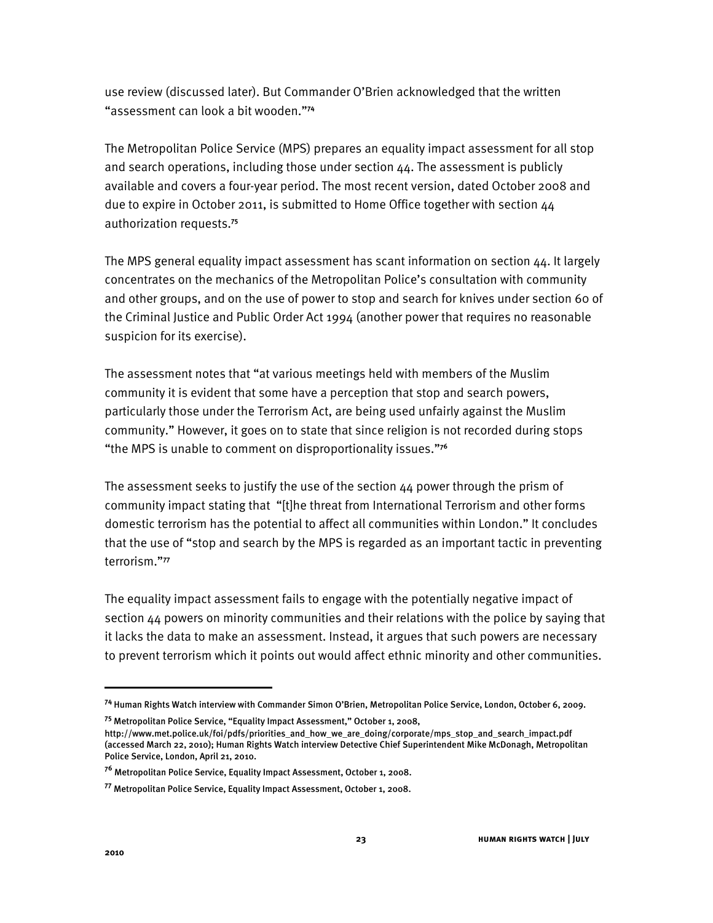use review (discussed later). But Commander O'Brien acknowledged that the written "assessment can look a bit wooden."<sup>74</sup>

The Metropolitan Police Service (MPS) prepares an equality impact assessment for all stop and search operations, including those under section 44. The assessment is publicly available and covers a four-year period. The most recent version, dated October 2008 and due to expire in October 2011, is submitted to Home Office together with section 44 authorization requests.**<sup>75</sup>**

The MPS general equality impact assessment has scant information on section 44. It largely concentrates on the mechanics of the Metropolitan Police's consultation with community and other groups, and on the use of power to stop and search for knives under section 60 of the Criminal Justice and Public Order Act 1994 (another power that requires no reasonable suspicion for its exercise).

The assessment notes that "at various meetings held with members of the Muslim community it is evident that some have a perception that stop and search powers, particularly those under the Terrorism Act, are being used unfairly against the Muslim community." However, it goes on to state that since religion is not recorded during stops <sup>\*</sup>the MPS is unable to comment on disproportionality issues."<sup>76</sup>

The assessment seeks to justify the use of the section 44 power through the prism of community impact stating that "[t]he threat from International Terrorism and other forms domestic terrorism has the potential to affect all communities within London." It concludes that the use of "stop and search by the MPS is regarded as an important tactic in preventing terrorism."77

The equality impact assessment fails to engage with the potentially negative impact of section 44 powers on minority communities and their relations with the police by saying that it lacks the data to make an assessment. Instead, it argues that such powers are necessary to prevent terrorism which it points out would affect ethnic minority and other communities.

1

<sup>&</sup>lt;sup>74</sup> Human Rights Watch interview with Commander Simon O'Brien, Metropolitan Police Service, London, October 6, 2009.

<sup>&</sup>lt;sup>75</sup> Metropolitan Police Service, "Equality Impact Assessment," October 1, 2008,

http://www.met.police.uk/foi/pdfs/priorities\_and\_how\_we\_are\_doing/corporate/mps\_stop\_and\_search\_impact.pdf (accessed March 22, 2010); Human Rights Watch interview Detective Chief Superintendent Mike McDonagh, Metropolitan Police Service, London, April 21, 2010.

**<sup>76</sup>** Metropolitan Police Service, Equality Impact Assessment, October 1, 2008.

**<sup>77</sup>** Metropolitan Police Service, Equality Impact Assessment, October 1, 2008.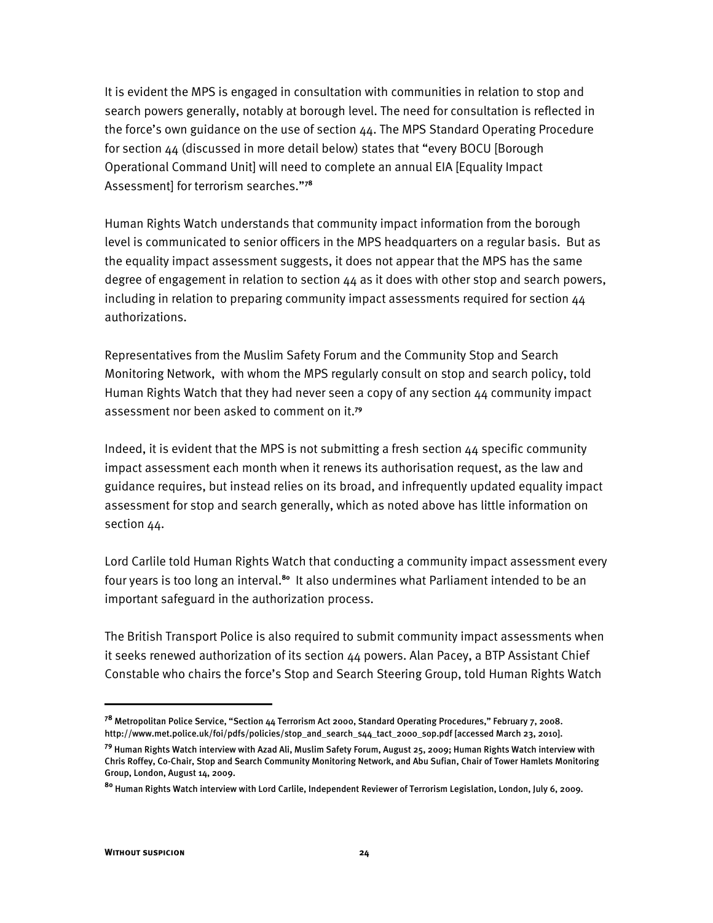It is evident the MPS is engaged in consultation with communities in relation to stop and search powers generally, notably at borough level. The need for consultation is reflected in the force's own guidance on the use of section  $44$ . The MPS Standard Operating Procedure for section  $44$  (discussed in more detail below) states that "every BOCU [Borough Operational Command Unit] will need to complete an annual EIA [Equality Impact Assessment] for terrorism searches."78

Human Rights Watch understands that community impact information from the borough level is communicated to senior officers in the MPS headquarters on a regular basis. But as the equality impact assessment suggests, it does not appear that the MPS has the same degree of engagement in relation to section 44 as it does with other stop and search powers, including in relation to preparing community impact assessments required for section 44 authorizations.

Representatives from the Muslim Safety Forum and the Community Stop and Search Monitoring Network, with whom the MPS regularly consult on stop and search policy, told Human Rights Watch that they had never seen a copy of any section 44 community impact assessment nor been asked to comment on it.**<sup>79</sup>**

Indeed, it is evident that the MPS is not submitting a fresh section 44 specific community impact assessment each month when it renews its authorisation request, as the law and guidance requires, but instead relies on its broad, and infrequently updated equality impact assessment for stop and search generally, which as noted above has little information on section 44.

Lord Carlile told Human Rights Watch that conducting a community impact assessment every four years is too long an interval.**<sup>80</sup>** It also undermines what Parliament intended to be an important safeguard in the authorization process.

The British Transport Police is also required to submit community impact assessments when it seeks renewed authorization of its section 44 powers. Alan Pacey, a BTP Assistant Chief Constable who chairs the force's Stop and Search Steering Group, told Human Rights Watch

<sup>&</sup>lt;sup>78</sup> Metropolitan Police Service, "Section 44 Terrorism Act 2000, Standard Operating Procedures," February 7, 2008. http://www.met.police.uk/foi/pdfs/policies/stop\_and\_search\_s44\_tact\_2000\_sop.pdf [accessed March 23, 2010].

**<sup>79</sup>** Human Rights Watch interview with Azad Ali, Muslim Safety Forum, August 25, 2009; Human Rights Watch interview with Chris Roffey, Co-Chair, Stop and Search Community Monitoring Network, and Abu Sufian, Chair of Tower Hamlets Monitoring Group, London, August 14, 2009.

**<sup>80</sup>** Human Rights Watch interview with Lord Carlile, Independent Reviewer of Terrorism Legislation, London, July 6, 2009.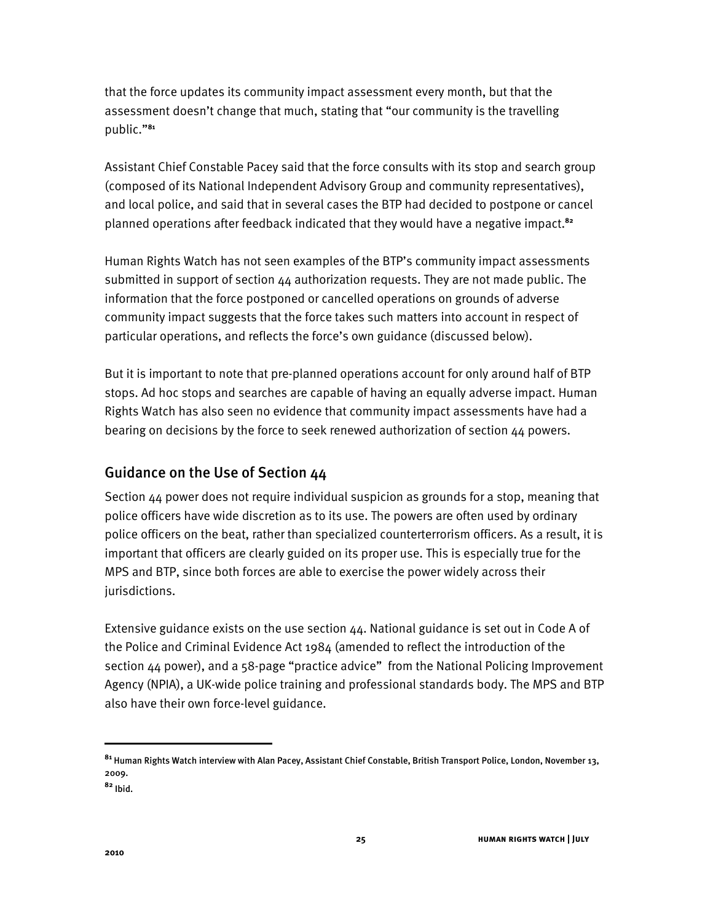that the force updates its community impact assessment every month, but that the assessment doesn't change that much, stating that "our community is the travelling public."<sup>81</sup>

Assistant Chief Constable Pacey said that the force consults with its stop and search group (composed of its National Independent Advisory Group and community representatives), and local police, and said that in several cases the BTP had decided to postpone or cancel planned operations after feedback indicated that they would have a negative impact.**<sup>82</sup>**

Human Rights Watch has not seen examples of the BTP's community impact assessments submitted in support of section 44 authorization requests. They are not made public. The information that the force postponed or cancelled operations on grounds of adverse community impact suggests that the force takes such matters into account in respect of particular operations, and reflects the force's own guidance (discussed below).

But it is important to note that pre-planned operations account for only around half of BTP stops. Ad hoc stops and searches are capable of having an equally adverse impact. Human Rights Watch has also seen no evidence that community impact assessments have had a bearing on decisions by the force to seek renewed authorization of section 44 powers.

## Guidance on the Use of Section 44

Section 44 power does not require individual suspicion as grounds for a stop, meaning that police officers have wide discretion as to its use. The powers are often used by ordinary police officers on the beat, rather than specialized counterterrorism officers. As a result, it is important that officers are clearly guided on its proper use. This is especially true for the MPS and BTP, since both forces are able to exercise the power widely across their jurisdictions.

Extensive guidance exists on the use section 44. National guidance is set out in Code A of the Police and Criminal Evidence Act 1984 (amended to reflect the introduction of the section  $44$  power), and a 58-page "practice advice" from the National Policing Improvement Agency (NPIA), a UK-wide police training and professional standards body. The MPS and BTP also have their own force-level guidance.

 $\overline{a}$ 

**<sup>81</sup>** Human Rights Watch interview with Alan Pacey, Assistant Chief Constable, British Transport Police, London, November 13, 2009.

**<sup>82</sup>** Ibid.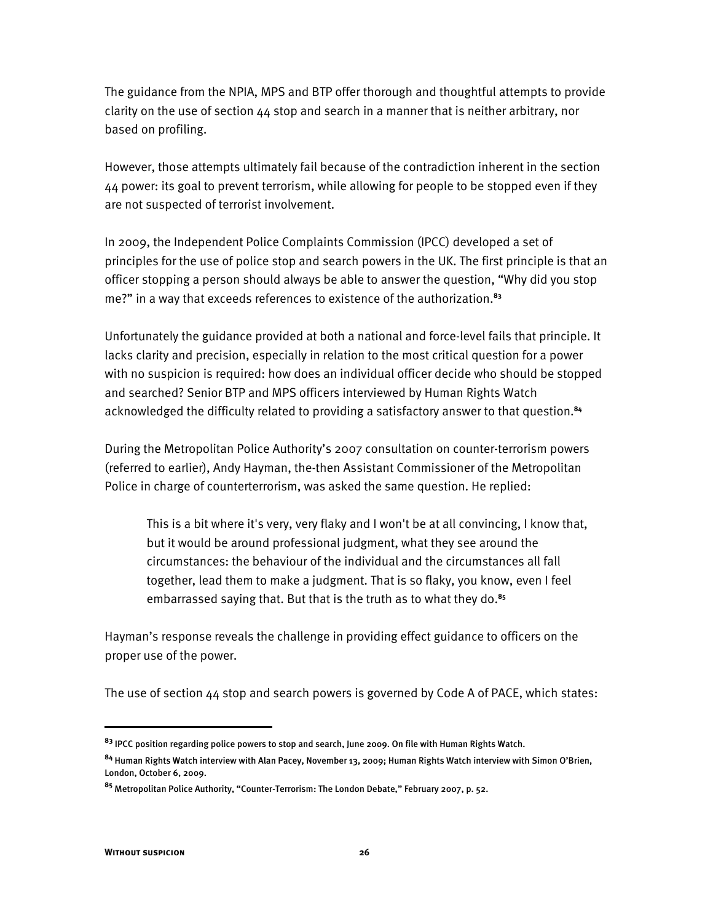The guidance from the NPIA, MPS and BTP offer thorough and thoughtful attempts to provide clarity on the use of section 44 stop and search in a manner that is neither arbitrary, nor based on profiling.

However, those attempts ultimately fail because of the contradiction inherent in the section 44 power: its goal to prevent terrorism, while allowing for people to be stopped even if they are not suspected of terrorist involvement.

In 2009, the Independent Police Complaints Commission (IPCC) developed a set of principles for the use of police stop and search powers in the UK. The first principle is that an officer stopping a person should always be able to answer the question, "Why did you stop me?" in a way that exceeds references to existence of the authorization.<sup>83</sup>

Unfortunately the guidance provided at both a national and force-level fails that principle. It lacks clarity and precision, especially in relation to the most critical question for a power with no suspicion is required: how does an individual officer decide who should be stopped and searched? Senior BTP and MPS officers interviewed by Human Rights Watch acknowledged the difficulty related to providing a satisfactory answer to that question.**<sup>84</sup>**

During the Metropolitan Police Authority's 2007 consultation on counter-terrorism powers (referred to earlier), Andy Hayman, the-then Assistant Commissioner of the Metropolitan Police in charge of counterterrorism, was asked the same question. He replied:

This is a bit where it's very, very flaky and I won't be at all convincing, I know that, but it would be around professional judgment, what they see around the circumstances: the behaviour of the individual and the circumstances all fall together, lead them to make a judgment. That is so flaky, you know, even I feel embarrassed saying that. But that is the truth as to what they do.**<sup>85</sup>**

Hayman's response reveals the challenge in providing effect guidance to officers on the proper use of the power.

The use of section 44 stop and search powers is governed by Code A of PACE, which states:

**<sup>83</sup>** IPCC position regarding police powers to stop and search, June 2009. On file with Human Rights Watch.

<sup>&</sup>lt;sup>84</sup> Human Rights Watch interview with Alan Pacey, November 13, 2009; Human Rights Watch interview with Simon O'Brien, London, October 6, 2009.

<sup>&</sup>lt;sup>85</sup> Metropolitan Police Authority, "Counter-Terrorism: The London Debate," February 2007, p. 52.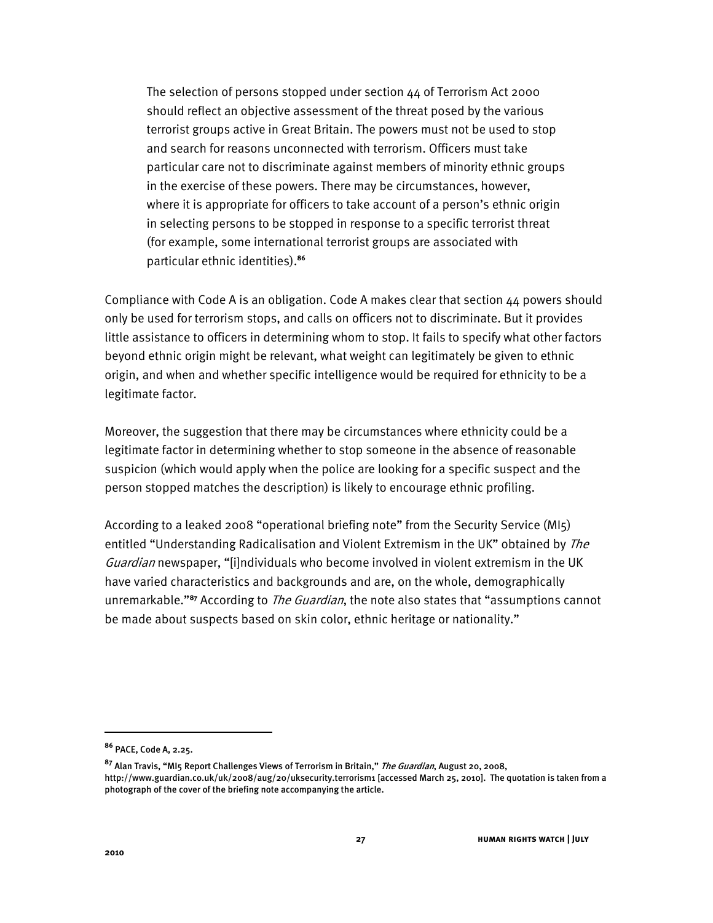The selection of persons stopped under section 44 of Terrorism Act 2000 should reflect an objective assessment of the threat posed by the various terrorist groups active in Great Britain. The powers must not be used to stop and search for reasons unconnected with terrorism. Officers must take particular care not to discriminate against members of minority ethnic groups in the exercise of these powers. There may be circumstances, however, where it is appropriate for officers to take account of a person's ethnic origin in selecting persons to be stopped in response to a specific terrorist threat (for example, some international terrorist groups are associated with particular ethnic identities).**<sup>86</sup>**

Compliance with Code A is an obligation. Code A makes clear that section 44 powers should only be used for terrorism stops, and calls on officers not to discriminate. But it provides little assistance to officers in determining whom to stop. It fails to specify what other factors beyond ethnic origin might be relevant, what weight can legitimately be given to ethnic origin, and when and whether specific intelligence would be required for ethnicity to be a legitimate factor.

Moreover, the suggestion that there may be circumstances where ethnicity could be a legitimate factor in determining whether to stop someone in the absence of reasonable suspicion (which would apply when the police are looking for a specific suspect and the person stopped matches the description) is likely to encourage ethnic profiling.

According to a leaked 2008 "operational briefing note" from the Security Service (MI5) entitled "Understanding Radicalisation and Violent Extremism in the UK" obtained by The Guardian newspaper, "[i]ndividuals who become involved in violent extremism in the UK have varied characteristics and backgrounds and are, on the whole, demographically unremarkable.<sup>887</sup> According to *The Guardian*, the note also states that "assumptions cannot be made about suspects based on skin color, ethnic heritage or nationality."

**<sup>86</sup>** PACE, Code A, 2.25.

<sup>&</sup>lt;sup>87</sup> Alan Travis, "MI5 Report Challenges Views of Terrorism in Britain," *The Guardian*, August 20, 2008, http://www.guardian.co.uk/uk/2008/aug/20/uksecurity.terrorism1 [accessed March 25, 2010]. The quotation is taken from a photograph of the cover of the briefing note accompanying the article.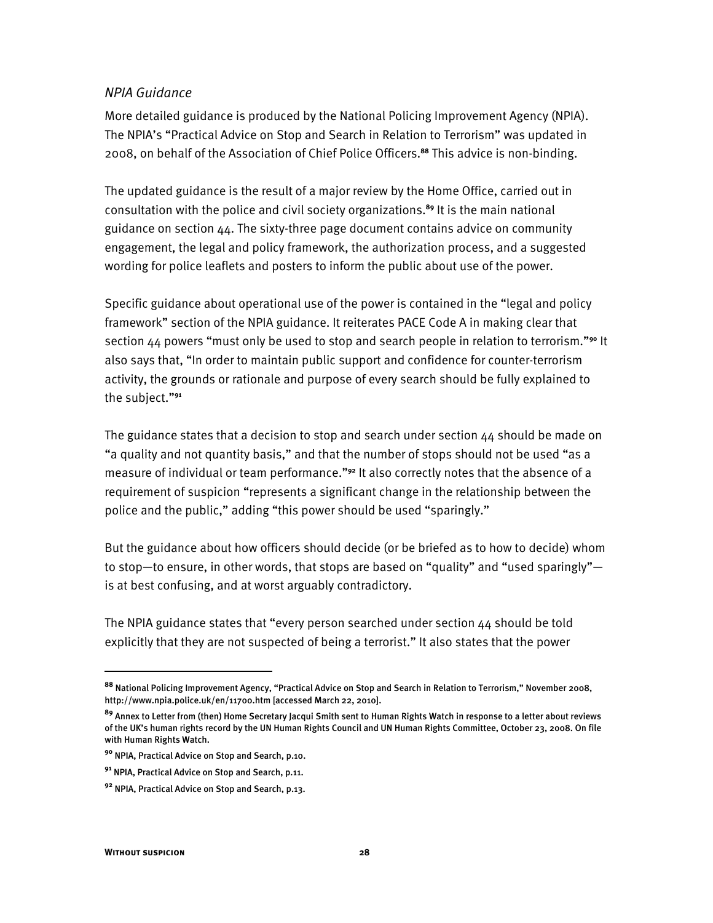#### *NPIA Guidance*

More detailed guidance is produced by the National Policing Improvement Agency (NPIA). The NPIA's "Practical Advice on Stop and Search in Relation to Terrorism" was updated in 2008, on behalf of the Association of Chief Police Officers.**<sup>88</sup>** This advice is non-binding.

The updated guidance is the result of a major review by the Home Office, carried out in consultation with the police and civil society organizations.**<sup>89</sup>** It is the main national guidance on section 44. The sixty-three page document contains advice on community engagement, the legal and policy framework, the authorization process, and a suggested wording for police leaflets and posters to inform the public about use of the power.

Specific guidance about operational use of the power is contained in the "legal and policy framework" section of the NPIA guidance. It reiterates PACE Code A in making clear that section 44 powers "must only be used to stop and search people in relation to terrorism."<sup>90</sup> It also says that, "In order to maintain public support and confidence for counter-terrorism activity, the grounds or rationale and purpose of every search should be fully explained to the subject."<sup>91</sup>

The guidance states that a decision to stop and search under section 44 should be made on "a quality and not quantity basis," and that the number of stops should not be used "as a measure of individual or team performance.<sup>"92</sup> It also correctly notes that the absence of a requirement of suspicion "represents a significant change in the relationship between the police and the public," adding "this power should be used "sparingly."

But the guidance about how officers should decide (or be briefed as to how to decide) whom to stop—to ensure, in other words, that stops are based on "quality" and "used sparingly" is at best confusing, and at worst arguably contradictory.

The NPIA guidance states that "every person searched under section  $44$  should be told explicitly that they are not suspected of being a terrorist." It also states that the power

<sup>&</sup>lt;sup>88</sup> National Policing Improvement Agency, "Practical Advice on Stop and Search in Relation to Terrorism," November 2008, http://www.npia.police.uk/en/11700.htm [accessed March 22, 2010].

**<sup>89</sup>** Annex to Letter from (then) Home Secretary Jacqui Smith sent to Human Rights Watch in response to a letter about reviews of the UK's human rights record by the UN Human Rights Council and UN Human Rights Committee, October 23, 2008. On file with Human Rights Watch.

**<sup>90</sup>** NPIA, Practical Advice on Stop and Search, p.10.

**<sup>91</sup>** NPIA, Practical Advice on Stop and Search, p.11.

**<sup>92</sup>** NPIA, Practical Advice on Stop and Search, p.13.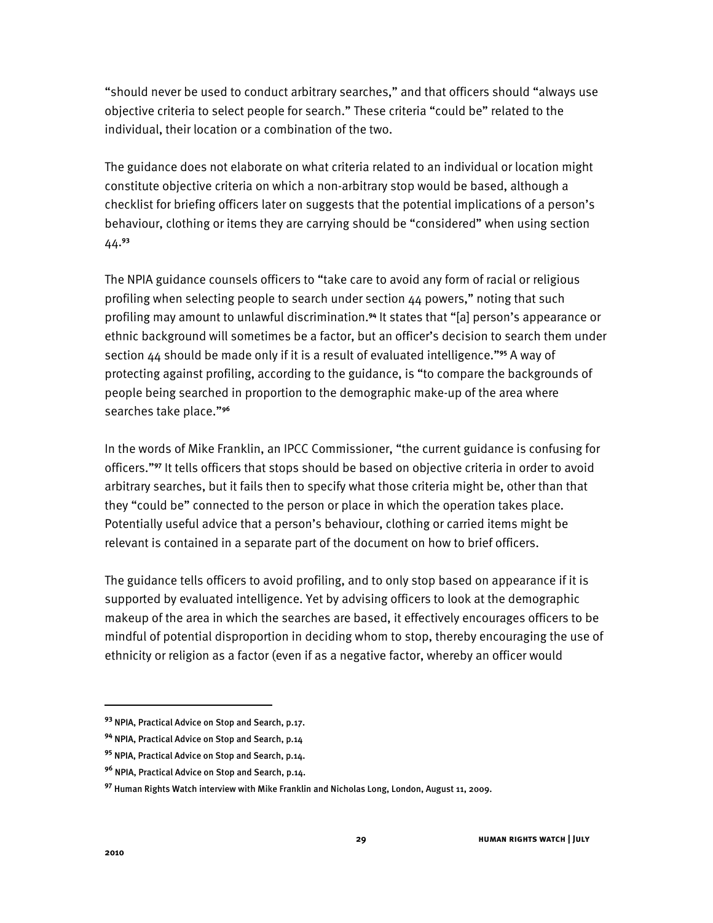"should never be used to conduct arbitrary searches," and that officers should "always use objective criteria to select people for search." These criteria "could be" related to the individual, their location or a combination of the two.

The guidance does not elaborate on what criteria related to an individual or location might constitute objective criteria on which a non-arbitrary stop would be based, although a checklist for briefing officers later on suggests that the potential implications of a person's behaviour, clothing or items they are carrying should be "considered" when using section 44.**<sup>93</sup>**

The NPIA guidance counsels officers to "take care to avoid any form of racial or religious profiling when selecting people to search under section 44 powers," noting that such profiling may amount to unlawful discrimination.<sup>94</sup> It states that "[a] person's appearance or ethnic background will sometimes be a factor, but an officer's decision to search them under section 44 should be made only if it is a result of evaluated intelligence."<sup>95</sup> A way of protecting against profiling, according to the guidance, is "to compare the backgrounds of people being searched in proportion to the demographic make-up of the area where searches take place."<sup>96</sup>

In the words of Mike Franklin, an IPCC Commissioner, "the current guidance is confusing for officers."<sup>97</sup> It tells officers that stops should be based on objective criteria in order to avoid arbitrary searches, but it fails then to specify what those criteria might be, other than that they "could be" connected to the person or place in which the operation takes place. Potentially useful advice that a person's behaviour, clothing or carried items might be relevant is contained in a separate part of the document on how to brief officers.

The guidance tells officers to avoid profiling, and to only stop based on appearance if it is supported by evaluated intelligence. Yet by advising officers to look at the demographic makeup of the area in which the searches are based, it effectively encourages officers to be mindful of potential disproportion in deciding whom to stop, thereby encouraging the use of ethnicity or religion as a factor (even if as a negative factor, whereby an officer would

**<sup>93</sup>** NPIA, Practical Advice on Stop and Search, p.17.

**<sup>94</sup>** NPIA, Practical Advice on Stop and Search, p.14

**<sup>95</sup>** NPIA, Practical Advice on Stop and Search, p.14.

**<sup>96</sup>** NPIA, Practical Advice on Stop and Search, p.14.

**<sup>97</sup>** Human Rights Watch interview with Mike Franklin and Nicholas Long, London, August 11, 2009.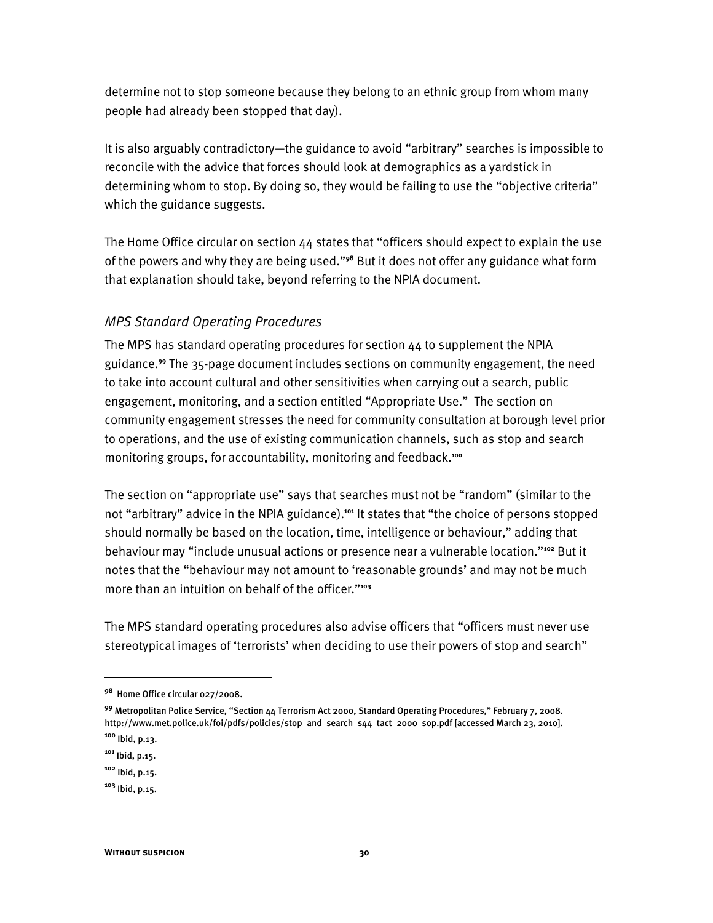determine not to stop someone because they belong to an ethnic group from whom many people had already been stopped that day).

It is also arguably contradictory—the guidance to avoid "arbitrary" searches is impossible to reconcile with the advice that forces should look at demographics as a yardstick in determining whom to stop. By doing so, they would be failing to use the "objective criteria" which the guidance suggests.

The Home Office circular on section  $44$  states that "officers should expect to explain the use of the powers and why they are being used."<sup>98</sup> But it does not offer any guidance what form that explanation should take, beyond referring to the NPIA document.

#### *MPS Standard Operating Procedures*

The MPS has standard operating procedures for section 44 to supplement the NPIA guidance.**<sup>99</sup>** The 35-page document includes sections on community engagement, the need to take into account cultural and other sensitivities when carrying out a search, public engagement, monitoring, and a section entitled "Appropriate Use." The section on community engagement stresses the need for community consultation at borough level prior to operations, and the use of existing communication channels, such as stop and search monitoring groups, for accountability, monitoring and feedback.**<sup>100</sup>**

The section on "appropriate use" says that searches must not be "random" (similar to the not "arbitrary" advice in the NPIA guidance).<sup>101</sup> It states that "the choice of persons stopped should normally be based on the location, time, intelligence or behaviour," adding that behaviour may "include unusual actions or presence near a vulnerable location."<sup>102</sup> But it notes that the "behaviour may not amount to 'reasonable grounds' and may not be much more than an intuition on behalf of the officer."<sup>103</sup>

The MPS standard operating procedures also advise officers that "officers must never use stereotypical images of 'terrorists' when deciding to use their powers of stop and search"

**<sup>98</sup>** Home Office circular 027/2008.

<sup>&</sup>lt;sup>99</sup> Metropolitan Police Service, "Section 44 Terrorism Act 2000, Standard Operating Procedures," February 7, 2008. http://www.met.police.uk/foi/pdfs/policies/stop\_and\_search\_s44\_tact\_2000\_sop.pdf [accessed March 23, 2010]. **<sup>100</sup>** Ibid, p.13.

**<sup>101</sup>** Ibid, p.15.

**<sup>102</sup>** Ibid, p.15.

**<sup>103</sup>** Ibid, p.15.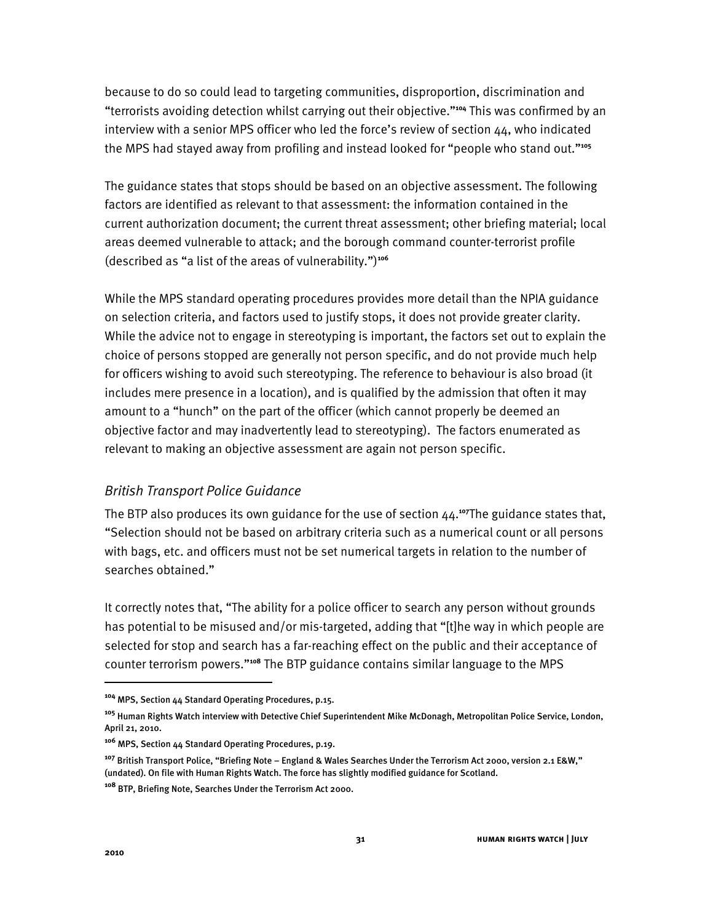because to do so could lead to targeting communities, disproportion, discrimination and "terrorists avoiding detection whilst carrying out their objective."<sup>104</sup> This was confirmed by an interview with a senior MPS officer who led the force's review of section  $44$ , who indicated the MPS had stayed away from profiling and instead looked for "people who stand out."<sup>105</sup>

The guidance states that stops should be based on an objective assessment. The following factors are identified as relevant to that assessment: the information contained in the current authorization document; the current threat assessment; other briefing material; local areas deemed vulnerable to attack; and the borough command counter-terrorist profile (described as "a list of the areas of vulnerability.")<sup>106</sup>

While the MPS standard operating procedures provides more detail than the NPIA guidance on selection criteria, and factors used to justify stops, it does not provide greater clarity. While the advice not to engage in stereotyping is important, the factors set out to explain the choice of persons stopped are generally not person specific, and do not provide much help for officers wishing to avoid such stereotyping. The reference to behaviour is also broad (it includes mere presence in a location), and is qualified by the admission that often it may amount to a "hunch" on the part of the officer (which cannot properly be deemed an objective factor and may inadvertently lead to stereotyping). The factors enumerated as relevant to making an objective assessment are again not person specific.

## *British Transport Police Guidance*

The BTP also produces its own guidance for the use of section 44.**<sup>107</sup>**The guidance states that, "Selection should not be based on arbitrary criteria such as a numerical count or all persons with bags, etc. and officers must not be set numerical targets in relation to the number of searches obtained."

It correctly notes that, "The ability for a police officer to search any person without grounds has potential to be misused and/or mis-targeted, adding that "[t]he way in which people are selected for stop and search has a far-reaching effect on the public and their acceptance of counter terrorism powers."<sup>108</sup> The BTP guidance contains similar language to the MPS

**<sup>104</sup>** MPS, Section 44 Standard Operating Procedures, p.15.

**<sup>105</sup>** Human Rights Watch interview with Detective Chief Superintendent Mike McDonagh, Metropolitan Police Service, London, April 21, 2010.

**<sup>106</sup>** MPS, Section 44 Standard Operating Procedures, p.19.

<sup>&</sup>lt;sup>107</sup> British Transport Police, "Briefing Note – England & Wales Searches Under the Terrorism Act 2000, version 2.1 E&W," (undated). On file with Human Rights Watch. The force has slightly modified guidance for Scotland.

**<sup>108</sup>** BTP, Briefing Note, Searches Under the Terrorism Act 2000.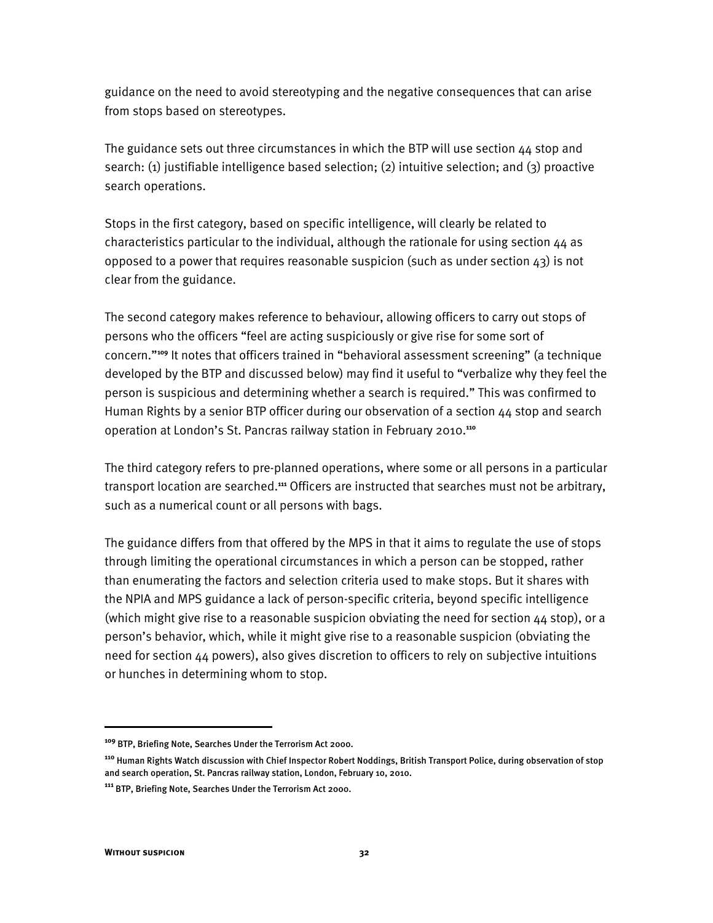guidance on the need to avoid stereotyping and the negative consequences that can arise from stops based on stereotypes.

The guidance sets out three circumstances in which the BTP will use section  $44$  stop and search: (1) justifiable intelligence based selection; (2) intuitive selection; and (3) proactive search operations.

Stops in the first category, based on specific intelligence, will clearly be related to characteristics particular to the individual, although the rationale for using section 44 as opposed to a power that requires reasonable suspicion (such as under section  $43$ ) is not clear from the guidance.

The second category makes reference to behaviour, allowing officers to carry out stops of persons who the officers "feel are acting suspiciously or give rise for some sort of concern."<sup>109</sup> It notes that officers trained in "behavioral assessment screening" (a technique developed by the BTP and discussed below) may find it useful to "verbalize why they feel the person is suspicious and determining whether a search is required." This was confirmed to Human Rights by a senior BTP officer during our observation of a section 44 stop and search operation at London's St. Pancras railway station in February 2010.<sup>110</sup>

The third category refers to pre-planned operations, where some or all persons in a particular transport location are searched.**<sup>111</sup>** Officers are instructed that searches must not be arbitrary, such as a numerical count or all persons with bags.

The guidance differs from that offered by the MPS in that it aims to regulate the use of stops through limiting the operational circumstances in which a person can be stopped, rather than enumerating the factors and selection criteria used to make stops. But it shares with the NPIA and MPS guidance a lack of person-specific criteria, beyond specific intelligence (which might give rise to a reasonable suspicion obviating the need for section  $44$  stop), or a person's behavior, which, while it might give rise to a reasonable suspicion (obviating the need for section 44 powers), also gives discretion to officers to rely on subjective intuitions or hunches in determining whom to stop.

ֺ

**<sup>109</sup>** BTP, Briefing Note, Searches Under the Terrorism Act 2000.

**<sup>110</sup>** Human Rights Watch discussion with Chief Inspector Robert Noddings, British Transport Police, during observation of stop and search operation, St. Pancras railway station, London, February 10, 2010.

**<sup>111</sup>** BTP, Briefing Note, Searches Under the Terrorism Act 2000.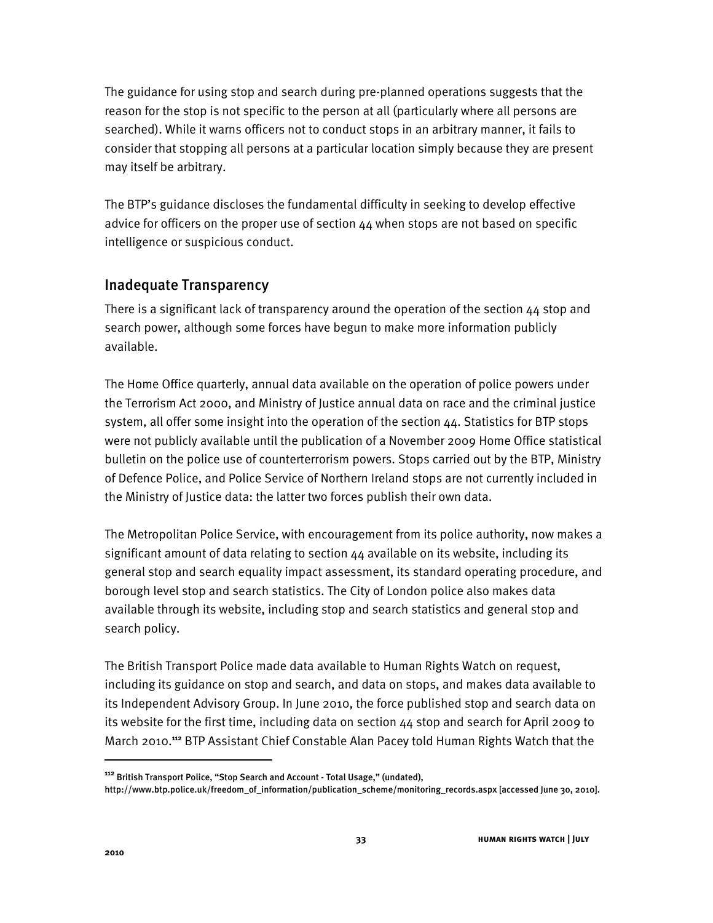The guidance for using stop and search during pre-planned operations suggests that the reason for the stop is not specific to the person at all (particularly where all persons are searched). While it warns officers not to conduct stops in an arbitrary manner, it fails to consider that stopping all persons at a particular location simply because they are present may itself be arbitrary.

The BTP's guidance discloses the fundamental difficulty in seeking to develop effective advice for officers on the proper use of section 44 when stops are not based on specific intelligence or suspicious conduct.

## Inadequate Transparency

There is a significant lack of transparency around the operation of the section 44 stop and search power, although some forces have begun to make more information publicly available.

The Home Office quarterly, annual data available on the operation of police powers under the Terrorism Act 2000, and Ministry of Justice annual data on race and the criminal justice system, all offer some insight into the operation of the section 44. Statistics for BTP stops were not publicly available until the publication of a November 2009 Home Office statistical bulletin on the police use of counterterrorism powers. Stops carried out by the BTP, Ministry of Defence Police, and Police Service of Northern Ireland stops are not currently included in the Ministry of Justice data: the latter two forces publish their own data.

The Metropolitan Police Service, with encouragement from its police authority, now makes a significant amount of data relating to section 44 available on its website, including its general stop and search equality impact assessment, its standard operating procedure, and borough level stop and search statistics. The City of London police also makes data available through its website, including stop and search statistics and general stop and search policy.

The British Transport Police made data available to Human Rights Watch on request, including its guidance on stop and search, and data on stops, and makes data available to its Independent Advisory Group. In June 2010, the force published stop and search data on its website for the first time, including data on section 44 stop and search for April 2009 to March 2010.**<sup>112</sup>** BTP Assistant Chief Constable Alan Pacey told Human Rights Watch that the

<sup>&</sup>lt;sup>112</sup> British Transport Police, "Stop Search and Account - Total Usage," (undated),

http://www.btp.police.uk/freedom\_of\_information/publication\_scheme/monitoring\_records.aspx [accessed June 30, 2010].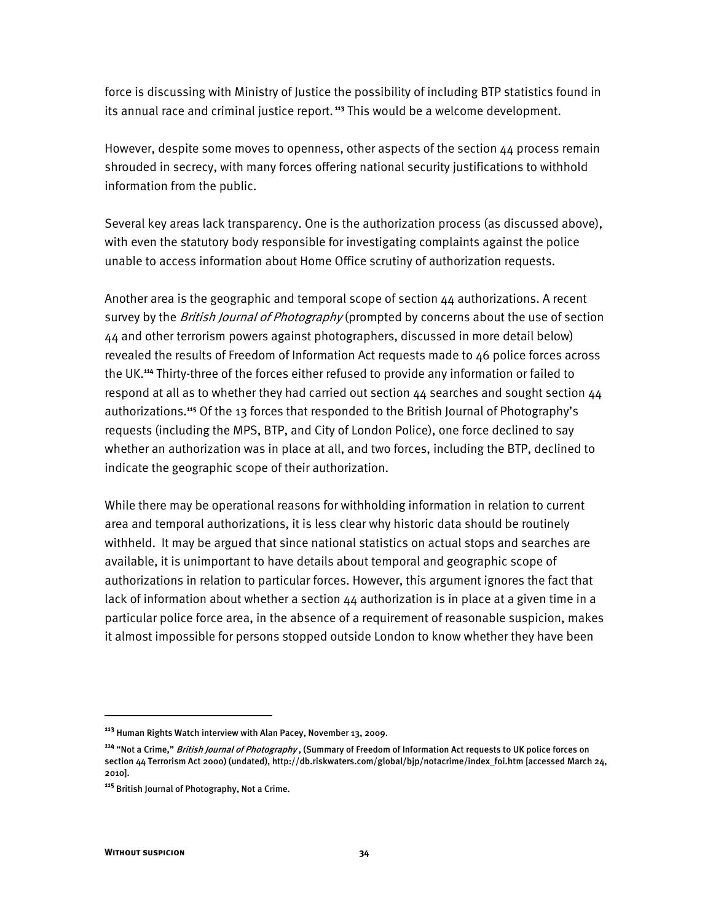force is discussing with Ministry of Justice the possibility of including BTP statistics found in its annual race and criminal justice report.**<sup>113</sup>** This would be a welcome development.

However, despite some moves to openness, other aspects of the section 44 process remain shrouded in secrecy, with many forces offering national security justifications to withhold information from the public.

Several key areas lack transparency. One is the authorization process (as discussed above), with even the statutory body responsible for investigating complaints against the police unable to access information about Home Office scrutiny of authorization requests.

Another area is the geographic and temporal scope of section 44 authorizations. A recent survey by the *British Journal of Photography* (prompted by concerns about the use of section 44 and other terrorism powers against photographers, discussed in more detail below) revealed the results of Freedom of Information Act requests made to 46 police forces across the UK.**<sup>114</sup>** Thirty-three of the forces either refused to provide any information or failed to respond at all as to whether they had carried out section  $44$  searches and sought section  $44$ authorizations.<sup>115</sup> Of the 13 forces that responded to the British Journal of Photography's requests (including the MPS, BTP, and City of London Police), one force declined to say whether an authorization was in place at all, and two forces, including the BTP, declined to indicate the geographic scope of their authorization.

While there may be operational reasons for withholding information in relation to current area and temporal authorizations, it is less clear why historic data should be routinely withheld. It may be argued that since national statistics on actual stops and searches are available, it is unimportant to have details about temporal and geographic scope of authorizations in relation to particular forces. However, this argument ignores the fact that lack of information about whether a section 44 authorization is in place at a given time in a particular police force area, in the absence of a requirement of reasonable suspicion, makes it almost impossible for persons stopped outside London to know whether they have been

1

**<sup>113</sup>** Human Rights Watch interview with Alan Pacey, November 13, 2009.

<sup>&</sup>lt;sup>114</sup> "Not a Crime," *British Journal of Photography* , (Summary of Freedom of Information Act requests to UK police forces on section 44 Terrorism Act 2000) (undated), http://db.riskwaters.com/global/bjp/notacrime/index\_foi.htm [accessed March 24, 2010].

**<sup>115</sup>** British Journal of Photography, Not a Crime.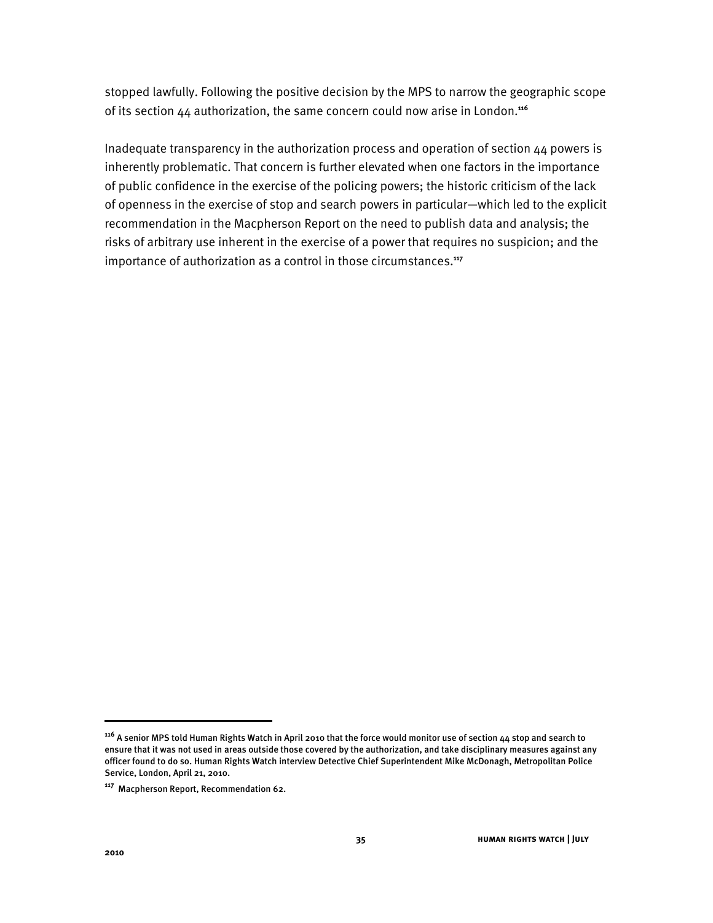stopped lawfully. Following the positive decision by the MPS to narrow the geographic scope of its section 44 authorization, the same concern could now arise in London.**<sup>116</sup>**

Inadequate transparency in the authorization process and operation of section 44 powers is inherently problematic. That concern is further elevated when one factors in the importance of public confidence in the exercise of the policing powers; the historic criticism of the lack of openness in the exercise of stop and search powers in particular—which led to the explicit recommendation in the Macpherson Report on the need to publish data and analysis; the risks of arbitrary use inherent in the exercise of a power that requires no suspicion; and the importance of authorization as a control in those circumstances.**<sup>117</sup>**

**<sup>116</sup>** A senior MPS told Human Rights Watch in April 2010 that the force would monitor use of section 44 stop and search to ensure that it was not used in areas outside those covered by the authorization, and take disciplinary measures against any officer found to do so. Human Rights Watch interview Detective Chief Superintendent Mike McDonagh, Metropolitan Police Service, London, April 21, 2010.

**<sup>117</sup>** Macpherson Report, Recommendation 62.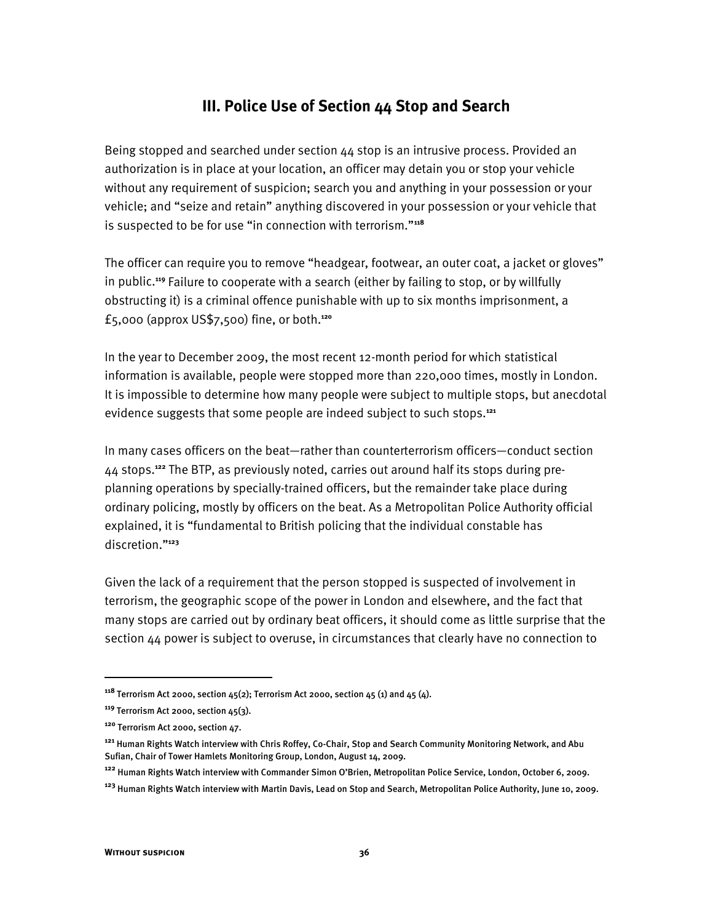## **III. Police Use of Section 44 Stop and Search**

Being stopped and searched under section 44 stop is an intrusive process. Provided an authorization is in place at your location, an officer may detain you or stop your vehicle without any requirement of suspicion; search you and anything in your possession or your vehicle; and "seize and retain" anything discovered in your possession or your vehicle that is suspected to be for use "in connection with terrorism."<sup>118</sup>

The officer can require you to remove "headgear, footwear, an outer coat, a jacket or gloves" in public.**<sup>119</sup>** Failure to cooperate with a search (either by failing to stop, or by willfully obstructing it) is a criminal offence punishable with up to six months imprisonment, a £5,000 (approx US\$7,500) fine, or both.**<sup>120</sup>**

In the year to December 2009, the most recent 12-month period for which statistical information is available, people were stopped more than 220,000 times, mostly in London. It is impossible to determine how many people were subject to multiple stops, but anecdotal evidence suggests that some people are indeed subject to such stops.**<sup>121</sup>**

In many cases officers on the beat-rather than counterterrorism officers-conduct section 44 stops.**122** The BTP, as previously noted, carries out around half its stops during preplanning operations by specially-trained officers, but the remainder take place during ordinary policing, mostly by officers on the beat. As a Metropolitan Police Authority official explained, it is "fundamental to British policing that the individual constable has discretion."<sup>123</sup>

Given the lack of a requirement that the person stopped is suspected of involvement in terrorism, the geographic scope of the power in London and elsewhere, and the fact that many stops are carried out by ordinary beat officers, it should come as little surprise that the section 44 power is subject to overuse, in circumstances that clearly have no connection to

**<sup>118</sup>** Terrorism Act 2000, section 45(2); Terrorism Act 2000, section 45 (1) and 45 (4).

**<sup>119</sup>** Terrorism Act 2000, section 45(3).

**<sup>120</sup>** Terrorism Act 2000, section 47.

**<sup>121</sup>** Human Rights Watch interview with Chris Roffey, Co-Chair, Stop and Search Community Monitoring Network, and Abu Sufian, Chair of Tower Hamlets Monitoring Group, London, August 14, 2009.

<sup>&</sup>lt;sup>122</sup> Human Rights Watch interview with Commander Simon O'Brien, Metropolitan Police Service, London, October 6, 2009.

**<sup>123</sup>** Human Rights Watch interview with Martin Davis, Lead on Stop and Search, Metropolitan Police Authority, June 10, 2009.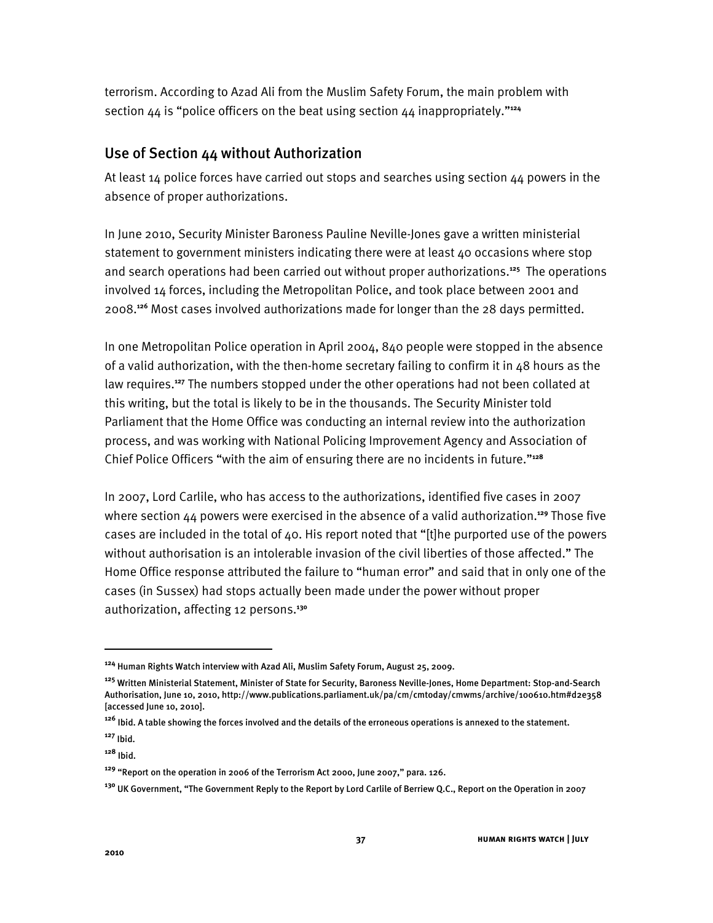terrorism. According to Azad Ali from the Muslim Safety Forum, the main problem with section  $44$  is "police officers on the beat using section  $44$  inappropriately."<sup>124</sup>

## Use of Section 44 without Authorization

At least 14 police forces have carried out stops and searches using section 44 powers in the absence of proper authorizations.

In June 2010, Security Minister Baroness Pauline Neville-Jones gave a written ministerial statement to government ministers indicating there were at least 40 occasions where stop and search operations had been carried out without proper authorizations.**<sup>125</sup>** The operations involved 14 forces, including the Metropolitan Police, and took place between 2001 and 2008.**<sup>126</sup>** Most cases involved authorizations made for longer than the 28 days permitted.

In one Metropolitan Police operation in April 2004, 840 people were stopped in the absence of a valid authorization, with the then-home secretary failing to confirm it in 48 hours as the law requires.**<sup>127</sup>** The numbers stopped under the other operations had not been collated at this writing, but the total is likely to be in the thousands. The Security Minister told Parliament that the Home Office was conducting an internal review into the authorization process, and was working with National Policing Improvement Agency and Association of Chief Police Officers "with the aim of ensuring there are no incidents in future."<sup>128</sup>

In 2007, Lord Carlile, who has access to the authorizations, identified five cases in 2007 where section 44 powers were exercised in the absence of a valid authorization.**<sup>129</sup>** Those five cases are included in the total of  $40$ . His report noted that "[t]he purported use of the powers without authorisation is an intolerable invasion of the civil liberties of those affected." The Home Office response attributed the failure to "human error" and said that in only one of the cases (in Sussex) had stops actually been made under the power without proper authorization, affecting 12 persons.**<sup>130</sup>**

**<sup>124</sup>** Human Rights Watch interview with Azad Ali, Muslim Safety Forum, August 25, 2009.

**<sup>125</sup>** Written Ministerial Statement, Minister of State for Security, Baroness Neville-Jones, Home Department: Stop-and-Search Authorisation, June 10, 2010, http://www.publications.parliament.uk/pa/cm/cmtoday/cmwms/archive/100610.htm#d2e358 [accessed June 10, 2010].

**<sup>126</sup>** Ibid. A table showing the forces involved and the details of the erroneous operations is annexed to the statement.

**<sup>127</sup>** Ibid.

**<sup>128</sup>** Ibid.

<sup>&</sup>lt;sup>129</sup> "Report on the operation in 2006 of the Terrorism Act 2000, June 2007," para. 126.

**<sup>130</sup>** UK Government, "The Government Reply to the Report by Lord Carlile of Berriew Q.C., Report on the Operation in 2007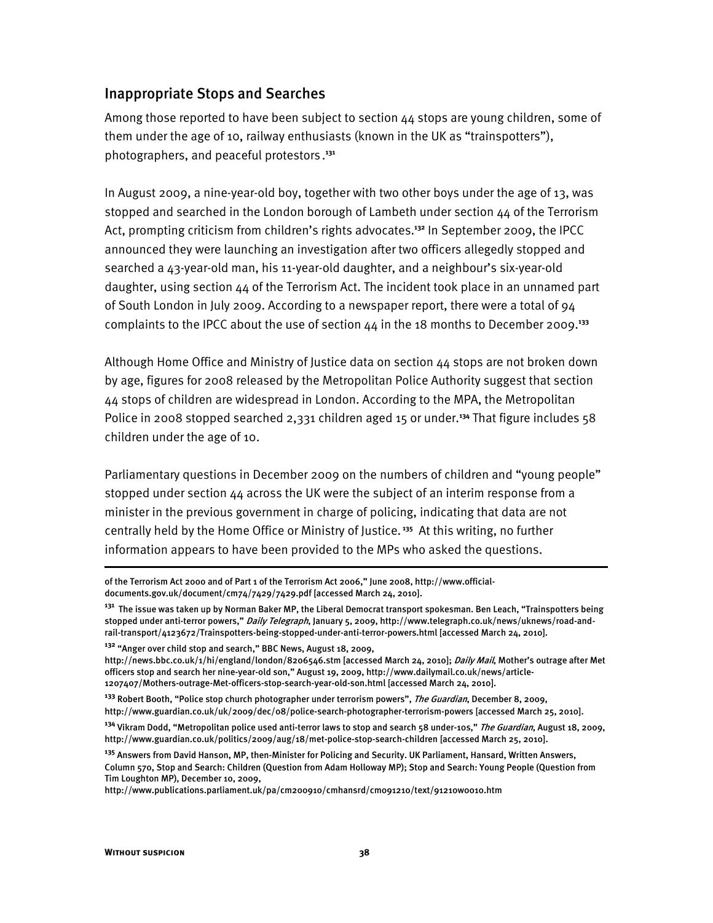#### Inappropriate Stops and Searches

Among those reported to have been subject to section 44 stops are young children, some of them under the age of 10, railway enthusiasts (known in the UK as "trainspotters"), photographers, and peaceful protestors . **131**

In August 2009, a nine-year-old boy, together with two other boys under the age of 13, was stopped and searched in the London borough of Lambeth under section 44 of the Terrorism Act, prompting criticism from children's rights advocates.<sup>132</sup> In September 2009, the IPCC announced they were launching an investigation after two officers allegedly stopped and searched a 43-year-old man, his 11-year-old daughter, and a neighbour's six-year-old daughter, using section 44 of the Terrorism Act. The incident took place in an unnamed part of South London in July 2009. According to a newspaper report, there were a total of 94 complaints to the IPCC about the use of section 44 in the 18 months to December 2009.**<sup>133</sup>**

Although Home Office and Ministry of Justice data on section 44 stops are not broken down by age, figures for 2008 released by the Metropolitan Police Authority suggest that section 44 stops of children are widespread in London. According to the MPA, the Metropolitan Police in 2008 stopped searched 2,331 children aged 15 or under.**<sup>134</sup>** That figure includes 58 children under the age of 10.

Parliamentary questions in December 2009 on the numbers of children and "young people" stopped under section 44 across the UK were the subject of an interim response from a minister in the previous government in charge of policing, indicating that data are not centrally held by the Home Office or Ministry of Justice.**<sup>135</sup>** At this writing, no further information appears to have been provided to the MPs who asked the questions.

of the Terrorism Act 2000 and of Part 1 of the Terrorism Act 2006," June 2008, http://www.officialdocuments.gov.uk/document/cm74/7429/7429.pdf [accessed March 24, 2010].

**<sup>131</sup>** The issue was taken up by Norman Baker MP, the Liberal Democrat transport spokesman. Ben Leach, "Trainspotters being stopped under anti-terror powers," Daily Telegraph, January 5, 2009, http://www.telegraph.co.uk/news/uknews/road-andrail-transport/4123672/Trainspotters-being-stopped-under-anti-terror-powers.html [accessed March 24, 2010].

<sup>&</sup>lt;sup>132</sup> "Anger over child stop and search," BBC News, August 18, 2009,

http://news.bbc.co.uk/1/hi/england/london/8206546.stm [accessed March 24, 2010]; Daily Mail, Mother's outrage after Met officers stop and search her nine-year-old son," August 19, 2009, http://www.dailymail.co.uk/news/article-1207407/Mothers-outrage-Met-officers-stop-search-year-old-son.html [accessed March 24, 2010].

<sup>&</sup>lt;sup>133</sup> Robert Booth, "Police stop church photographer under terrorism powers", *The Guardian*, December 8, 2009, http://www.guardian.co.uk/uk/2009/dec/08/police-search-photographer-terrorism-powers [accessed March 25, 2010].

<sup>&</sup>lt;sup>134</sup> Vikram Dodd, "Metropolitan police used anti-terror laws to stop and search 58 under-10s," *The Guardian*, August 18, 2009, http://www.guardian.co.uk/politics/2009/aug/18/met-police-stop-search-children [accessed March 25, 2010].

**<sup>135</sup>** Answers from David Hanson, MP, then-Minister for Policing and Security. UK Parliament, Hansard, Written Answers, Column 570, Stop and Search: Children (Question from Adam Holloway MP); Stop and Search: Young People (Question from Tim Loughton MP), December 10, 2009,

http://www.publications.parliament.uk/pa/cm200910/cmhansrd/cm091210/text/91210w0010.htm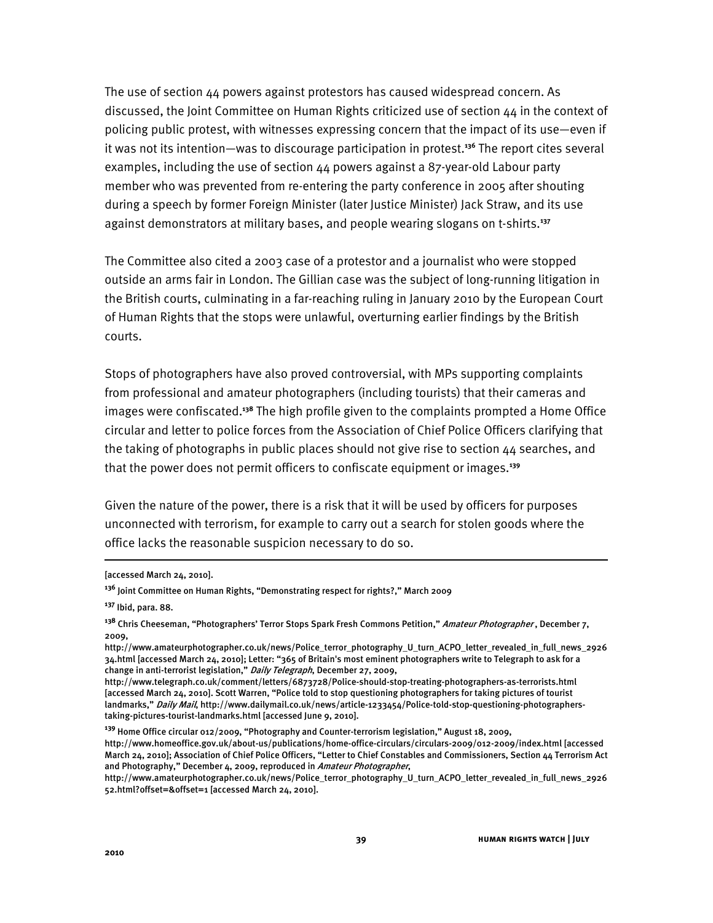The use of section 44 powers against protestors has caused widespread concern. As discussed, the Joint Committee on Human Rights criticized use of section 44 in the context of policing public protest, with witnesses expressing concern that the impact of its use—even if it was not its intention—was to discourage participation in protest.<sup>136</sup> The report cites several examples, including the use of section 44 powers against a 87-year-old Labour party member who was prevented from re-entering the party conference in 2005 after shouting during a speech by former Foreign Minister (later Justice Minister) Jack Straw, and its use against demonstrators at military bases, and people wearing slogans on t-shirts.**<sup>137</sup>**

The Committee also cited a 2003 case of a protestor and a journalist who were stopped outside an arms fair in London. The Gillian case was the subject of long-running litigation in the British courts, culminating in a far-reaching ruling in January 2010 by the European Court of Human Rights that the stops were unlawful, overturning earlier findings by the British courts.

Stops of photographers have also proved controversial, with MPs supporting complaints from professional and amateur photographers (including tourists) that their cameras and images were confiscated.**<sup>138</sup>** The high profile given to the complaints prompted a Home Office circular and letter to police forces from the Association of Chief Police Officers clarifying that the taking of photographs in public places should not give rise to section 44 searches, and that the power does not permit officers to confiscate equipment or images.**<sup>139</sup>**

Given the nature of the power, there is a risk that it will be used by officers for purposes unconnected with terrorism, for example to carry out a search for stolen goods where the office lacks the reasonable suspicion necessary to do so.

ֺ

<sup>[</sup>accessed March 24, 2010].

<sup>&</sup>lt;sup>136</sup> Joint Committee on Human Rights, "Demonstrating respect for rights?," March 2009

**<sup>137</sup>** Ibid, para. 88.

<sup>&</sup>lt;sup>138</sup> Chris Cheeseman, "Photographers' Terror Stops Spark Fresh Commons Petition," *Amateur Photographer* , December 7, 2009,

http://www.amateurphotographer.co.uk/news/Police\_terror\_photography\_U\_turn\_ACPO\_letter\_revealed\_in\_full\_news\_2926 34.html [accessed March 24, 2010]; Letter: "365 of Britain's most eminent photographers write to Telegraph to ask for a change in anti-terrorist legislation," Daily Telegraph, December 27, 2009,

http://www.telegraph.co.uk/comment/letters/6873728/Police-should-stop-treating-photographers-as-terrorists.html [accessed March 24, 2010]. Scott Warren, "Police told to stop questioning photographers for taking pictures of tourist landmarks," Daily Mail, http://www.dailymail.co.uk/news/article-1233454/Police-told-stop-questioning-photographerstaking-pictures-tourist-landmarks.html [accessed June 9, 2010].

<sup>&</sup>lt;sup>139</sup> Home Office circular 012/2009, "Photography and Counter-terrorism legislation," August 18, 2009,

http://www.homeoffice.gov.uk/about-us/publications/home-office-circulars/circulars-2009/012-2009/index.html [accessed March 24, 2010]; Association of Chief Police Officers, "Letter to Chief Constables and Commissioners, Section 44 Terrorism Act and Photography," December 4, 2009, reproduced in Amateur Photographer,

http://www.amateurphotographer.co.uk/news/Police\_terror\_photography\_U\_turn\_ACPO\_letter\_revealed\_in\_full\_news\_2926 52.html?offset=&offset=1 [accessed March 24, 2010].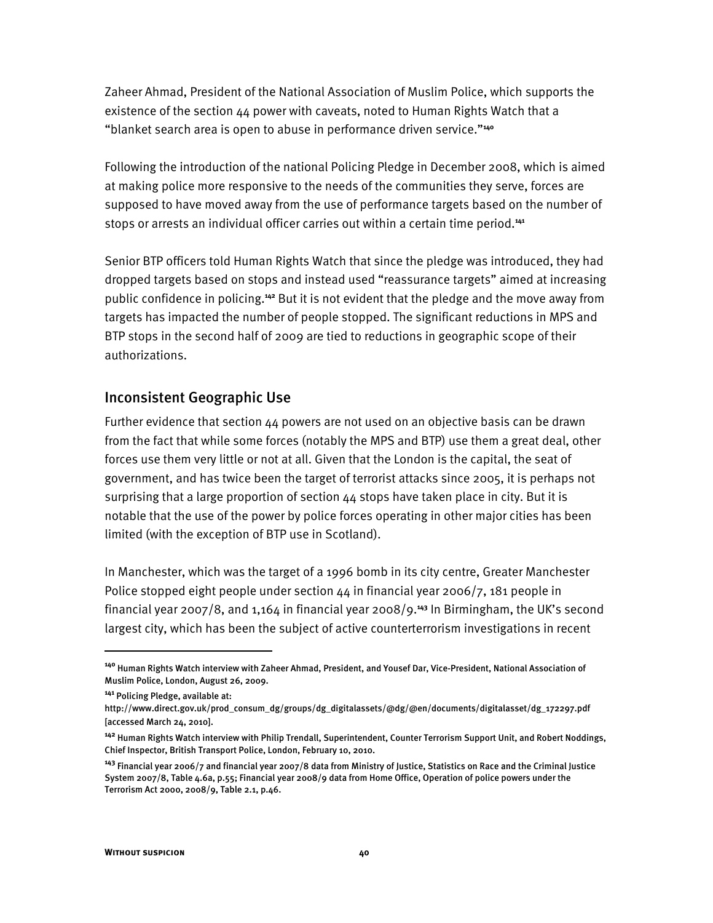Zaheer Ahmad, President of the National Association of Muslim Police, which supports the existence of the section  $44$  power with caveats, noted to Human Rights Watch that a "blanket search area is open to abuse in performance driven service."<sup>440</sup>

Following the introduction of the national Policing Pledge in December 2008, which is aimed at making police more responsive to the needs of the communities they serve, forces are supposed to have moved away from the use of performance targets based on the number of stops or arrests an individual officer carries out within a certain time period.**<sup>141</sup>**

Senior BTP officers told Human Rights Watch that since the pledge was introduced, they had dropped targets based on stops and instead used "reassurance targets" aimed at increasing public confidence in policing.**<sup>142</sup>** But it is not evident that the pledge and the move away from targets has impacted the number of people stopped. The significant reductions in MPS and BTP stops in the second half of 2009 are tied to reductions in geographic scope of their authorizations.

#### Inconsistent Geographic Use

Further evidence that section 44 powers are not used on an objective basis can be drawn from the fact that while some forces (notably the MPS and BTP) use them a great deal, other forces use them very little or not at all. Given that the London is the capital, the seat of government, and has twice been the target of terrorist attacks since 2005, it is perhaps not surprising that a large proportion of section 44 stops have taken place in city. But it is notable that the use of the power by police forces operating in other major cities has been limited (with the exception of BTP use in Scotland).

In Manchester, which was the target of a 1996 bomb in its city centre, Greater Manchester Police stopped eight people under section  $44$  in financial year 2006/7, 181 people in financial year 2007/8, and  $1,164$  in financial year 2008/9.<sup>143</sup> In Birmingham, the UK's second largest city, which has been the subject of active counterterrorism investigations in recent

**<sup>140</sup>** Human Rights Watch interview with Zaheer Ahmad, President, and Yousef Dar, Vice-President, National Association of Muslim Police, London, August 26, 2009.

**<sup>141</sup>** Policing Pledge, available at:

http://www.direct.gov.uk/prod\_consum\_dg/groups/dg\_digitalassets/@dg/@en/documents/digitalasset/dg\_172297.pdf [accessed March 24, 2010].

**<sup>142</sup>** Human Rights Watch interview with Philip Trendall, Superintendent, Counter Terrorism Support Unit, and Robert Noddings, Chief Inspector, British Transport Police, London, February 10, 2010.

**<sup>143</sup>** Financial year 2006/7 and financial year 2007/8 data from Ministry of Justice, Statistics on Race and the Criminal Justice System 2007/8, Table 4.6a, p.55; Financial year 2008/9 data from Home Office, Operation of police powers under the Terrorism Act 2000, 2008/9, Table 2.1, p.46.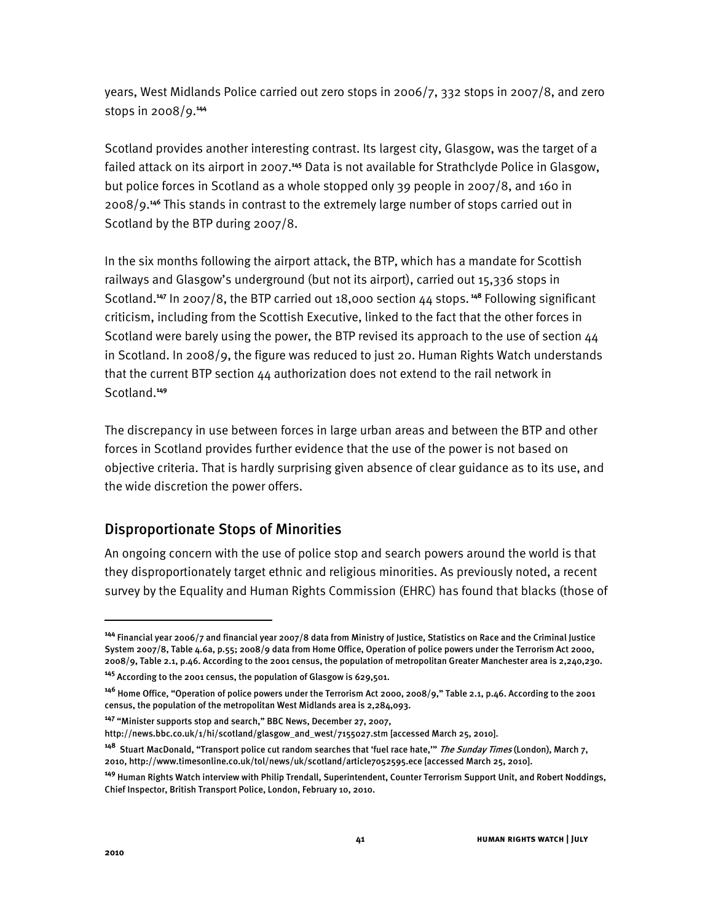years, West Midlands Police carried out zero stops in 2006/7, 332 stops in 2007/8, and zero stops in 2008/9.**<sup>144</sup>**

Scotland provides another interesting contrast. Its largest city, Glasgow, was the target of a failed attack on its airport in 2007.**<sup>145</sup>** Data is not available for Strathclyde Police in Glasgow, but police forces in Scotland as a whole stopped only 39 people in 2007/8, and 160 in 2008/9.**<sup>146</sup>** This stands in contrast to the extremely large number of stops carried out in Scotland by the BTP during 2007/8.

In the six months following the airport attack, the BTP, which has a mandate for Scottish railways and Glasgow's underground (but not its airport), carried out 15,336 stops in Scotland.**<sup>147</sup>** In 2007/8, the BTP carried out 18,000 section 44 stops.**<sup>148</sup>** Following significant criticism, including from the Scottish Executive, linked to the fact that the other forces in Scotland were barely using the power, the BTP revised its approach to the use of section 44 in Scotland. In 2008/9, the figure was reduced to just 20. Human Rights Watch understands that the current BTP section 44 authorization does not extend to the rail network in Scotland.**<sup>149</sup>**

The discrepancy in use between forces in large urban areas and between the BTP and other forces in Scotland provides further evidence that the use of the power is not based on objective criteria. That is hardly surprising given absence of clear guidance as to its use, and the wide discretion the power offers.

## Disproportionate Stops of Minorities

An ongoing concern with the use of police stop and search powers around the world is that they disproportionately target ethnic and religious minorities. As previously noted, a recent survey by the Equality and Human Rights Commission (EHRC) has found that blacks (those of

ֺ

**<sup>144</sup>** Financial year 2006/7 and financial year 2007/8 data from Ministry of Justice, Statistics on Race and the Criminal Justice System 2007/8, Table 4.6a, p.55; 2008/9 data from Home Office, Operation of police powers under the Terrorism Act 2000, 2008/9, Table 2.1, p.46. According to the 2001 census, the population of metropolitan Greater Manchester area is 2,240,230.

**<sup>145</sup>** According to the 2001 census, the population of Glasgow is 629,501.

<sup>&</sup>lt;sup>146</sup> Home Office, "Operation of police powers under the Terrorism Act 2000, 2008/9," Table 2.1, p.46. According to the 2001 census, the population of the metropolitan West Midlands area is 2,284,093.

<sup>&</sup>lt;sup>147</sup> "Minister supports stop and search," BBC News, December 27, 2007,

http://news.bbc.co.uk/1/hi/scotland/glasgow\_and\_west/7155027.stm [accessed March 25, 2010].

<sup>&</sup>lt;sup>148</sup> Stuart MacDonald, "Transport police cut random searches that 'fuel race hate,'" *The Sunday Times* (London), March 7, 2010, http://www.timesonline.co.uk/tol/news/uk/scotland/article7052595.ece [accessed March 25, 2010].

**<sup>149</sup>** Human Rights Watch interview with Philip Trendall, Superintendent, Counter Terrorism Support Unit, and Robert Noddings, Chief Inspector, British Transport Police, London, February 10, 2010.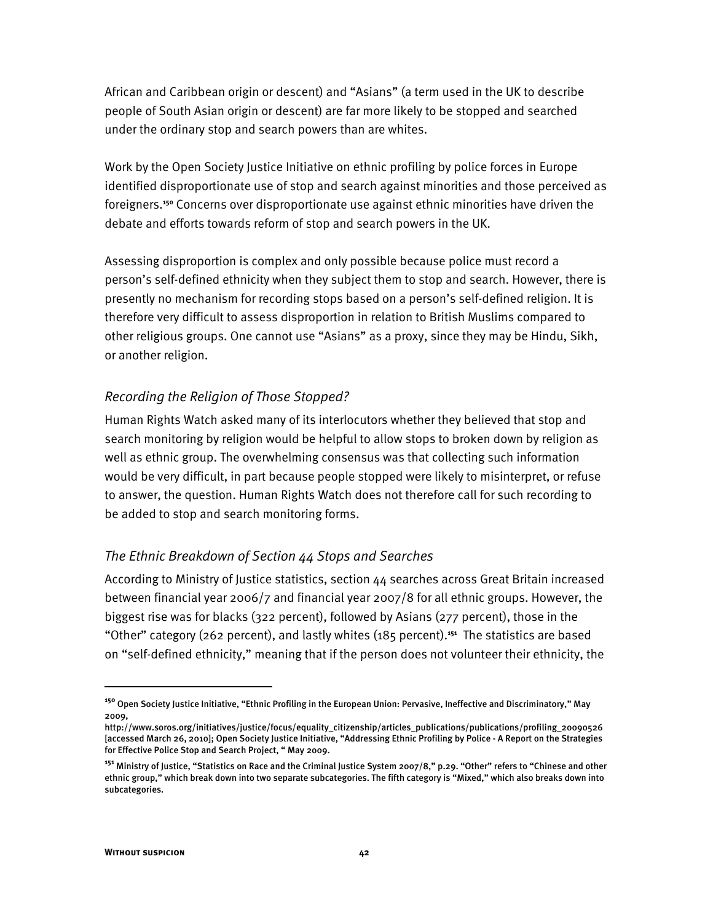African and Caribbean origin or descent) and "Asians" (a term used in the UK to describe people of South Asian origin or descent) are far more likely to be stopped and searched under the ordinary stop and search powers than are whites.

Work by the Open Society Justice Initiative on ethnic profiling by police forces in Europe identified disproportionate use of stop and search against minorities and those perceived as foreigners.**<sup>150</sup>** Concerns over disproportionate use against ethnic minorities have driven the debate and efforts towards reform of stop and search powers in the UK.

Assessing disproportion is complex and only possible because police must record a person's self-defined ethnicity when they subject them to stop and search. However, there is presently no mechanism for recording stops based on a person's self-defined religion. It is therefore very difficult to assess disproportion in relation to British Muslims compared to other religious groups. One cannot use "Asians" as a proxy, since they may be Hindu, Sikh, or another religion.

#### *Recording the Religion of Those Stopped?*

Human Rights Watch asked many of its interlocutors whether they believed that stop and search monitoring by religion would be helpful to allow stops to broken down by religion as well as ethnic group. The overwhelming consensus was that collecting such information would be very difficult, in part because people stopped were likely to misinterpret, or refuse to answer, the question. Human Rights Watch does not therefore call for such recording to be added to stop and search monitoring forms.

#### *The Ethnic Breakdown of Section 44 Stops and Searches*

According to Ministry of Justice statistics, section 44 searches across Great Britain increased between financial year 2006/7 and financial year 2007/8 for all ethnic groups. However, the biggest rise was for blacks (322 percent), followed by Asians (277 percent), those in the "Other" category (262 percent), and lastly whites (185 percent).<sup>151</sup> The statistics are based on "self-defined ethnicity," meaning that if the person does not volunteer their ethnicity, the

<sup>&</sup>lt;sup>150</sup> Open Society Justice Initiative, "Ethnic Profiling in the European Union: Pervasive, Ineffective and Discriminatory," May 2009,

http://www.soros.org/initiatives/justice/focus/equality\_citizenship/articles\_publications/publications/profiling\_20090526 [accessed March 26, 2010]; Open Society Justice Initiative, "Addressing Ethnic Profiling by Police - A Report on the Strategies for Effective Police Stop and Search Project, " May 2009.

<sup>&</sup>lt;sup>151</sup> Ministry of Justice, "Statistics on Race and the Criminal Justice System 2007/8," p.29. "Other" refers to "Chinese and other ethnic group," which break down into two separate subcategories. The fifth category is "Mixed," which also breaks down into subcategories.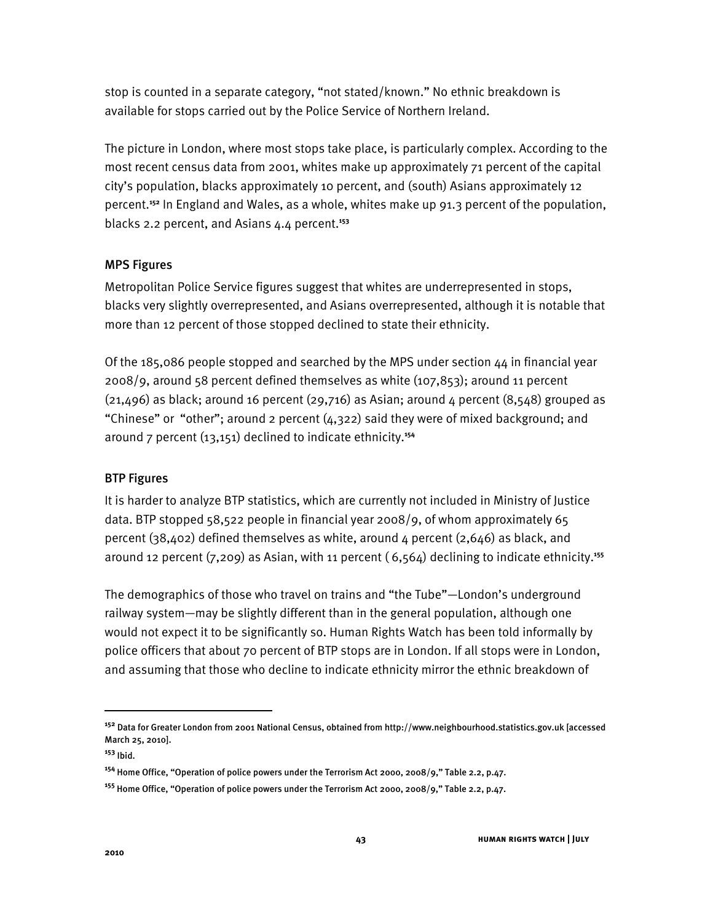stop is counted in a separate category, "not stated/known." No ethnic breakdown is available for stops carried out by the Police Service of Northern Ireland.

The picture in London, where most stops take place, is particularly complex. According to the most recent census data from 2001, whites make up approximately 71 percent of the capital city's population, blacks approximately 10 percent, and (south) Asians approximately 12 percent.**<sup>152</sup>** In England and Wales, as a whole, whites make up 91.3 percent of the population, blacks 2.2 percent, and Asians 4.4 percent.**<sup>153</sup>**

#### MPS Figures

Metropolitan Police Service figures suggest that whites are underrepresented in stops, blacks very slightly overrepresented, and Asians overrepresented, although it is notable that more than 12 percent of those stopped declined to state their ethnicity.

Of the 185,086 people stopped and searched by the MPS under section  $44$  in financial year 2008/9, around 58 percent defined themselves as white (107,853); around 11 percent  $(21,496)$  as black; around 16 percent  $(29,716)$  as Asian; around 4 percent  $(8,548)$  grouped as "Chinese" or "other"; around 2 percent  $(4,322)$  said they were of mixed background; and around 7 percent (13,151) declined to indicate ethnicity.**<sup>154</sup>**

## BTP Figures

It is harder to analyze BTP statistics, which are currently not included in Ministry of Justice data. BTP stopped 58,522 people in financial year 2008/9, of whom approximately 65 percent (38,402) defined themselves as white, around 4 percent (2,646) as black, and around 12 percent (7,209) as Asian, with 11 percent ( 6,564) declining to indicate ethnicity.**<sup>155</sup>**

The demographics of those who travel on trains and "the Tube"—London's underground railway system—may be slightly different than in the general population, although one would not expect it to be significantly so. Human Rights Watch has been told informally by police officers that about 70 percent of BTP stops are in London. If all stops were in London, and assuming that those who decline to indicate ethnicity mirror the ethnic breakdown of

ֺ

**<sup>152</sup>** Data for Greater London from 2001 National Census, obtained from http://www.neighbourhood.statistics.gov.uk [accessed March 25, 2010].

**<sup>153</sup>** Ibid.

<sup>&</sup>lt;sup>154</sup> Home Office, "Operation of police powers under the Terrorism Act 2000, 2008/9," Table 2.2, p.47.

<sup>&</sup>lt;sup>155</sup> Home Office, "Operation of police powers under the Terrorism Act 2000, 2008/9," Table 2.2, p.47.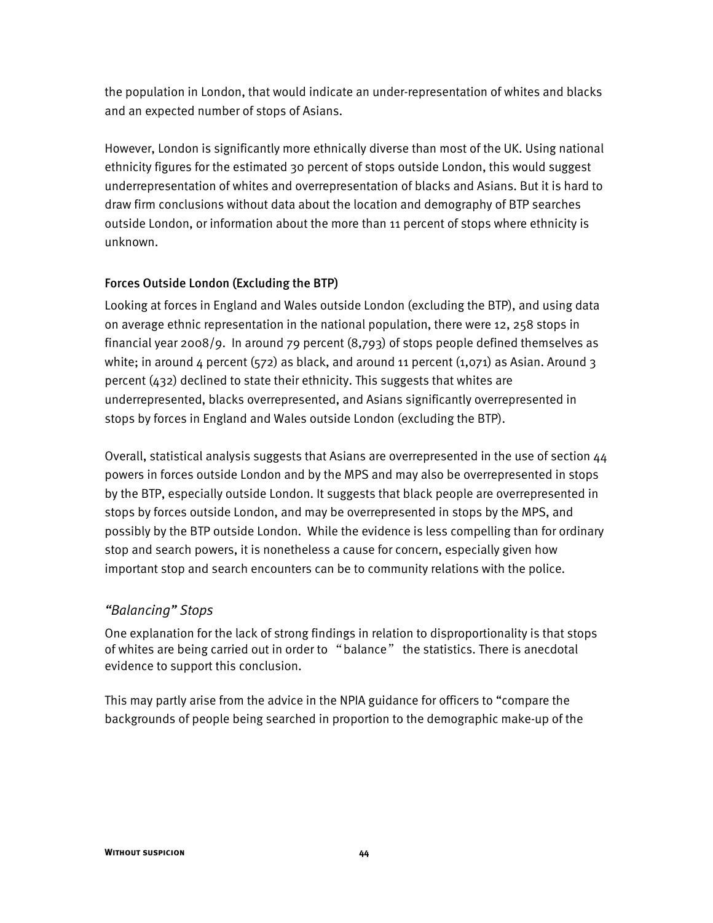the population in London, that would indicate an under-representation of whites and blacks and an expected number of stops of Asians.

However, London is significantly more ethnically diverse than most of the UK. Using national ethnicity figures for the estimated 30 percent of stops outside London, this would suggest underrepresentation of whites and overrepresentation of blacks and Asians. But it is hard to draw firm conclusions without data about the location and demography of BTP searches outside London, or information about the more than 11 percent of stops where ethnicity is unknown.

#### Forces Outside London (Excluding the BTP)

Looking at forces in England and Wales outside London (excluding the BTP), and using data on average ethnic representation in the national population, there were 12, 258 stops in financial year 2008/9. In around 79 percent (8,793) of stops people defined themselves as white; in around  $4$  percent (572) as black, and around 11 percent (1,071) as Asian. Around 3 percent (432) declined to state their ethnicity. This suggests that whites are underrepresented, blacks overrepresented, and Asians significantly overrepresented in stops by forces in England and Wales outside London (excluding the BTP).

Overall, statistical analysis suggests that Asians are overrepresented in the use of section 44 powers in forces outside London and by the MPS and may also be overrepresented in stops by the BTP, especially outside London. It suggests that black people are overrepresented in stops by forces outside London, and may be overrepresented in stops by the MPS, and possibly by the BTP outside London. While the evidence is less compelling than for ordinary stop and search powers, it is nonetheless a cause for concern, especially given how important stop and search encounters can be to community relations with the police.

## *Halancing*" Stops

One explanation for the lack of strong findings in relation to disproportionality is that stops of whites are being carried out in order to "balance" the statistics. There is anecdotal evidence to support this conclusion.

This may partly arise from the advice in the NPIA guidance for officers to "compare the backgrounds of people being searched in proportion to the demographic make-up of the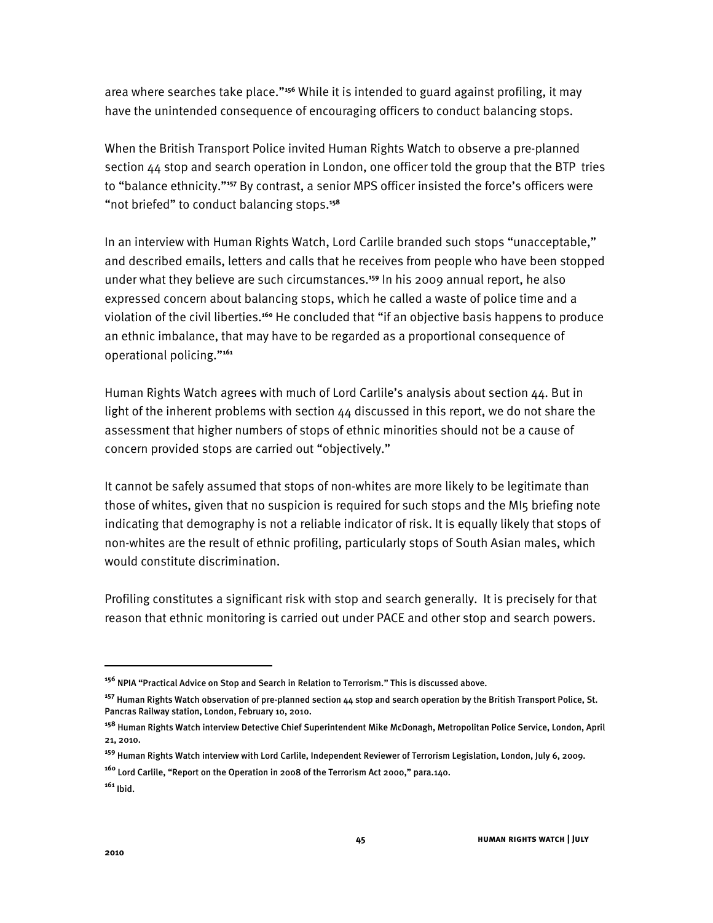area where searches take place.<sup>1156</sup> While it is intended to guard against profiling, it may have the unintended consequence of encouraging officers to conduct balancing stops.

When the British Transport Police invited Human Rights Watch to observe a pre-planned section 44 stop and search operation in London, one officer told the group that the BTP tries to "balance ethnicity."<sup>157</sup> By contrast, a senior MPS officer insisted the force's officers were "not briefed" to conduct balancing stops.<sup>158</sup>

In an interview with Human Rights Watch, Lord Carlile branded such stops "unacceptable," and described emails, letters and calls that he receives from people who have been stopped under what they believe are such circumstances.**<sup>159</sup>** In his 2009 annual report, he also expressed concern about balancing stops, which he called a waste of police time and a violation of the civil liberties.<sup>160</sup> He concluded that "if an objective basis happens to produce an ethnic imbalance, that may have to be regarded as a proportional consequence of operational policing."<sup>161</sup>

Human Rights Watch agrees with much of Lord Carlile's analysis about section  $44$ . But in light of the inherent problems with section  $44$  discussed in this report, we do not share the assessment that higher numbers of stops of ethnic minorities should not be a cause of concern provided stops are carried out "objectively."

It cannot be safely assumed that stops of non-whites are more likely to be legitimate than those of whites, given that no suspicion is required for such stops and the MI5 briefing note indicating that demography is not a reliable indicator of risk. It is equally likely that stops of non-whites are the result of ethnic profiling, particularly stops of South Asian males, which would constitute discrimination.

Profiling constitutes a significant risk with stop and search generally. It is precisely for that reason that ethnic monitoring is carried out under PACE and other stop and search powers.

<sup>&</sup>lt;sup>156</sup> NPIA "Practical Advice on Stop and Search in Relation to Terrorism." This is discussed above.

**<sup>157</sup>** Human Rights Watch observation of pre-planned section 44 stop and search operation by the British Transport Police, St. Pancras Railway station, London, February 10, 2010.

**<sup>158</sup>** Human Rights Watch interview Detective Chief Superintendent Mike McDonagh, Metropolitan Police Service, London, April 21, 2010.

**<sup>159</sup>** Human Rights Watch interview with Lord Carlile, Independent Reviewer of Terrorism Legislation, London, July 6, 2009.

<sup>&</sup>lt;sup>160</sup> Lord Carlile, "Report on the Operation in 2008 of the Terrorism Act 2000," para.140.

**<sup>161</sup>** Ibid.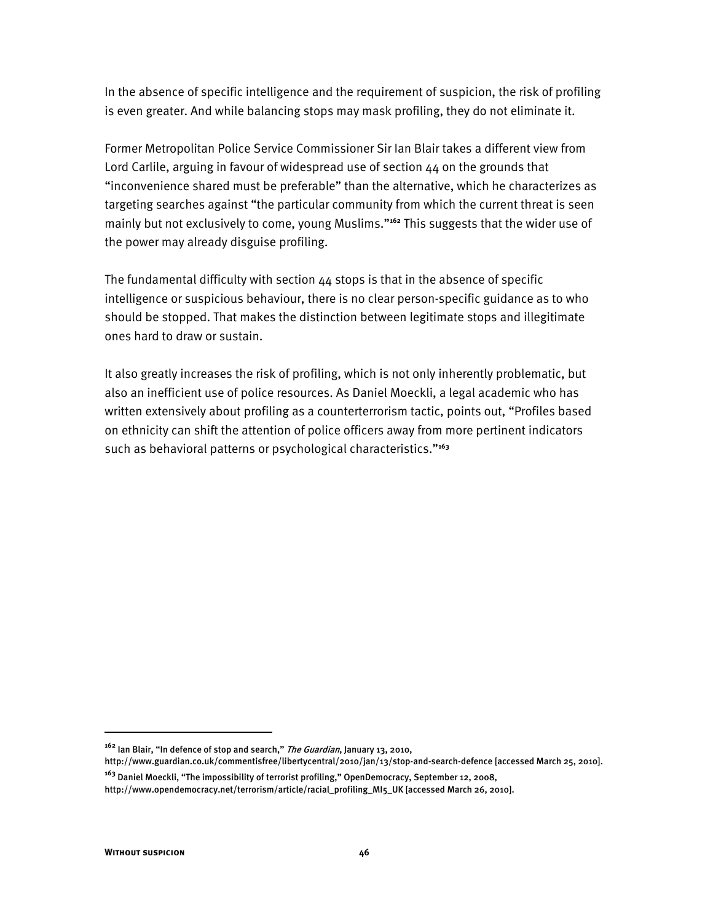In the absence of specific intelligence and the requirement of suspicion, the risk of profiling is even greater. And while balancing stops may mask profiling, they do not eliminate it.

Former Metropolitan Police Service Commissioner Sir Ian Blair takes a different view from Lord Carlile, arguing in favour of widespread use of section 44 on the grounds that "inconvenience shared must be preferable" than the alternative, which he characterizes as targeting searches against "the particular community from which the current threat is seen mainly but not exclusively to come, young Muslims."<sup>162</sup> This suggests that the wider use of the power may already disguise profiling.

The fundamental difficulty with section 44 stops is that in the absence of specific intelligence or suspicious behaviour, there is no clear person-specific guidance as to who should be stopped. That makes the distinction between legitimate stops and illegitimate ones hard to draw or sustain.

It also greatly increases the risk of profiling, which is not only inherently problematic, but also an inefficient use of police resources. As Daniel Moeckli, a legal academic who has written extensively about profiling as a counterterrorism tactic, points out, "Profiles based on ethnicity can shift the attention of police officers away from more pertinent indicators such as behavioral patterns or psychological characteristics."<sup>163</sup>

<sup>&</sup>lt;sup>162</sup> Ian Blair, "In defence of stop and search," *The Guardian*, January 13, 2010,

http://www.guardian.co.uk/commentisfree/libertycentral/2010/jan/13/stop-and-search-defence [accessed March 25, 2010].

<sup>&</sup>lt;sup>163</sup> Daniel Moeckli, "The impossibility of terrorist profiling," OpenDemocracy, September 12, 2008,

http://www.opendemocracy.net/terrorism/article/racial\_profiling\_MI5\_UK [accessed March 26, 2010].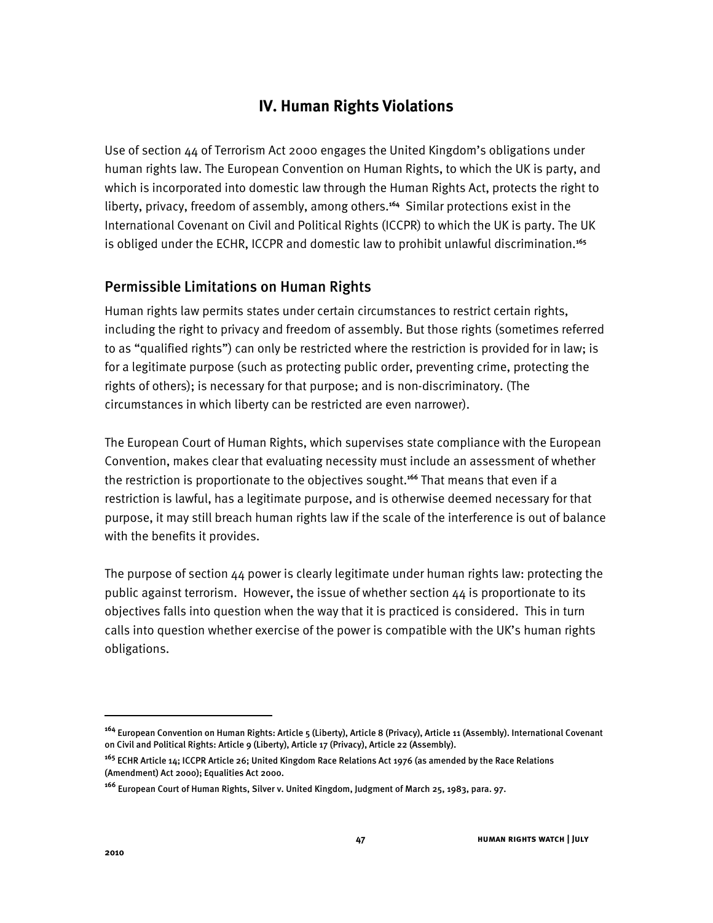## **IV. Human Rights Violations**

Use of section  $44$  of Terrorism Act 2000 engages the United Kingdom's obligations under human rights law. The European Convention on Human Rights, to which the UK is party, and which is incorporated into domestic law through the Human Rights Act, protects the right to liberty, privacy, freedom of assembly, among others.**<sup>164</sup>** Similar protections exist in the International Covenant on Civil and Political Rights (ICCPR) to which the UK is party. The UK is obliged under the ECHR, ICCPR and domestic law to prohibit unlawful discrimination.**<sup>165</sup>**

## Permissible Limitations on Human Rights

Human rights law permits states under certain circumstances to restrict certain rights, including the right to privacy and freedom of assembly. But those rights (sometimes referred to as "qualified rights") can only be restricted where the restriction is provided for in law; is for a legitimate purpose (such as protecting public order, preventing crime, protecting the rights of others); is necessary for that purpose; and is non-discriminatory. (The circumstances in which liberty can be restricted are even narrower).

The European Court of Human Rights, which supervises state compliance with the European Convention, makes clear that evaluating necessity must include an assessment of whether the restriction is proportionate to the objectives sought.**<sup>166</sup>** That means that even if a restriction is lawful, has a legitimate purpose, and is otherwise deemed necessary for that purpose, it may still breach human rights law if the scale of the interference is out of balance with the benefits it provides.

The purpose of section 44 power is clearly legitimate under human rights law: protecting the public against terrorism. However, the issue of whether section 44 is proportionate to its objectives falls into question when the way that it is practiced is considered. This in turn calls into question whether exercise of the power is compatible with the UK's human rights obligations.

1

**<sup>164</sup>** European Convention on Human Rights: Article 5 (Liberty), Article 8 (Privacy), Article 11 (Assembly). International Covenant on Civil and Political Rights: Article 9 (Liberty), Article 17 (Privacy), Article 22 (Assembly).

**<sup>165</sup>** ECHR Article 14; ICCPR Article 26; United Kingdom Race Relations Act 1976 (as amended by the Race Relations (Amendment) Act 2000); Equalities Act 2000.

**<sup>166</sup>** European Court of Human Rights, Silver v. United Kingdom, Judgment of March 25, 1983, para. 97.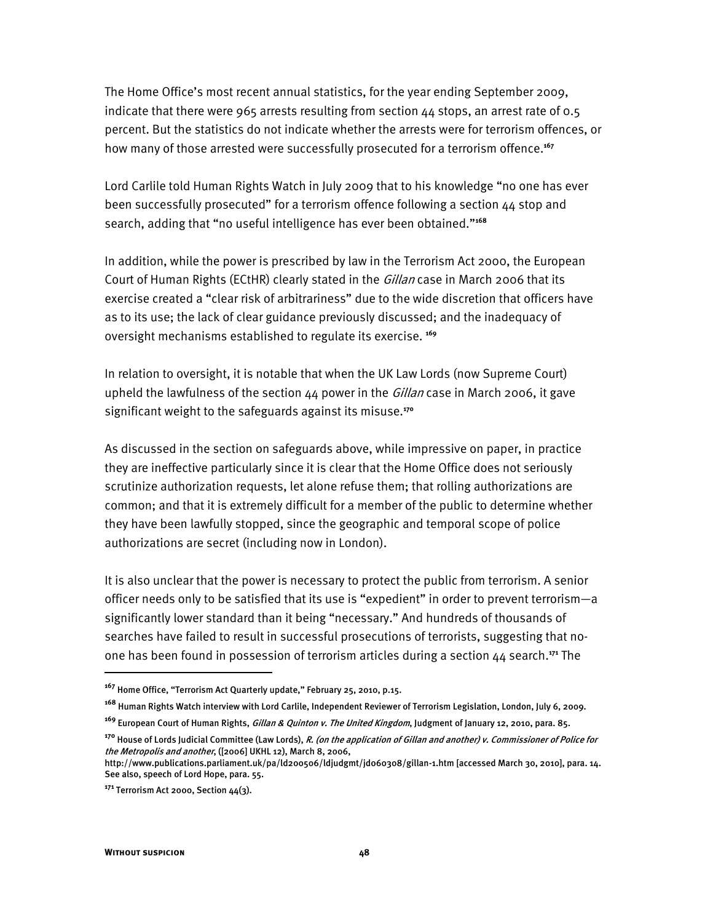The Home Office's most recent annual statistics, for the year ending September 2009, indicate that there were 965 arrests resulting from section  $44$  stops, an arrest rate of 0.5 percent. But the statistics do not indicate whether the arrests were for terrorism offences, or how many of those arrested were successfully prosecuted for a terrorism offence.**<sup>167</sup>**

Lord Carlile told Human Rights Watch in July 2009 that to his knowledge "no one has ever been successfully prosecuted" for a terrorism offence following a section 44 stop and search, adding that "no useful intelligence has ever been obtained."<sup>168</sup>

In addition, while the power is prescribed by law in the Terrorism Act 2000, the European Court of Human Rights (ECtHR) clearly stated in the *Gillan* case in March 2006 that its exercise created a "clear risk of arbitrariness" due to the wide discretion that officers have as to its use; the lack of clear guidance previously discussed; and the inadequacy of oversight mechanisms established to regulate its exercise. **<sup>169</sup>**

In relation to oversight, it is notable that when the UK Law Lords (now Supreme Court) upheld the lawfulness of the section  $44$  power in the  $Gillan$  case in March 2006, it gave significant weight to the safeguards against its misuse.**<sup>170</sup>**

As discussed in the section on safeguards above, while impressive on paper, in practice they are ineffective particularly since it is clear that the Home Office does not seriously scrutinize authorization requests, let alone refuse them; that rolling authorizations are common; and that it is extremely difficult for a member of the public to determine whether they have been lawfully stopped, since the geographic and temporal scope of police authorizations are secret (including now in London).

It is also unclear that the power is necessary to protect the public from terrorism. A senior officer needs only to be satisfied that its use is "expedient" in order to prevent terrorism—a significantly lower standard than it being "necessary." And hundreds of thousands of searches have failed to result in successful prosecutions of terrorists, suggesting that noone has been found in possession of terrorism articles during a section 44 search.**<sup>171</sup>** The

<sup>&</sup>lt;sup>167</sup> Home Office, "Terrorism Act Quarterly update," February 25, 2010, p.15.

**<sup>168</sup>** Human Rights Watch interview with Lord Carlile, Independent Reviewer of Terrorism Legislation, London, July 6, 2009.

**<sup>169</sup>** European Court of Human Rights, Gillan & Quinton v. The United Kingdom, Judgment of January 12, 2010, para. 85.

**<sup>170</sup>** House of Lords Judicial Committee (Law Lords), R. (on the application of Gillan and another) v. Commissioner of Police for the Metropolis and another, ([2006] UKHL 12), March 8, 2006,

http://www.publications.parliament.uk/pa/ld200506/ldjudgmt/jd060308/gillan-1.htm [accessed March 30, 2010], para. 14. See also, speech of Lord Hope, para. 55.

**<sup>171</sup>** Terrorism Act 2000, Section 44(3).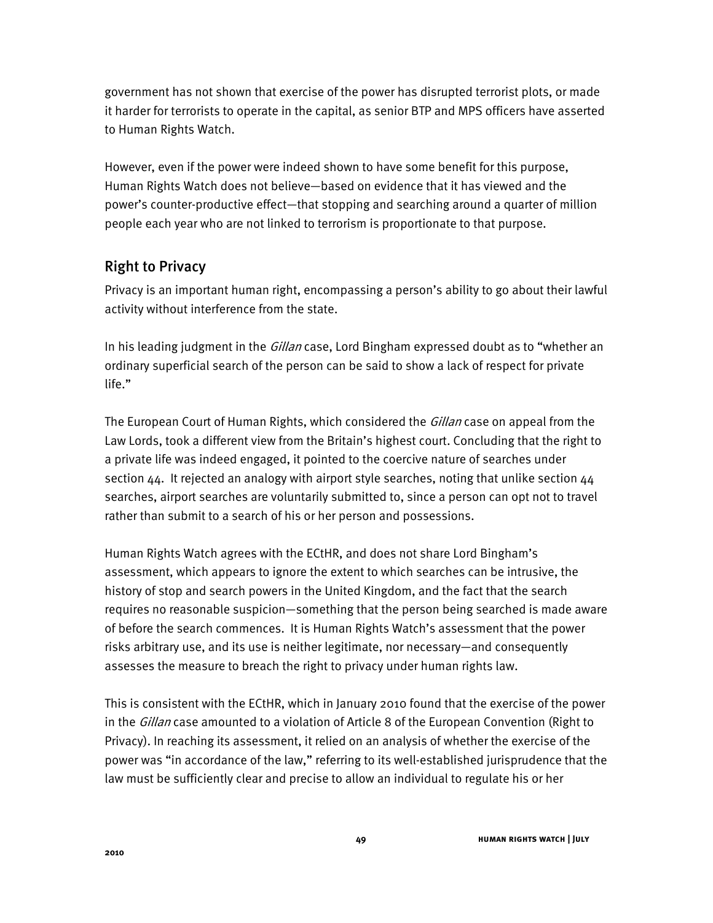government has not shown that exercise of the power has disrupted terrorist plots, or made it harder for terrorists to operate in the capital, as senior BTP and MPS officers have asserted to Human Rights Watch.

However, even if the power were indeed shown to have some benefit for this purpose, Human Rights Watch does not believe-based on evidence that it has viewed and the power's counter-productive effect—that stopping and searching around a quarter of million people each year who are not linked to terrorism is proportionate to that purpose.

## Right to Privacy

Privacy is an important human right, encompassing a person's ability to go about their lawful activity without interference from the state.

In his leading judgment in the *Gillan* case, Lord Bingham expressed doubt as to "whether an ordinary superficial search of the person can be said to show a lack of respect for private life."

The European Court of Human Rights, which considered the *Gillan* case on appeal from the Law Lords, took a different view from the Britain's highest court. Concluding that the right to a private life was indeed engaged, it pointed to the coercive nature of searches under section 44. It rejected an analogy with airport style searches, noting that unlike section 44 searches, airport searches are voluntarily submitted to, since a person can opt not to travel rather than submit to a search of his or her person and possessions.

Human Rights Watch agrees with the ECtHR, and does not share Lord Bingham's assessment, which appears to ignore the extent to which searches can be intrusive, the history of stop and search powers in the United Kingdom, and the fact that the search requires no reasonable suspicion—something that the person being searched is made aware of before the search commences. It is Human Rights Watch's assessment that the power risks arbitrary use, and its use is neither legitimate, nor necessary—and consequently assesses the measure to breach the right to privacy under human rights law.

This is consistent with the ECtHR, which in January 2010 found that the exercise of the power in the *Gillan* case amounted to a violation of Article 8 of the European Convention (Right to Privacy). In reaching its assessment, it relied on an analysis of whether the exercise of the power was "in accordance of the law," referring to its well-established jurisprudence that the law must be sufficiently clear and precise to allow an individual to regulate his or her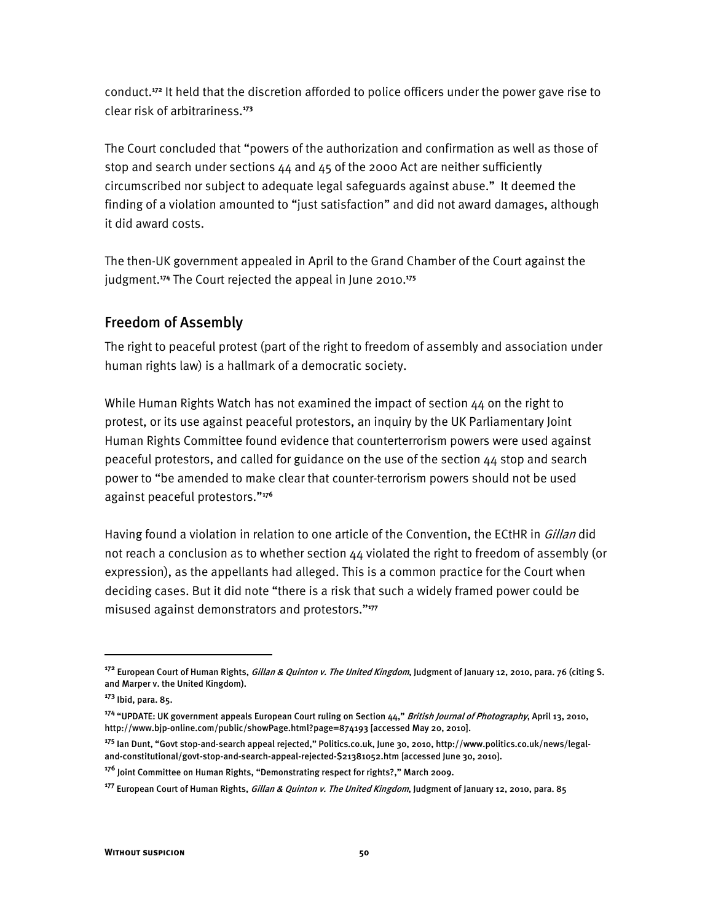conduct.**<sup>172</sup>** It held that the discretion afforded to police officers under the power gave rise to clear risk of arbitrariness.**<sup>173</sup>**

The Court concluded that "powers of the authorization and confirmation as well as those of stop and search under sections 44 and 45 of the 2000 Act are neither sufficiently circumscribed nor subject to adequate legal safeguards against abuse." It deemed the finding of a violation amounted to "just satisfaction" and did not award damages, although it did award costs.

The then-UK government appealed in April to the Grand Chamber of the Court against the judgment.**<sup>174</sup>** The Court rejected the appeal in June 2010.**<sup>175</sup>**

## Freedom of Assembly

The right to peaceful protest (part of the right to freedom of assembly and association under human rights law) is a hallmark of a democratic society.

While Human Rights Watch has not examined the impact of section 44 on the right to protest, or its use against peaceful protestors, an inquiry by the UK Parliamentary Joint Human Rights Committee found evidence that counterterrorism powers were used against peaceful protestors, and called for guidance on the use of the section 44 stop and search power to "be amended to make clear that counter-terrorism powers should not be used against peaceful protestors."<sup>176</sup>

Having found a violation in relation to one article of the Convention, the ECtHR in *Gillan* did not reach a conclusion as to whether section 44 violated the right to freedom of assembly (or expression), as the appellants had alleged. This is a common practice for the Court when deciding cases. But it did note "there is a risk that such a widely framed power could be misused against demonstrators and protestors."<sup>177</sup>

ֺ

**<sup>172</sup>** European Court of Human Rights, Gillan & Quinton v. The United Kingdom, Judgment of January 12, 2010, para. 76 (citing S. and Marper v. the United Kingdom).

**<sup>173</sup>** Ibid, para. 85.

<sup>&</sup>lt;sup>174</sup> "UPDATE: UK government appeals European Court ruling on Section 44," British Journal of Photography, April 13, 2010, http://www.bjp-online.com/public/showPage.html?page=874193 [accessed May 20, 2010].

<sup>&</sup>lt;sup>175</sup> Ian Dunt, "Govt stop-and-search appeal rejected," Politics.co.uk, June 30, 2010, http://www.politics.co.uk/news/legaland-constitutional/govt-stop-and-search-appeal-rejected-\$21381052.htm [accessed June 30, 2010].

<sup>&</sup>lt;sup>176</sup> Joint Committee on Human Rights, "Demonstrating respect for rights?," March 2009.

**<sup>177</sup>** European Court of Human Rights, Gillan & Quinton v. The United Kingdom, Judgment of January 12, 2010, para. 85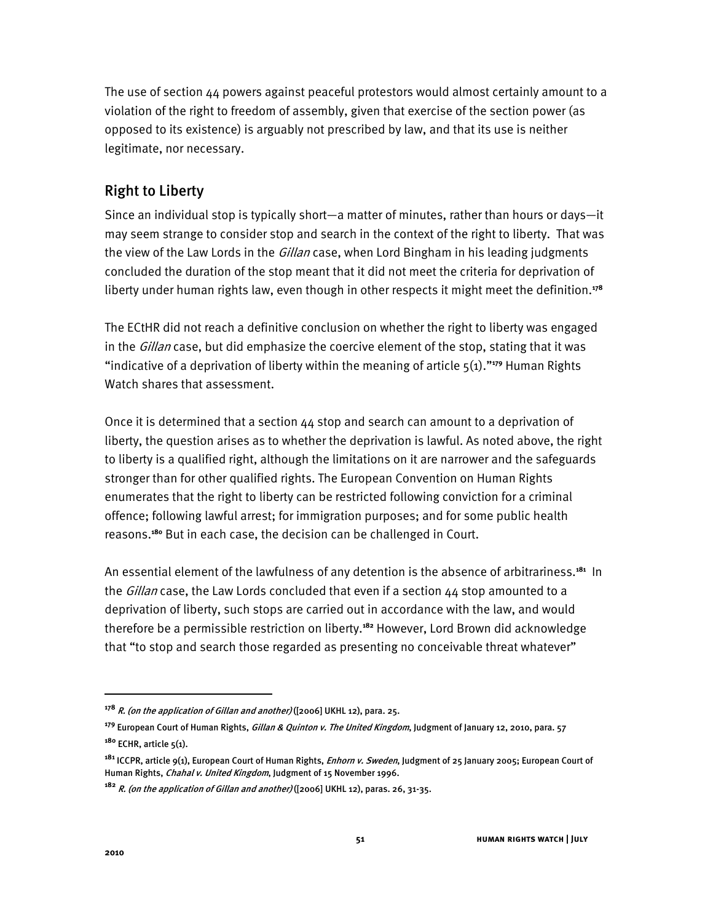The use of section  $44$  powers against peaceful protestors would almost certainly amount to a violation of the right to freedom of assembly, given that exercise of the section power (as opposed to its existence) is arguably not prescribed by law, and that its use is neither legitimate, nor necessary.

## Right to Liberty

Since an individual stop is typically short—a matter of minutes, rather than hours or days—it may seem strange to consider stop and search in the context of the right to liberty. That was the view of the Law Lords in the *Gillan* case, when Lord Bingham in his leading judgments concluded the duration of the stop meant that it did not meet the criteria for deprivation of liberty under human rights law, even though in other respects it might meet the definition.**<sup>178</sup>**

The ECtHR did not reach a definitive conclusion on whether the right to liberty was engaged in the Gillan case, but did emphasize the coercive element of the stop, stating that it was "indicative of a deprivation of liberty within the meaning of article 5(1)."<sup>179</sup> Human Rights Watch shares that assessment.

Once it is determined that a section 44 stop and search can amount to a deprivation of liberty, the question arises as to whether the deprivation is lawful. As noted above, the right to liberty is a qualified right, although the limitations on it are narrower and the safeguards stronger than for other qualified rights. The European Convention on Human Rights enumerates that the right to liberty can be restricted following conviction for a criminal offence; following lawful arrest; for immigration purposes; and for some public health reasons.**<sup>180</sup>** But in each case, the decision can be challenged in Court.

An essential element of the lawfulness of any detention is the absence of arbitrariness.**<sup>181</sup>** In the Gillan case, the Law Lords concluded that even if a section 44 stop amounted to a deprivation of liberty, such stops are carried out in accordance with the law, and would therefore be a permissible restriction on liberty.**<sup>182</sup>** However, Lord Brown did acknowledge that "to stop and search those regarded as presenting no conceivable threat whatever"

ֺ

**<sup>178</sup>** R. (on the application of Gillan and another) ([2006] UKHL 12), para. 25.

**<sup>179</sup>** European Court of Human Rights, Gillan & Quinton v. The United Kingdom, Judgment of January 12, 2010, para. 57 **<sup>180</sup>** ECHR, article 5(1).

**<sup>181</sup>** ICCPR, article 9(1), European Court of Human Rights, Enhorn v. Sweden, Judgment of 25 January 2005; European Court of Human Rights, Chahal v. United Kingdom, Judgment of 15 November 1996.

**<sup>182</sup>** R. (on the application of Gillan and another) ([2006] UKHL 12), paras. 26, 31-35.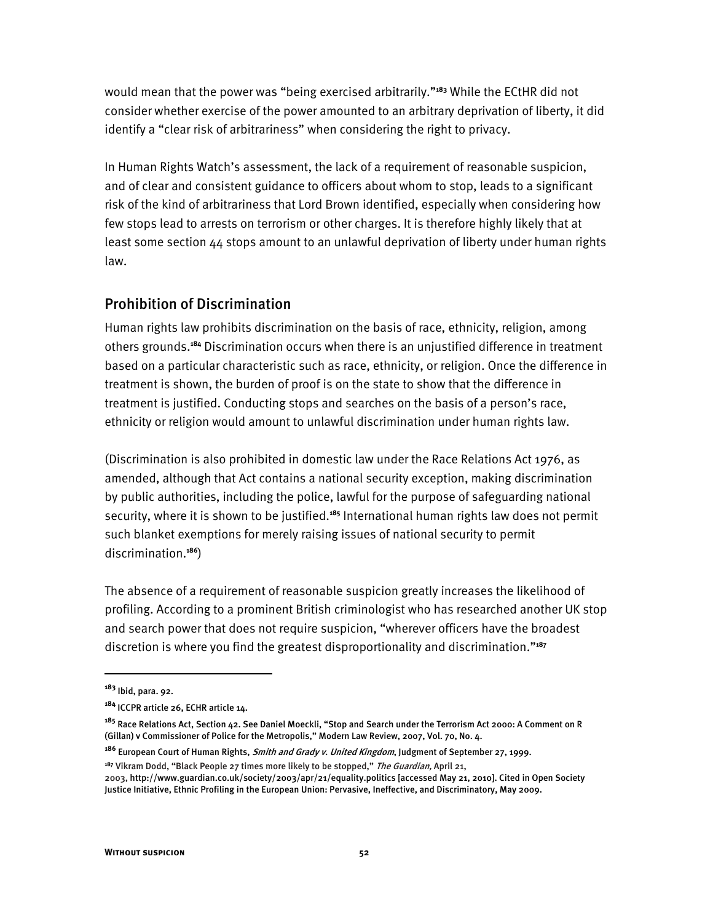would mean that the power was "being exercised arbitrarily."<sup>183</sup> While the ECtHR did not consider whether exercise of the power amounted to an arbitrary deprivation of liberty, it did identify a "clear risk of arbitrariness" when considering the right to privacy.

In Human Rights Watch's assessment, the lack of a requirement of reasonable suspicion, and of clear and consistent guidance to officers about whom to stop, leads to a significant risk of the kind of arbitrariness that Lord Brown identified, especially when considering how few stops lead to arrests on terrorism or other charges. It is therefore highly likely that at least some section 44 stops amount to an unlawful deprivation of liberty under human rights law.

## Prohibition of Discrimination

Human rights law prohibits discrimination on the basis of race, ethnicity, religion, among others grounds.**<sup>184</sup>** Discrimination occurs when there is an unjustified difference in treatment based on a particular characteristic such as race, ethnicity, or religion. Once the difference in treatment is shown, the burden of proof is on the state to show that the difference in treatment is justified. Conducting stops and searches on the basis of a person's race, ethnicity or religion would amount to unlawful discrimination under human rights law.

(Discrimination is also prohibited in domestic law under the Race Relations Act 1976, as amended, although that Act contains a national security exception, making discrimination by public authorities, including the police, lawful for the purpose of safeguarding national security, where it is shown to be justified.**<sup>185</sup>** International human rights law does not permit such blanket exemptions for merely raising issues of national security to permit discrimination.**<sup>186</sup>**)

The absence of a requirement of reasonable suspicion greatly increases the likelihood of profiling. According to a prominent British criminologist who has researched another UK stop and search power that does not require suspicion, "wherever officers have the broadest discretion is where you find the greatest disproportionality and discrimination."<sup>187</sup>

**<sup>183</sup>** Ibid, para. 92.

**<sup>184</sup>** ICCPR article 26, ECHR article 14.

**<sup>185</sup>** Race Relations Act, Section 42. See Daniel Moeckli, "Stop and Search under the Terrorism Act 2000: A Comment on R (Gillan) v Commissioner of Police for the Metropolis," Modern Law Review, 2007, Vol. 70, No. 4.

**<sup>186</sup>** European Court of Human Rights, Smith and Grady v. United Kingdom, Judgment of September 27, 1999.

<sup>&</sup>lt;sup>187</sup> Vikram Dodd, "Black People 27 times more likely to be stopped," *The Guardian*, April 21, 2003, http://www.guardian.co.uk/society/2003/apr/21/equality.politics [accessed May 21, 2010]. Cited in Open Society Justice Initiative, Ethnic Profiling in the European Union: Pervasive, Ineffective, and Discriminatory, May 2009.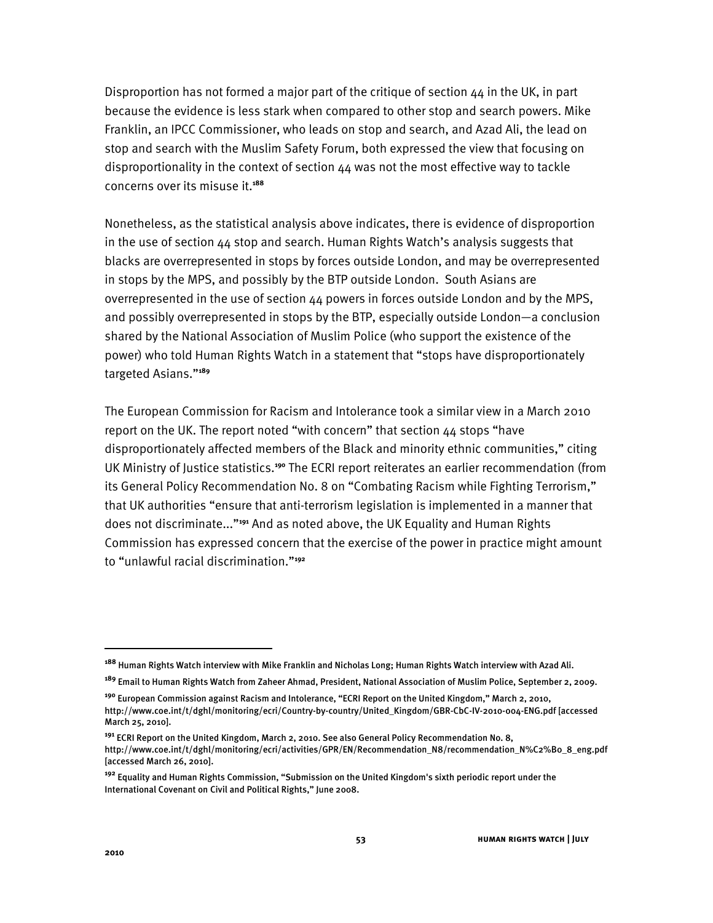Disproportion has not formed a major part of the critique of section  $44$  in the UK, in part because the evidence is less stark when compared to other stop and search powers. Mike Franklin, an IPCC Commissioner, who leads on stop and search, and Azad Ali, the lead on stop and search with the Muslim Safety Forum, both expressed the view that focusing on disproportionality in the context of section 44 was not the most effective way to tackle concerns over its misuse it.**<sup>188</sup>**

Nonetheless, as the statistical analysis above indicates, there is evidence of disproportion in the use of section 44 stop and search. Human Rights Watch's analysis suggests that blacks are overrepresented in stops by forces outside London, and may be overrepresented in stops by the MPS, and possibly by the BTP outside London. South Asians are overrepresented in the use of section 44 powers in forces outside London and by the MPS, and possibly overrepresented in stops by the BTP, especially outside London-a conclusion shared by the National Association of Muslim Police (who support the existence of the power) who told Human Rights Watch in a statement that "stops have disproportionately targeted Asians."<sup>189</sup>

The European Commission for Racism and Intolerance took a similar view in a March 2010 report on the UK. The report noted "with concern" that section  $44$  stops "have disproportionately affected members of the Black and minority ethnic communities," citing UK Ministry of Justice statistics.**<sup>190</sup>** The ECRI report reiterates an earlier recommendation (from its General Policy Recommendation No. 8 on "Combating Racism while Fighting Terrorism," that UK authorities "ensure that anti-terrorism legislation is implemented in a manner that does not discriminate...<sup>2191</sup> And as noted above, the UK Equality and Human Rights Commission has expressed concern that the exercise of the power in practice might amount to "unlawful racial discrimination."<sup>192</sup>

**<sup>188</sup>** Human Rights Watch interview with Mike Franklin and Nicholas Long; Human Rights Watch interview with Azad Ali.

**<sup>189</sup>** Email to Human Rights Watch from Zaheer Ahmad, President, National Association of Muslim Police, September 2, 2009.

<sup>&</sup>lt;sup>190</sup> European Commission against Racism and Intolerance, "ECRI Report on the United Kingdom," March 2, 2010, http://www.coe.int/t/dghl/monitoring/ecri/Country-by-country/United\_Kingdom/GBR-CbC-IV-2010-004-ENG.pdf [accessed March 25, 2010].

**<sup>191</sup>** ECRI Report on the United Kingdom, March 2, 2010. See also General Policy Recommendation No. 8, http://www.coe.int/t/dghl/monitoring/ecri/activities/GPR/EN/Recommendation\_N8/recommendation\_N%C2%B0\_8\_eng.pdf [accessed March 26, 2010].

**<sup>192</sup>** Equality and Human Rights Commission, "Submission on the United Kingdom's sixth periodic report under the International Covenant on Civil and Political Rights," June 2008.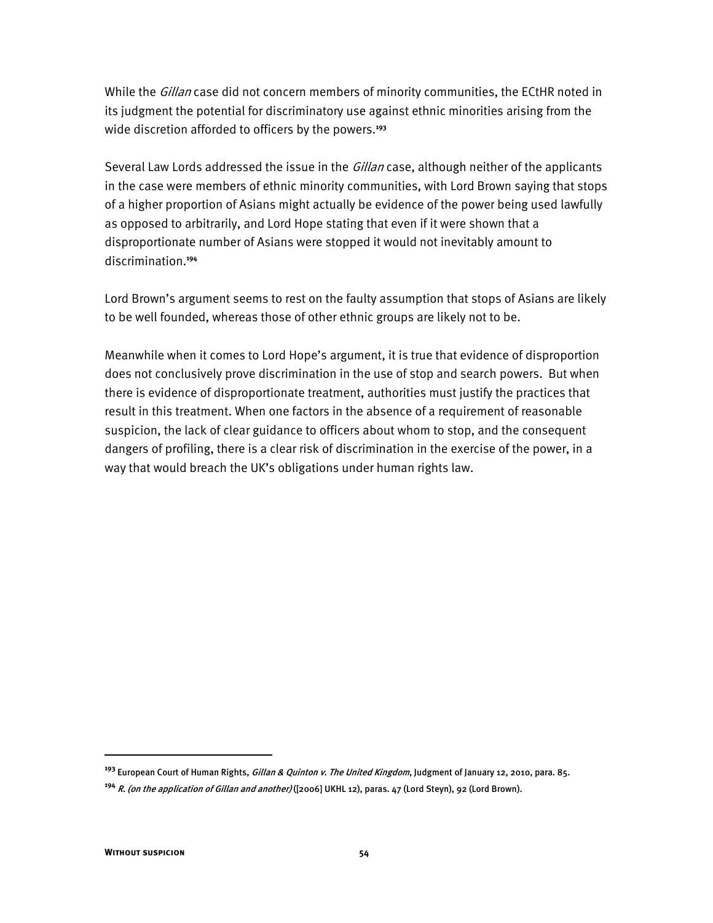While the Gillan case did not concern members of minority communities, the ECtHR noted in its judgment the potential for discriminatory use against ethnic minorities arising from the wide discretion afforded to officers by the powers.**<sup>193</sup>**

Several Law Lords addressed the issue in the *Gillan* case, although neither of the applicants in the case were members of ethnic minority communities, with Lord Brown saying that stops of a higher proportion of Asians might actually be evidence of the power being used lawfully as opposed to arbitrarily, and Lord Hope stating that even if it were shown that a disproportionate number of Asians were stopped it would not inevitably amount to discrimination.**<sup>194</sup>**

Lord Brown's argument seems to rest on the faulty assumption that stops of Asians are likely to be well founded, whereas those of other ethnic groups are likely not to be.

Meanwhile when it comes to Lord Hope's argument, it is true that evidence of disproportion does not conclusively prove discrimination in the use of stop and search powers. But when there is evidence of disproportionate treatment, authorities must justify the practices that result in this treatment. When one factors in the absence of a requirement of reasonable suspicion, the lack of clear guidance to officers about whom to stop, and the consequent dangers of profiling, there is a clear risk of discrimination in the exercise of the power, in a way that would breach the UK's obligations under human rights law.

**<sup>193</sup>** European Court of Human Rights, Gillan & Quinton v. The United Kingdom, Judgment of January 12, 2010, para. 85.

**<sup>194</sup>** R. (on the application of Gillan and another) ([2006] UKHL 12), paras. 47 (Lord Steyn), 92 (Lord Brown).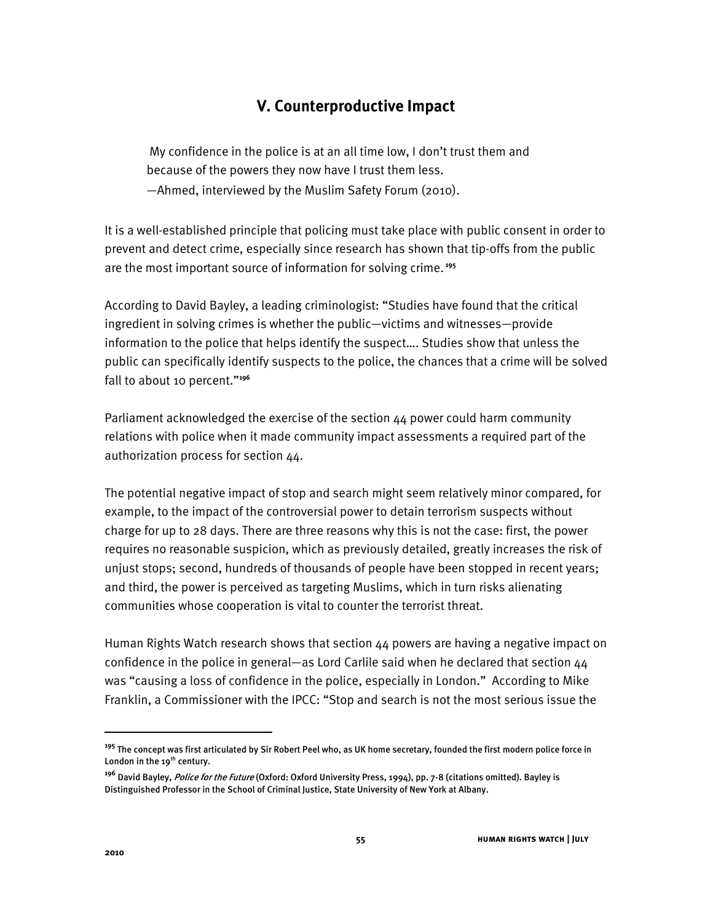## **V. Counterproductive Impact**

My confidence in the police is at an all time low, I don't trust them and because of the powers they now have I trust them less.  $-$ Ahmed, interviewed by the Muslim Safety Forum (2010).

It is a well-established principle that policing must take place with public consent in order to prevent and detect crime, especially since research has shown that tip-offs from the public are the most important source of information for solving crime.**<sup>195</sup>**

According to David Bayley, a leading criminologist: "Studies have found that the critical ingredient in solving crimes is whether the public—victims and witnesses—provide information to the police that helps identify the suspect.... Studies show that unless the public can specifically identify suspects to the police, the chances that a crime will be solved fall to about 10 percent."<sup>196</sup>

Parliament acknowledged the exercise of the section 44 power could harm community relations with police when it made community impact assessments a required part of the authorization process for section 44.

The potential negative impact of stop and search might seem relatively minor compared, for example, to the impact of the controversial power to detain terrorism suspects without charge for up to 28 days. There are three reasons why this is not the case: first, the power requires no reasonable suspicion, which as previously detailed, greatly increases the risk of unjust stops; second, hundreds of thousands of people have been stopped in recent years; and third, the power is perceived as targeting Muslims, which in turn risks alienating communities whose cooperation is vital to counter the terrorist threat.

Human Rights Watch research shows that section 44 powers are having a negative impact on confidence in the police in general—as Lord Carlile said when he declared that section  $44$ was "causing a loss of confidence in the police, especially in London." According to Mike Franklin, a Commissioner with the IPCC: "Stop and search is not the most serious issue the

**<sup>195</sup>** The concept was first articulated by Sir Robert Peel who, as UK home secretary, founded the first modern police force in London in the 19<sup>th</sup> century.

**<sup>196</sup>** David Bayley, Police for the Future (Oxford: Oxford University Press, 1994), pp. 7-8 (citations omitted). Bayley is Distinguished Professor in the School of Criminal Justice, State University of New York at Albany.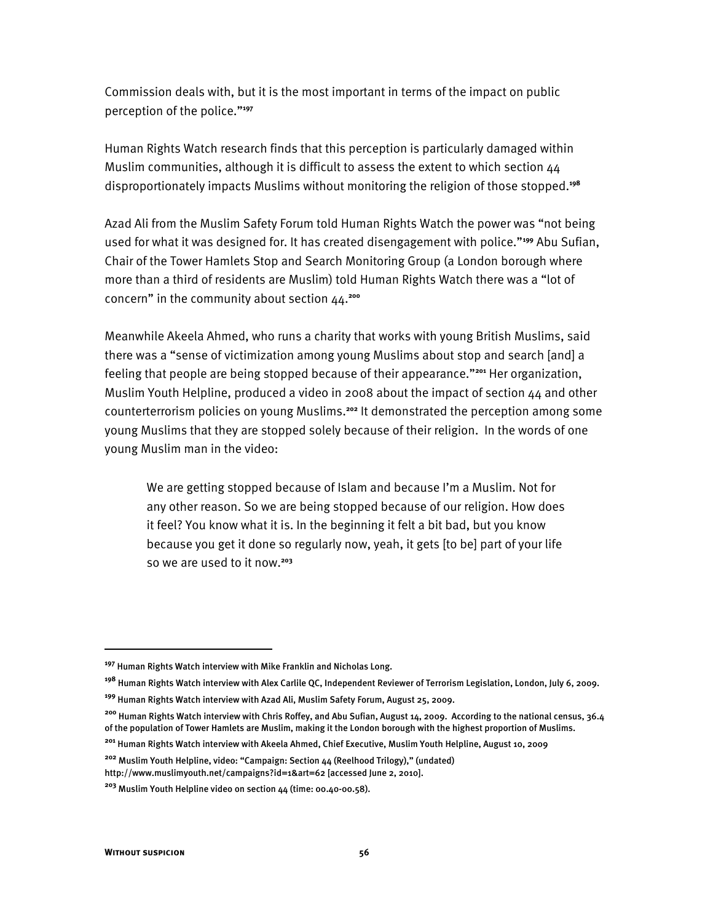Commission deals with, but it is the most important in terms of the impact on public perception of the police."<sup>197</sup>

Human Rights Watch research finds that this perception is particularly damaged within Muslim communities, although it is difficult to assess the extent to which section 44 disproportionately impacts Muslims without monitoring the religion of those stopped.**<sup>198</sup>**

Azad Ali from the Muslim Safety Forum told Human Rights Watch the power was "not being used for what it was designed for. It has created disengagement with police.<sup>*n*199</sup> Abu Sufian, Chair of the Tower Hamlets Stop and Search Monitoring Group (a London borough where more than a third of residents are Muslim) told Human Rights Watch there was a "lot of concern" in the community about section 44.<sup>200</sup>

Meanwhile Akeela Ahmed, who runs a charity that works with young British Muslims, said there was a "sense of victimization among young Muslims about stop and search [and] a feeling that people are being stopped because of their appearance.<sup>"201</sup> Her organization, Muslim Youth Helpline, produced a video in 2008 about the impact of section 44 and other counterterrorism policies on young Muslims.**<sup>202</sup>** It demonstrated the perception among some young Muslims that they are stopped solely because of their religion. In the words of one young Muslim man in the video:

We are getting stopped because of Islam and because I'm a Muslim. Not for any other reason. So we are being stopped because of our religion. How does it feel? You know what it is. In the beginning it felt a bit bad, but you know because you get it done so regularly now, yeah, it gets [to be] part of your life so we are used to it now.**<sup>203</sup>**

**<sup>197</sup>** Human Rights Watch interview with Mike Franklin and Nicholas Long.

**<sup>198</sup>** Human Rights Watch interview with Alex Carlile QC, Independent Reviewer of Terrorism Legislation, London, July 6, 2009.

**<sup>199</sup>** Human Rights Watch interview with Azad Ali, Muslim Safety Forum, August 25, 2009.

**<sup>200</sup>** Human Rights Watch interview with Chris Roffey, and Abu Sufian, August 14, 2009. According to the national census, 36.4 of the population of Tower Hamlets are Muslim, making it the London borough with the highest proportion of Muslims.

**<sup>201</sup>** Human Rights Watch interview with Akeela Ahmed, Chief Executive, Muslim Youth Helpline, August 10, 2009

<sup>&</sup>lt;sup>202</sup> Muslim Youth Helpline, video: "Campaign: Section 44 (Reelhood Trilogy)," (undated) http://www.muslimyouth.net/campaigns?id=1&art=62 [accessed June 2, 2010].

**<sup>203</sup>** Muslim Youth Helpline video on section 44 (time: 00.40-00.58).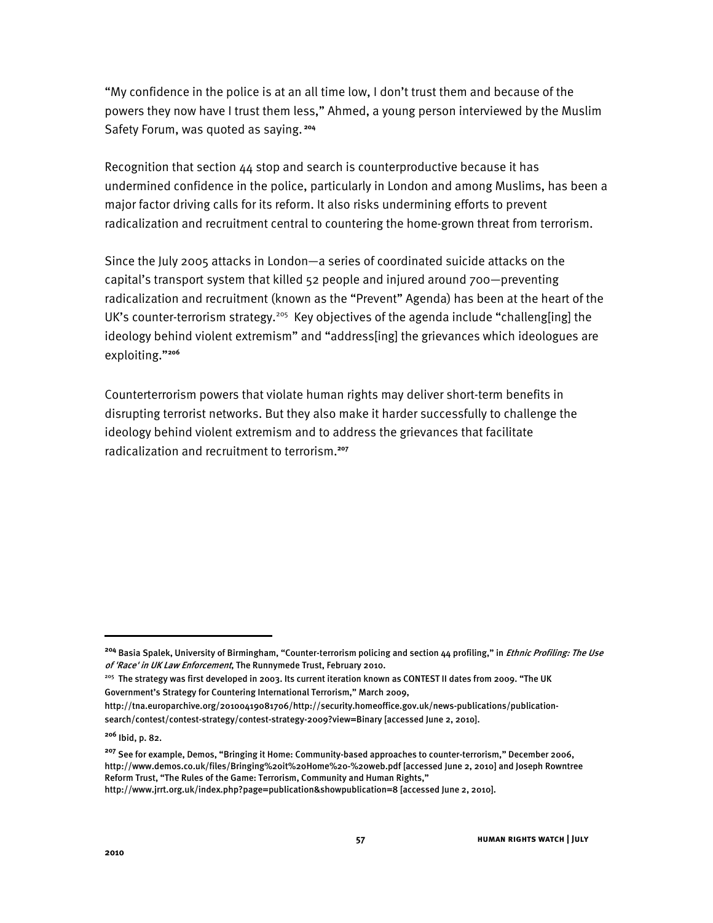"My confidence in the police is at an all time low, I don't trust them and because of the powers they now have I trust them less," Ahmed, a young person interviewed by the Muslim Safety Forum, was quoted as saying.**<sup>204</sup>**

Recognition that section 44 stop and search is counterproductive because it has undermined confidence in the police, particularly in London and among Muslims, has been a major factor driving calls for its reform. It also risks undermining efforts to prevent radicalization and recruitment central to countering the home-grown threat from terrorism.

Since the July 2005 attacks in London—a series of coordinated suicide attacks on the capital's transport system that killed 52 people and injured around 700–preventing radicalization and recruitment (known as the "Prevent" Agenda) has been at the heart of the UK's counter-terrorism strategy.<sup>205</sup> Key objectives of the agenda include "challeng[ing] the ideology behind violent extremism" and "address[ing] the grievances which ideologues are exploiting."<sup>206</sup>

Counterterrorism powers that violate human rights may deliver short-term benefits in disrupting terrorist networks. But they also make it harder successfully to challenge the ideology behind violent extremism and to address the grievances that facilitate radicalization and recruitment to terrorism.**<sup>207</sup>**

<sup>&</sup>lt;sup>204</sup> Basia Spalek, University of Birmingham, "Counter-terrorism policing and section 44 profiling," in *Ethnic Profiling: The Use* of 'Race' in UK Law Enforcement, The Runnymede Trust, February 2010.

<sup>&</sup>lt;sup>205</sup> The strategy was first developed in 2003. Its current iteration known as CONTEST II dates from 2009. "The UK Government's Strategy for Countering International Terrorism," March 2009,

http://tna.europarchive.org/20100419081706/http://security.homeoffice.gov.uk/news-publications/publicationsearch/contest/contest-strategy/contest-strategy-2009?view=Binary [accessed June 2, 201o].

**<sup>206</sup>** Ibid, p. 82.

<sup>&</sup>lt;sup>207</sup> See for example, Demos, "Bringing it Home: Community-based approaches to counter-terrorism," December 2006, http://www.demos.co.uk/files/Bringing%20it%20Home%20-%20web.pdf [accessed June 2, 2010] and Joseph Rowntree Reform Trust, "The Rules of the Game: Terrorism, Community and Human Rights,"

http://www.jrrt.org.uk/index.php?page=publication&showpublication=8 [accessed June 2, 2010].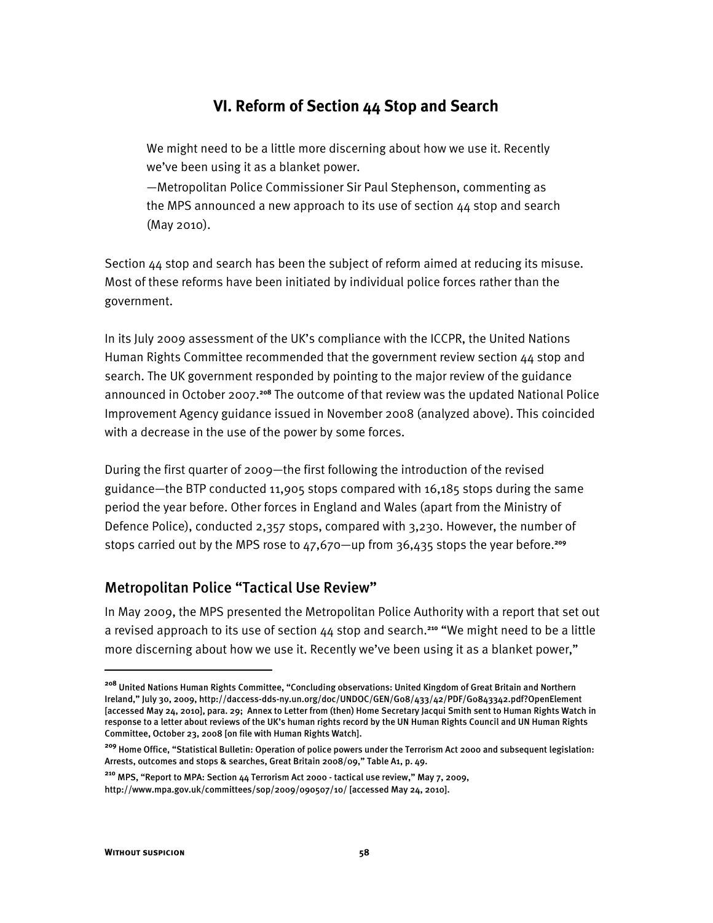## **VI. Reform of Section 44 Stop and Search**

We might need to be a little more discerning about how we use it. Recently we've been using it as a blanket power.

 $-$ Metropolitan Police Commissioner Sir Paul Stephenson, commenting as the MPS announced a new approach to its use of section 44 stop and search (May 2010).

Section 44 stop and search has been the subject of reform aimed at reducing its misuse. Most of these reforms have been initiated by individual police forces rather than the government.

In its July 2009 assessment of the UK's compliance with the ICCPR, the United Nations Human Rights Committee recommended that the government review section 44 stop and search. The UK government responded by pointing to the major review of the guidance announced in October 2007.**<sup>208</sup>** The outcome of that review was the updated National Police Improvement Agency guidance issued in November 2008 (analyzed above). This coincided with a decrease in the use of the power by some forces.

During the first quarter of 2009—the first following the introduction of the revised guidance—the BTP conducted 11,905 stops compared with 16,185 stops during the same period the year before. Other forces in England and Wales (apart from the Ministry of Defence Police), conducted 2,357 stops, compared with 3,230. However, the number of stops carried out by the MPS rose to 47,670—up from 36,435 stops the year before.<sup>209</sup>

#### Metropolitan Police "Tactical Use Review"

In May 2009, the MPS presented the Metropolitan Police Authority with a report that set out a revised approach to its use of section  $44$  stop and search.<sup>210</sup> "We might need to be a little more discerning about how we use it. Recently we've been using it as a blanket power,"

**<sup>208</sup>** United Nations Human Rights Committee, "Concluding observations: United Kingdom of Great Britain and Northern Ireland," July 30, 2009, http://daccess-dds-ny.un.org/doc/UNDOC/GEN/G08/433/42/PDF/G0843342.pdf?OpenElement [accessed May 24, 2010], para. 29; Annex to Letter from (then) Home Secretary Jacqui Smith sent to Human Rights Watch in response to a letter about reviews of the UK's human rights record by the UN Human Rights Council and UN Human Rights Committee, October 23, 2008 [on file with Human Rights Watch].

**<sup>209</sup>** Home Office, "Statistical Bulletin: Operation of police powers under the Terrorism Act 2000 and subsequent legislation: Arrests, outcomes and stops & searches, Great Britain 2008/09," Table A1, p. 49.

<sup>&</sup>lt;sup>210</sup> MPS, "Report to MPA: Section 44 Terrorism Act 2000 - tactical use review," May 7, 2009, http://www.mpa.gov.uk/committees/sop/2009/090507/10/ [accessed May 24, 2010].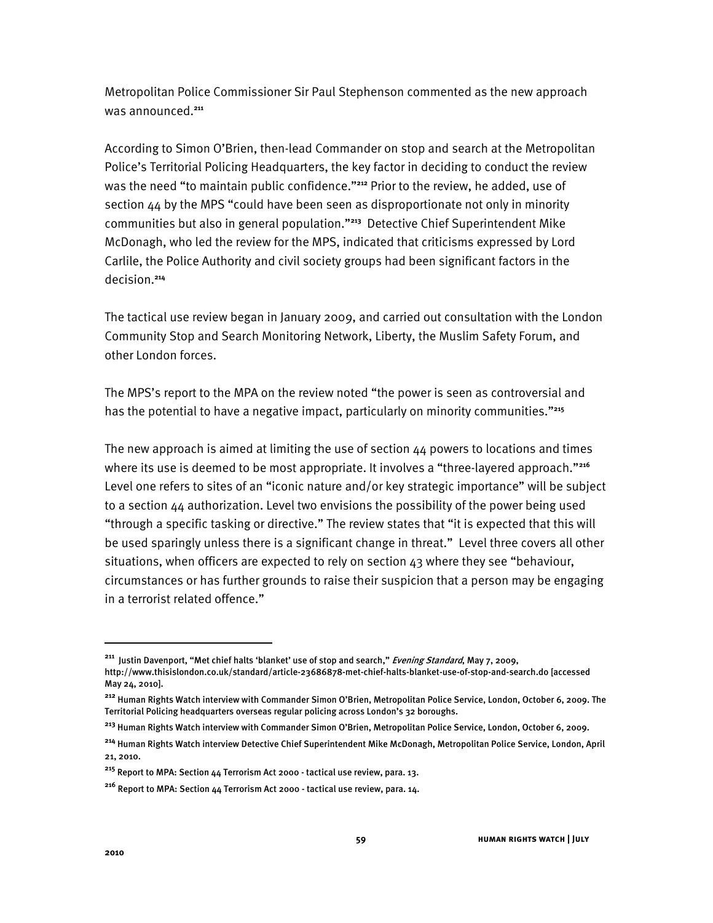Metropolitan Police Commissioner Sir Paul Stephenson commented as the new approach was announced.**<sup>211</sup>**

According to Simon O'Brien, then-lead Commander on stop and search at the Metropolitan Police's Territorial Policing Headquarters, the key factor in deciding to conduct the review was the need "to maintain public confidence."<sup>212</sup> Prior to the review, he added, use of section  $44$  by the MPS "could have been seen as disproportionate not only in minority communities but also in general population."<sup>213</sup> Detective Chief Superintendent Mike McDonagh, who led the review for the MPS, indicated that criticisms expressed by Lord Carlile, the Police Authority and civil society groups had been significant factors in the decision.**<sup>214</sup>**

The tactical use review began in January 2009, and carried out consultation with the London Community Stop and Search Monitoring Network, Liberty, the Muslim Safety Forum, and other London forces.

The MPS's report to the MPA on the review noted "the power is seen as controversial and has the potential to have a negative impact, particularly on minority communities."215

The new approach is aimed at limiting the use of section 44 powers to locations and times where its use is deemed to be most appropriate. It involves a "three-layered approach."<sup>216</sup> Level one refers to sites of an "iconic nature and/or key strategic importance" will be subject to a section 44 authorization. Level two envisions the possibility of the power being used "through a specific tasking or directive." The review states that "it is expected that this will be used sparingly unless there is a significant change in threat." Level three covers all other situations, when officers are expected to rely on section  $43$  where they see "behaviour, circumstances or has further grounds to raise their suspicion that a person may be engaging in a terrorist related offence."

ֺ

<sup>&</sup>lt;sup>211</sup> Justin Davenport, "Met chief halts 'blanket' use of stop and search," *Evening Standard*, May 7, 2009,

http://www.thisislondon.co.uk/standard/article-23686878-met-chief-halts-blanket-use-of-stop-and-search.do [accessed May 24, 2010].

<sup>&</sup>lt;sup>212</sup> Human Rights Watch interview with Commander Simon O'Brien, Metropolitan Police Service, London, October 6, 2009. The Territorial Policing headquarters overseas regular policing across London's 32 boroughs.

<sup>&</sup>lt;sup>213</sup> Human Rights Watch interview with Commander Simon O'Brien, Metropolitan Police Service, London, October 6, 2009.

**<sup>214</sup>** Human Rights Watch interview Detective Chief Superintendent Mike McDonagh, Metropolitan Police Service, London, April 21, 2010.

**<sup>215</sup>** Report to MPA: Section 44 Terrorism Act 2000 - tactical use review, para. 13.

**<sup>216</sup>** Report to MPA: Section 44 Terrorism Act 2000 - tactical use review, para. 14.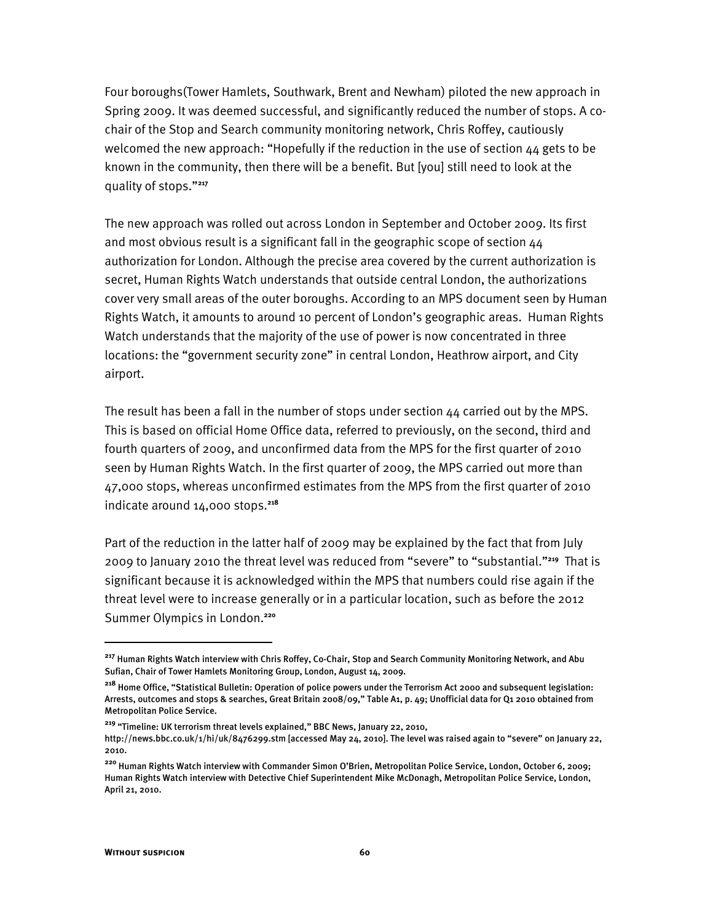Four boroughs(Tower Hamlets, Southwark, Brent and Newham) piloted the new approach in Spring 2009. It was deemed successful, and significantly reduced the number of stops. A cochair of the Stop and Search community monitoring network, Chris Roffey, cautiously welcomed the new approach: "Hopefully if the reduction in the use of section  $44$  gets to be known in the community, then there will be a benefit. But [you] still need to look at the quality of stops."<sup>217</sup>

The new approach was rolled out across London in September and October 2009. Its first and most obvious result is a significant fall in the geographic scope of section 44 authorization for London. Although the precise area covered by the current authorization is secret, Human Rights Watch understands that outside central London, the authorizations cover very small areas of the outer boroughs. According to an MPS document seen by Human Rights Watch, it amounts to around 10 percent of London's geographic areas. Human Rights Watch understands that the majority of the use of power is now concentrated in three locations: the "government security zone" in central London, Heathrow airport, and City airport.

The result has been a fall in the number of stops under section  $44$  carried out by the MPS. This is based on official Home Office data, referred to previously, on the second, third and fourth quarters of 2009, and unconfirmed data from the MPS for the first quarter of 2010 seen by Human Rights Watch. In the first quarter of 2009, the MPS carried out more than 47,000 stops, whereas unconfirmed estimates from the MPS from the first quarter of 2010 indicate around 14,000 stops.**<sup>218</sup>**

Part of the reduction in the latter half of 2009 may be explained by the fact that from July 2009 to January 2010 the threat level was reduced from "severe" to "substantial."<sup>219</sup> That is significant because it is acknowledged within the MPS that numbers could rise again if the threat level were to increase generally or in a particular location, such as before the 2012 Summer Olympics in London.**<sup>220</sup>**

**<sup>217</sup>** Human Rights Watch interview with Chris Roffey, Co-Chair, Stop and Search Community Monitoring Network, and Abu Sufian, Chair of Tower Hamlets Monitoring Group, London, August 14, 2009.

**<sup>218</sup>** Home Office, "Statistical Bulletin: Operation of police powers under the Terrorism Act 2000 and subsequent legislation: Arrests, outcomes and stops & searches, Great Britain 2008/09," Table A1, p. 49; Unofficial data for Q1 2010 obtained from Metropolitan Police Service.

<sup>&</sup>lt;sup>219</sup> "Timeline: UK terrorism threat levels explained," BBC News, January 22, 2010, http://news.bbc.co.uk/1/hi/uk/8476299.stm [accessed May 24, 2010]. The level was raised again to "severe" on January 22, 2010.

<sup>&</sup>lt;sup>220</sup> Human Rights Watch interview with Commander Simon O'Brien, Metropolitan Police Service, London, October 6, 2009; Human Rights Watch interview with Detective Chief Superintendent Mike McDonagh, Metropolitan Police Service, London, April 21, 2010.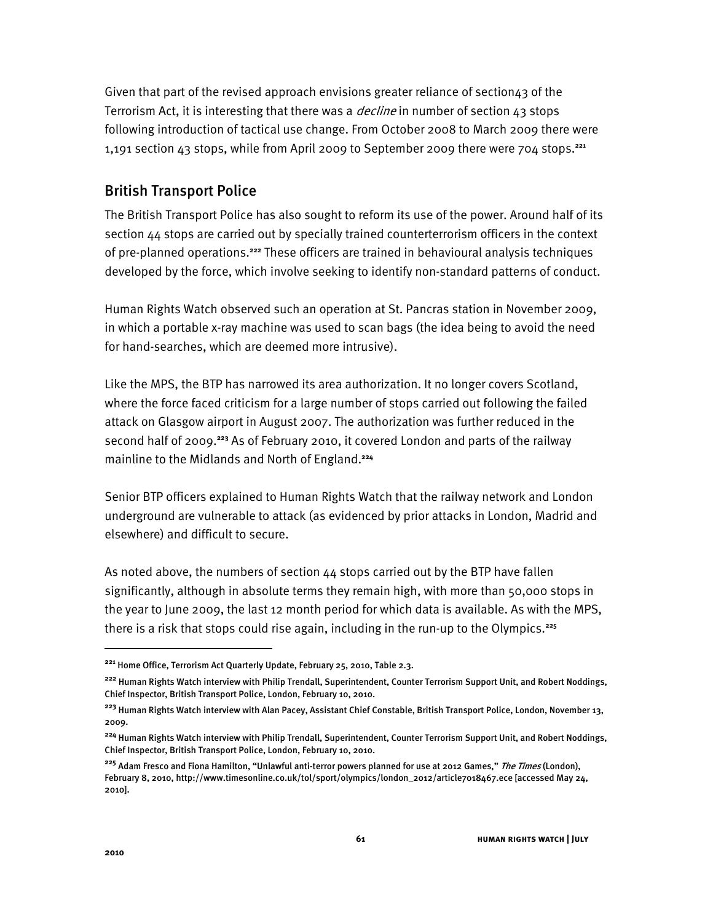Given that part of the revised approach envisions greater reliance of section $43$  of the Terrorism Act, it is interesting that there was a *decline* in number of section  $43$  stops following introduction of tactical use change. From October 2008 to March 2009 there were 1,191 section 43 stops, while from April 2009 to September 2009 there were 704 stops.**<sup>221</sup>**

## British Transport Police

The British Transport Police has also sought to reform its use of the power. Around half of its section 44 stops are carried out by specially trained counterterrorism officers in the context of pre-planned operations.**<sup>222</sup>** These officers are trained in behavioural analysis techniques developed by the force, which involve seeking to identify non-standard patterns of conduct.

Human Rights Watch observed such an operation at St. Pancras station in November 2009, in which a portable x-ray machine was used to scan bags (the idea being to avoid the need for hand-searches, which are deemed more intrusive).

Like the MPS, the BTP has narrowed its area authorization. It no longer covers Scotland, where the force faced criticism for a large number of stops carried out following the failed attack on Glasgow airport in August 2007. The authorization was further reduced in the second half of 2009.**<sup>223</sup>** As of February 2010, it covered London and parts of the railway mainline to the Midlands and North of England.**<sup>224</sup>**

Senior BTP officers explained to Human Rights Watch that the railway network and London underground are vulnerable to attack (as evidenced by prior attacks in London, Madrid and elsewhere) and difficult to secure.

As noted above, the numbers of section  $44$  stops carried out by the BTP have fallen significantly, although in absolute terms they remain high, with more than 50,000 stops in the year to June 2009, the last 12 month period for which data is available. As with the MPS, there is a risk that stops could rise again, including in the run-up to the Olympics.**<sup>225</sup>**

ֺ

**<sup>221</sup>** Home Office, Terrorism Act Quarterly Update, February 25, 2010, Table 2.3.

**<sup>222</sup>** Human Rights Watch interview with Philip Trendall, Superintendent, Counter Terrorism Support Unit, and Robert Noddings, Chief Inspector, British Transport Police, London, February 10, 2010.

**<sup>223</sup>** Human Rights Watch interview with Alan Pacey, Assistant Chief Constable, British Transport Police, London, November 13, 2009.

**<sup>224</sup>** Human Rights Watch interview with Philip Trendall, Superintendent, Counter Terrorism Support Unit, and Robert Noddings, Chief Inspector, British Transport Police, London, February 10, 2010.

<sup>&</sup>lt;sup>225</sup> Adam Fresco and Fiona Hamilton, "Unlawful anti-terror powers planned for use at 2012 Games," *The Times* (London), February 8, 2010, http://www.timesonline.co.uk/tol/sport/olympics/london\_2012/article7018467.ece [accessed May 24, 2010].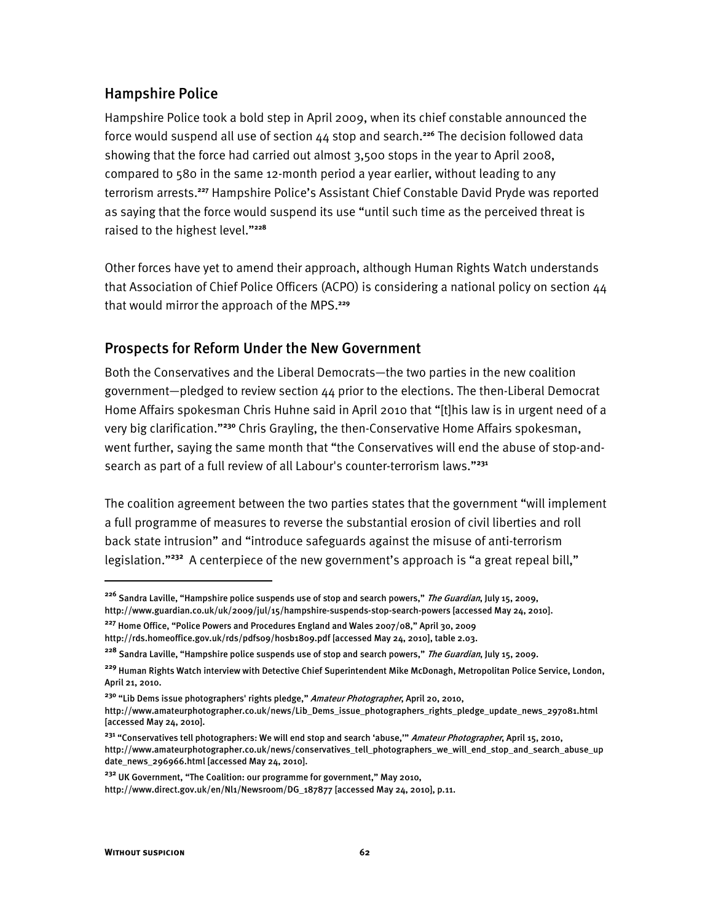## Hampshire Police

Hampshire Police took a bold step in April 2009, when its chief constable announced the force would suspend all use of section 44 stop and search.**<sup>226</sup>** The decision followed data showing that the force had carried out almost 3,500 stops in the year to April 2008, compared to 580 in the same 12-month period a year earlier, without leading to any terrorism arrests.<sup>227</sup> Hampshire Police's Assistant Chief Constable David Pryde was reported as saying that the force would suspend its use "until such time as the perceived threat is raised to the highest level."<sup>228</sup>

Other forces have yet to amend their approach, although Human Rights Watch understands that Association of Chief Police Officers (ACPO) is considering a national policy on section 44 that would mirror the approach of the MPS.**<sup>229</sup>**

## Prospects for Reform Under the New Government

Both the Conservatives and the Liberal Democrats-the two parties in the new coalition government-pledged to review section 44 prior to the elections. The then-Liberal Democrat Home Affairs spokesman Chris Huhne said in April 2010 that "[t]his law is in urgent need of a very big clarification.<sup>230</sup> Chris Grayling, the then-Conservative Home Affairs spokesman, went further, saying the same month that "the Conservatives will end the abuse of stop-andsearch as part of a full review of all Labour's counter-terrorism laws."<sup>231</sup>

The coalition agreement between the two parties states that the government "will implement a full programme of measures to reverse the substantial erosion of civil liberties and roll back state intrusion" and "introduce safeguards against the misuse of anti-terrorism legislation."<sup>232</sup> A centerpiece of the new government's approach is "a great repeal bill,"

<sup>232</sup> UK Government, "The Coalition: our programme for government," May 2010,

ֺ

<sup>&</sup>lt;sup>226</sup> Sandra Laville, "Hampshire police suspends use of stop and search powers," *The Guardian*, July 15, 2009, http://www.guardian.co.uk/uk/2009/jul/15/hampshire-suspends-stop-search-powers [accessed May 24, 2010].

<sup>&</sup>lt;sup>227</sup> Home Office, "Police Powers and Procedures England and Wales 2007/08," April 30, 2009

http://rds.homeoffice.gov.uk/rds/pdfs09/hosb1809.pdf [accessed May 24, 2010], table 2.03.

<sup>&</sup>lt;sup>228</sup> Sandra Laville, "Hampshire police suspends use of stop and search powers," *The Guardian*, July 15, 2009.

**<sup>229</sup>** Human Rights Watch interview with Detective Chief Superintendent Mike McDonagh, Metropolitan Police Service, London, April 21, 2010.

<sup>&</sup>lt;sup>230</sup> "Lib Dems issue photographers' rights pledge," Amateur Photographer, April 20, 2010,

http://www.amateurphotographer.co.uk/news/Lib\_Dems\_issue\_photographers\_rights\_pledge\_update\_news\_297081.html [accessed May 24, 2010].

<sup>&</sup>lt;sup>231</sup> "Conservatives tell photographers: We will end stop and search 'abuse,'" *Amateur Photographer*, April 15, 2010, http://www.amateurphotographer.co.uk/news/conservatives\_tell\_photographers\_we\_will\_end\_stop\_and\_search\_abuse\_up date\_news\_296966.html [accessed May 24, 2010].

http://www.direct.gov.uk/en/Nl1/Newsroom/DG\_187877 [accessed May 24, 2010], p.11.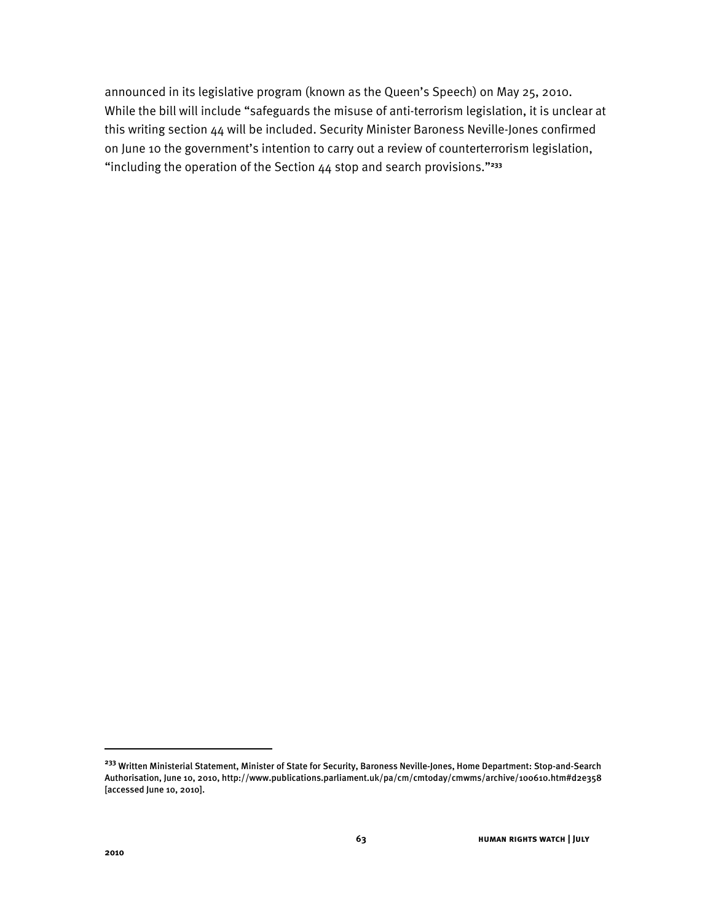announced in its legislative program (known as the Queen's Speech) on May 25, 2010. While the bill will include "safeguards the misuse of anti-terrorism legislation, it is unclear at this writing section 44 will be included. Security Minister Baroness Neville-Jones confirmed on June 10 the government's intention to carry out a review of counterterrorism legislation, "including the operation of the Section 44 stop and search provisions."<sup>233</sup>

**<sup>233</sup>** Written Ministerial Statement, Minister of State for Security, Baroness Neville-Jones, Home Department: Stop-and-Search Authorisation, June 10, 2010, http://www.publications.parliament.uk/pa/cm/cmtoday/cmwms/archive/100610.htm#d2e358 [accessed June 10, 2010].